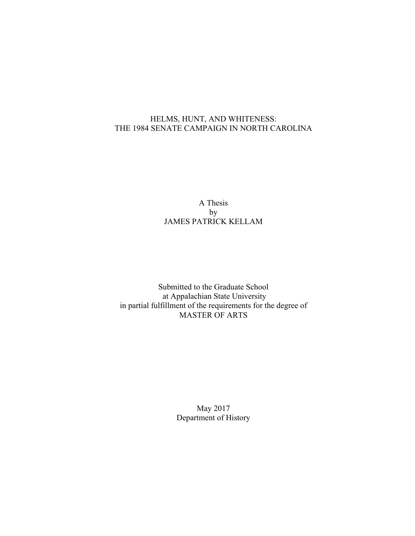# HELMS, HUNT, AND WHITENESS: THE 1984 SENATE CAMPAIGN IN NORTH CAROLINA

# A Thesis by JAMES PATRICK KELLAM

Submitted to the Graduate School at Appalachian State University in partial fulfillment of the requirements for the degree of MASTER OF ARTS

> May 2017 Department of History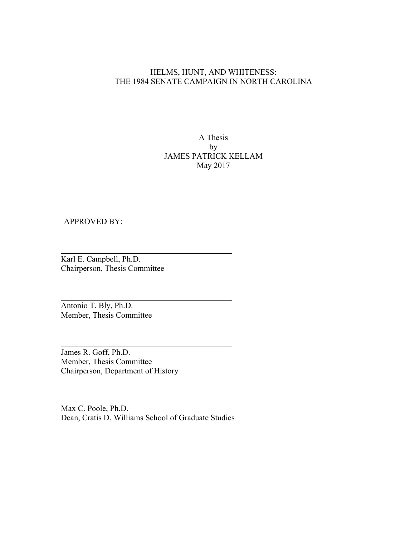### HELMS, HUNT, AND WHITENESS: THE 1984 SENATE CAMPAIGN IN NORTH CAROLINA

### A Thesis by JAMES PATRICK KELLAM May 2017

#### APPROVED BY:

Karl E. Campbell, Ph.D. Chairperson, Thesis Committee

Antonio T. Bly, Ph.D. Member, Thesis Committee

James R. Goff, Ph.D. Member, Thesis Committee Chairperson, Department of History

Max C. Poole, Ph.D. Dean, Cratis D. Williams School of Graduate Studies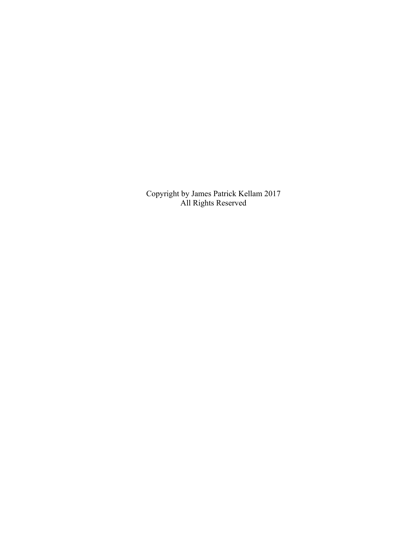Copyright by James Patrick Kellam 2017 All Rights Reserved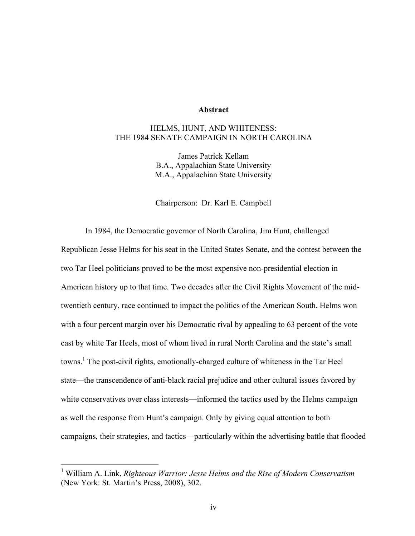#### **Abstract**

## HELMS, HUNT, AND WHITENESS: THE 1984 SENATE CAMPAIGN IN NORTH CAROLINA

James Patrick Kellam B.A., Appalachian State University M.A., Appalachian State University

Chairperson: Dr. Karl E. Campbell

In 1984, the Democratic governor of North Carolina, Jim Hunt, challenged Republican Jesse Helms for his seat in the United States Senate, and the contest between the two Tar Heel politicians proved to be the most expensive non-presidential election in American history up to that time. Two decades after the Civil Rights Movement of the midtwentieth century, race continued to impact the politics of the American South. Helms won with a four percent margin over his Democratic rival by appealing to 63 percent of the vote cast by white Tar Heels, most of whom lived in rural North Carolina and the state's small towns.<sup>1</sup> The post-civil rights, emotionally-charged culture of whiteness in the Tar Heel state—the transcendence of anti-black racial prejudice and other cultural issues favored by white conservatives over class interests—informed the tactics used by the Helms campaign as well the response from Hunt's campaign. Only by giving equal attention to both campaigns, their strategies, and tactics—particularly within the advertising battle that flooded

 <sup>1</sup> William A. Link, *Righteous Warrior: Jesse Helms and the Rise of Modern Conservatism*  (New York: St. Martin's Press, 2008), 302.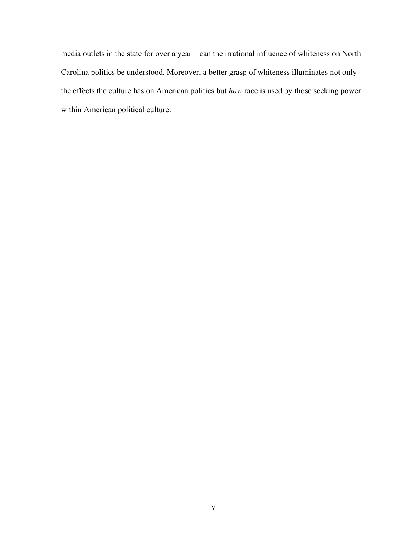media outlets in the state for over a year—can the irrational influence of whiteness on North Carolina politics be understood. Moreover, a better grasp of whiteness illuminates not only the effects the culture has on American politics but *how* race is used by those seeking power within American political culture.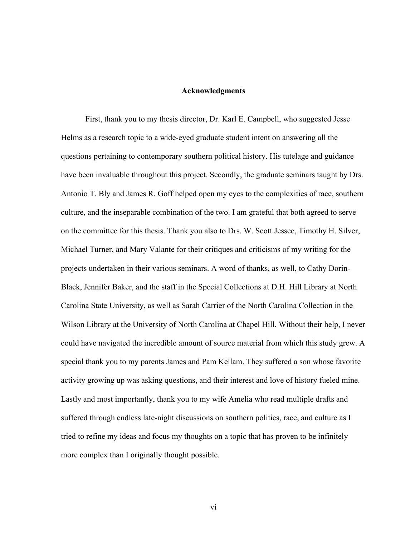#### **Acknowledgments**

First, thank you to my thesis director, Dr. Karl E. Campbell, who suggested Jesse Helms as a research topic to a wide-eyed graduate student intent on answering all the questions pertaining to contemporary southern political history. His tutelage and guidance have been invaluable throughout this project. Secondly, the graduate seminars taught by Drs. Antonio T. Bly and James R. Goff helped open my eyes to the complexities of race, southern culture, and the inseparable combination of the two. I am grateful that both agreed to serve on the committee for this thesis. Thank you also to Drs. W. Scott Jessee, Timothy H. Silver, Michael Turner, and Mary Valante for their critiques and criticisms of my writing for the projects undertaken in their various seminars. A word of thanks, as well, to Cathy Dorin-Black, Jennifer Baker, and the staff in the Special Collections at D.H. Hill Library at North Carolina State University, as well as Sarah Carrier of the North Carolina Collection in the Wilson Library at the University of North Carolina at Chapel Hill. Without their help, I never could have navigated the incredible amount of source material from which this study grew. A special thank you to my parents James and Pam Kellam. They suffered a son whose favorite activity growing up was asking questions, and their interest and love of history fueled mine. Lastly and most importantly, thank you to my wife Amelia who read multiple drafts and suffered through endless late-night discussions on southern politics, race, and culture as I tried to refine my ideas and focus my thoughts on a topic that has proven to be infinitely more complex than I originally thought possible.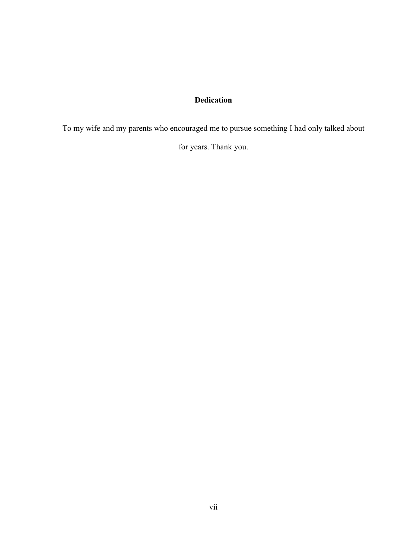# **Dedication**

To my wife and my parents who encouraged me to pursue something I had only talked about

for years. Thank you.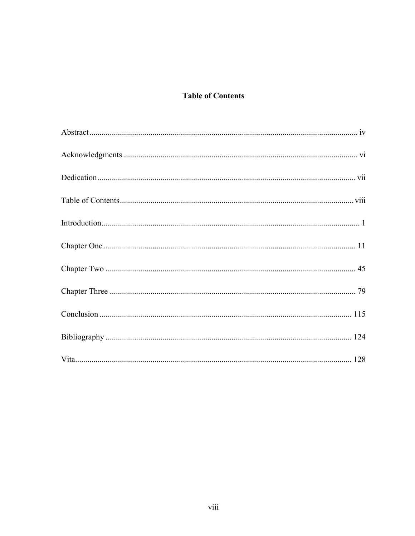# **Table of Contents**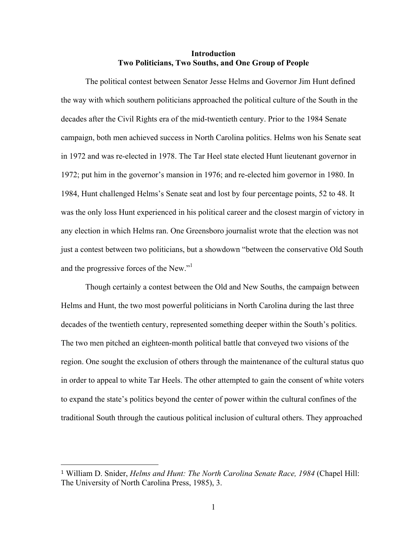#### **Introduction Two Politicians, Two Souths, and One Group of People**

The political contest between Senator Jesse Helms and Governor Jim Hunt defined the way with which southern politicians approached the political culture of the South in the decades after the Civil Rights era of the mid-twentieth century. Prior to the 1984 Senate campaign, both men achieved success in North Carolina politics. Helms won his Senate seat in 1972 and was re-elected in 1978. The Tar Heel state elected Hunt lieutenant governor in 1972; put him in the governor's mansion in 1976; and re-elected him governor in 1980. In 1984, Hunt challenged Helms's Senate seat and lost by four percentage points, 52 to 48. It was the only loss Hunt experienced in his political career and the closest margin of victory in any election in which Helms ran. One Greensboro journalist wrote that the election was not just a contest between two politicians, but a showdown "between the conservative Old South and the progressive forces of the New."

Though certainly a contest between the Old and New Souths, the campaign between Helms and Hunt, the two most powerful politicians in North Carolina during the last three decades of the twentieth century, represented something deeper within the South's politics. The two men pitched an eighteen-month political battle that conveyed two visions of the region. One sought the exclusion of others through the maintenance of the cultural status quo in order to appeal to white Tar Heels. The other attempted to gain the consent of white voters to expand the state's politics beyond the center of power within the cultural confines of the traditional South through the cautious political inclusion of cultural others. They approached

 

<sup>1</sup> William D. Snider, *Helms and Hunt: The North Carolina Senate Race, 1984* (Chapel Hill: The University of North Carolina Press, 1985), 3.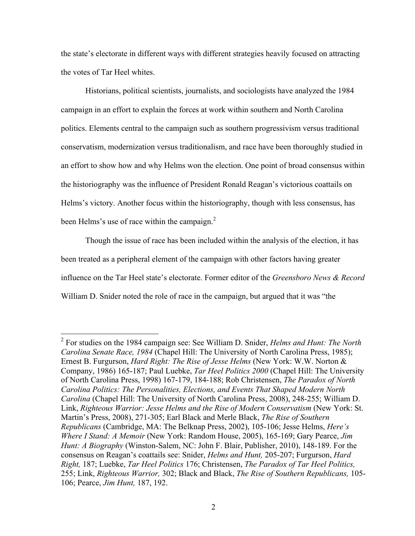the state's electorate in different ways with different strategies heavily focused on attracting the votes of Tar Heel whites.

Historians, political scientists, journalists, and sociologists have analyzed the 1984 campaign in an effort to explain the forces at work within southern and North Carolina politics. Elements central to the campaign such as southern progressivism versus traditional conservatism, modernization versus traditionalism, and race have been thoroughly studied in an effort to show how and why Helms won the election. One point of broad consensus within the historiography was the influence of President Ronald Reagan's victorious coattails on Helms's victory. Another focus within the historiography, though with less consensus, has been Helms's use of race within the campaign.<sup>2</sup>

Though the issue of race has been included within the analysis of the election, it has been treated as a peripheral element of the campaign with other factors having greater influence on the Tar Heel state's electorate. Former editor of the *Greensboro News & Record* William D. Snider noted the role of race in the campaign, but argued that it was "the

 <sup>2</sup> For studies on the <sup>1984</sup> campaign see: See William D. Snider, *Helms and Hunt: The North Carolina Senate Race, 1984* (Chapel Hill: The University of North Carolina Press, 1985); Ernest B. Furgurson, *Hard Right: The Rise of Jesse Helms* (New York: W.W. Norton & Company, 1986) 165-187; Paul Luebke, *Tar Heel Politics 2000* (Chapel Hill: The University of North Carolina Press, 1998) 167-179, 184-188; Rob Christensen, *The Paradox of North Carolina Politics: The Personalities, Elections, and Events That Shaped Modern North Carolina* (Chapel Hill: The University of North Carolina Press, 2008), 248-255; William D. Link, *Righteous Warrior: Jesse Helms and the Rise of Modern Conservatism* (New York: St. Martin's Press, 2008), 271-305; Earl Black and Merle Black, *The Rise of Southern Republicans* (Cambridge, MA: The Belknap Press, 2002), 105-106; Jesse Helms, *Here's Where I Stand: A Memoir* (New York: Random House, 2005), 165-169; Gary Pearce, *Jim Hunt: A Biography* (Winston-Salem, NC: John F. Blair, Publisher, 2010), 148-189. For the consensus on Reagan's coattails see: Snider, *Helms and Hunt,* 205-207; Furgurson, *Hard Right,* 187; Luebke, *Tar Heel Politics* 176; Christensen, *The Paradox of Tar Heel Politics,* 255; Link, *Righteous Warrior,* 302; Black and Black, *The Rise of Southern Republicans,* 105- 106; Pearce, *Jim Hunt,* 187, 192.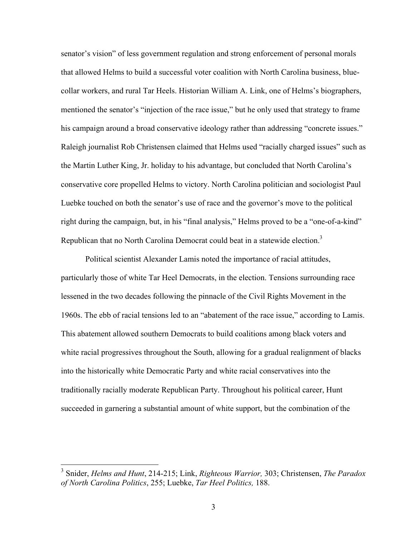senator's vision" of less government regulation and strong enforcement of personal morals that allowed Helms to build a successful voter coalition with North Carolina business, bluecollar workers, and rural Tar Heels. Historian William A. Link, one of Helms's biographers, mentioned the senator's "injection of the race issue," but he only used that strategy to frame his campaign around a broad conservative ideology rather than addressing "concrete issues." Raleigh journalist Rob Christensen claimed that Helms used "racially charged issues" such as the Martin Luther King, Jr. holiday to his advantage, but concluded that North Carolina's conservative core propelled Helms to victory. North Carolina politician and sociologist Paul Luebke touched on both the senator's use of race and the governor's move to the political right during the campaign, but, in his "final analysis," Helms proved to be a "one-of-a-kind" Republican that no North Carolina Democrat could beat in a statewide election.<sup>3</sup>

Political scientist Alexander Lamis noted the importance of racial attitudes, particularly those of white Tar Heel Democrats, in the election. Tensions surrounding race lessened in the two decades following the pinnacle of the Civil Rights Movement in the 1960s. The ebb of racial tensions led to an "abatement of the race issue," according to Lamis. This abatement allowed southern Democrats to build coalitions among black voters and white racial progressives throughout the South, allowing for a gradual realignment of blacks into the historically white Democratic Party and white racial conservatives into the traditionally racially moderate Republican Party. Throughout his political career, Hunt succeeded in garnering a substantial amount of white support, but the combination of the

 <sup>3</sup> Snider, *Helms and Hunt*, 214-215; Link, *Righteous Warrior,* 303; Christensen, *The Paradox of North Carolina Politics*, 255; Luebke, *Tar Heel Politics,* 188.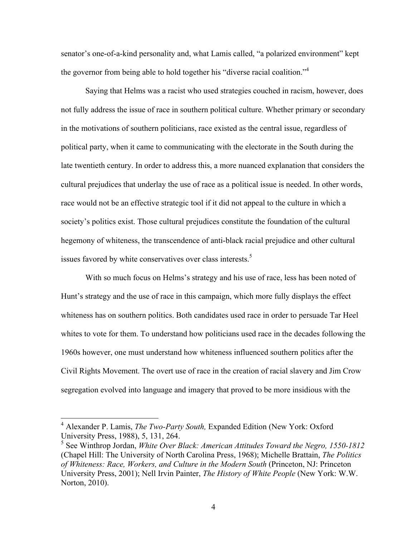senator's one-of-a-kind personality and, what Lamis called, "a polarized environment" kept the governor from being able to hold together his "diverse racial coalition."<sup>4</sup>

Saying that Helms was a racist who used strategies couched in racism, however, does not fully address the issue of race in southern political culture. Whether primary or secondary in the motivations of southern politicians, race existed as the central issue, regardless of political party, when it came to communicating with the electorate in the South during the late twentieth century. In order to address this, a more nuanced explanation that considers the cultural prejudices that underlay the use of race as a political issue is needed. In other words, race would not be an effective strategic tool if it did not appeal to the culture in which a society's politics exist. Those cultural prejudices constitute the foundation of the cultural hegemony of whiteness, the transcendence of anti-black racial prejudice and other cultural issues favored by white conservatives over class interests.<sup>5</sup>

With so much focus on Helms's strategy and his use of race, less has been noted of Hunt's strategy and the use of race in this campaign, which more fully displays the effect whiteness has on southern politics. Both candidates used race in order to persuade Tar Heel whites to vote for them. To understand how politicians used race in the decades following the 1960s however, one must understand how whiteness influenced southern politics after the Civil Rights Movement. The overt use of race in the creation of racial slavery and Jim Crow segregation evolved into language and imagery that proved to be more insidious with the

 <sup>4</sup> Alexander P. Lamis, *The Two-Party South,* Expanded Edition (New York: Oxford University Press, 1988), 5, 131, 264.

<sup>5</sup> See Winthrop Jordan, *White Over Black: American Attitudes Toward the Negro, 1550-1812*  (Chapel Hill: The University of North Carolina Press, 1968); Michelle Brattain, *The Politics of Whiteness: Race, Workers, and Culture in the Modern South* (Princeton, NJ: Princeton University Press, 2001); Nell Irvin Painter, *The History of White People* (New York: W.W. Norton, 2010).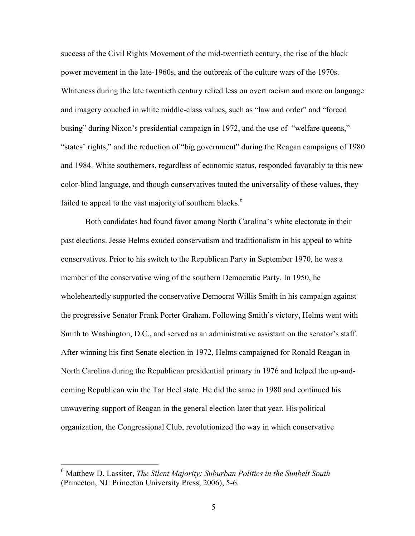success of the Civil Rights Movement of the mid-twentieth century, the rise of the black power movement in the late-1960s, and the outbreak of the culture wars of the 1970s. Whiteness during the late twentieth century relied less on overt racism and more on language and imagery couched in white middle-class values, such as "law and order" and "forced busing" during Nixon's presidential campaign in 1972, and the use of "welfare queens," "states' rights," and the reduction of "big government" during the Reagan campaigns of 1980 and 1984. White southerners, regardless of economic status, responded favorably to this new color-blind language, and though conservatives touted the universality of these values, they failed to appeal to the vast majority of southern blacks.<sup>6</sup>

Both candidates had found favor among North Carolina's white electorate in their past elections. Jesse Helms exuded conservatism and traditionalism in his appeal to white conservatives. Prior to his switch to the Republican Party in September 1970, he was a member of the conservative wing of the southern Democratic Party. In 1950, he wholeheartedly supported the conservative Democrat Willis Smith in his campaign against the progressive Senator Frank Porter Graham. Following Smith's victory, Helms went with Smith to Washington, D.C., and served as an administrative assistant on the senator's staff. After winning his first Senate election in 1972, Helms campaigned for Ronald Reagan in North Carolina during the Republican presidential primary in 1976 and helped the up-andcoming Republican win the Tar Heel state. He did the same in 1980 and continued his unwavering support of Reagan in the general election later that year. His political organization, the Congressional Club, revolutionized the way in which conservative

 <sup>6</sup> Matthew D. Lassiter, *The Silent Majority: Suburban Politics in the Sunbelt South* (Princeton, NJ: Princeton University Press, 2006), 5-6.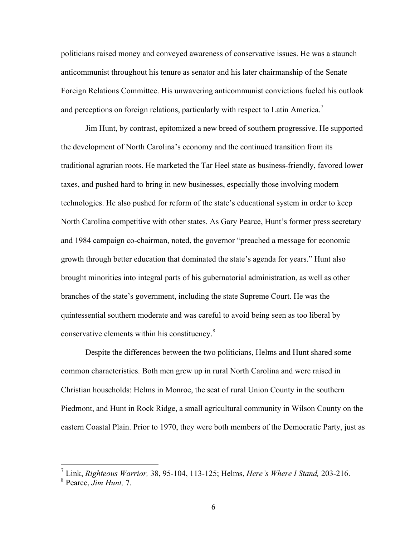politicians raised money and conveyed awareness of conservative issues. He was a staunch anticommunist throughout his tenure as senator and his later chairmanship of the Senate Foreign Relations Committee. His unwavering anticommunist convictions fueled his outlook and perceptions on foreign relations, particularly with respect to Latin America.<sup>7</sup>

Jim Hunt, by contrast, epitomized a new breed of southern progressive. He supported the development of North Carolina's economy and the continued transition from its traditional agrarian roots. He marketed the Tar Heel state as business-friendly, favored lower taxes, and pushed hard to bring in new businesses, especially those involving modern technologies. He also pushed for reform of the state's educational system in order to keep North Carolina competitive with other states. As Gary Pearce, Hunt's former press secretary and 1984 campaign co-chairman, noted, the governor "preached a message for economic growth through better education that dominated the state's agenda for years." Hunt also brought minorities into integral parts of his gubernatorial administration, as well as other branches of the state's government, including the state Supreme Court. He was the quintessential southern moderate and was careful to avoid being seen as too liberal by conservative elements within his constituency.<sup>8</sup>

Despite the differences between the two politicians, Helms and Hunt shared some common characteristics. Both men grew up in rural North Carolina and were raised in Christian households: Helms in Monroe, the seat of rural Union County in the southern Piedmont, and Hunt in Rock Ridge, a small agricultural community in Wilson County on the eastern Coastal Plain. Prior to 1970, they were both members of the Democratic Party, just as

 <sup>7</sup> Link, *Righteous Warrior,* 38, 95-104, 113-125; Helms, *Here's Where I Stand,* 203-216.

<sup>8</sup> Pearce, *Jim Hunt,* 7.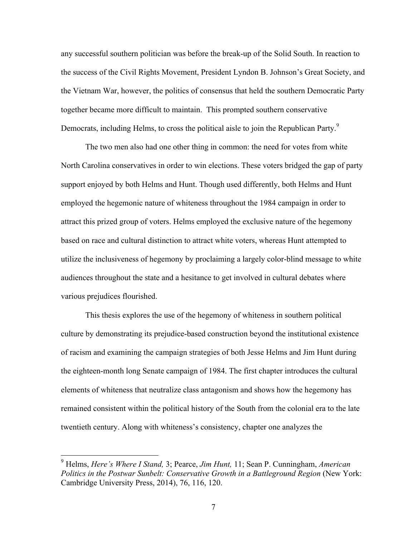any successful southern politician was before the break-up of the Solid South. In reaction to the success of the Civil Rights Movement, President Lyndon B. Johnson's Great Society, and the Vietnam War, however, the politics of consensus that held the southern Democratic Party together became more difficult to maintain. This prompted southern conservative Democrats, including Helms, to cross the political aisle to join the Republican Party.<sup>9</sup>

The two men also had one other thing in common: the need for votes from white North Carolina conservatives in order to win elections. These voters bridged the gap of party support enjoyed by both Helms and Hunt. Though used differently, both Helms and Hunt employed the hegemonic nature of whiteness throughout the 1984 campaign in order to attract this prized group of voters. Helms employed the exclusive nature of the hegemony based on race and cultural distinction to attract white voters, whereas Hunt attempted to utilize the inclusiveness of hegemony by proclaiming a largely color-blind message to white audiences throughout the state and a hesitance to get involved in cultural debates where various prejudices flourished.

This thesis explores the use of the hegemony of whiteness in southern political culture by demonstrating its prejudice-based construction beyond the institutional existence of racism and examining the campaign strategies of both Jesse Helms and Jim Hunt during the eighteen-month long Senate campaign of 1984. The first chapter introduces the cultural elements of whiteness that neutralize class antagonism and shows how the hegemony has remained consistent within the political history of the South from the colonial era to the late twentieth century. Along with whiteness's consistency, chapter one analyzes the

 <sup>9</sup> Helms, *Here's Where I Stand,* 3; Pearce, *Jim Hunt,* 11; Sean P. Cunningham, *American Politics in the Postwar Sunbelt: Conservative Growth in a Battleground Region* (New York: Cambridge University Press, 2014), 76, 116, 120.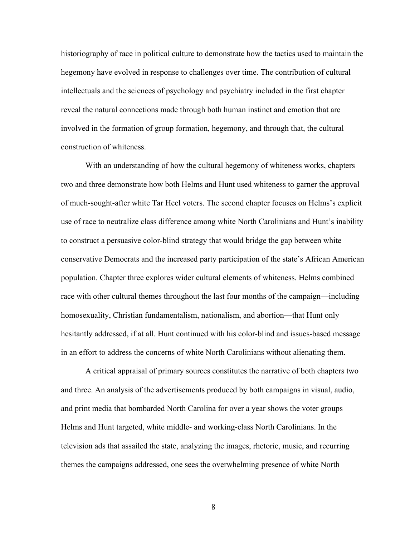historiography of race in political culture to demonstrate how the tactics used to maintain the hegemony have evolved in response to challenges over time. The contribution of cultural intellectuals and the sciences of psychology and psychiatry included in the first chapter reveal the natural connections made through both human instinct and emotion that are involved in the formation of group formation, hegemony, and through that, the cultural construction of whiteness.

With an understanding of how the cultural hegemony of whiteness works, chapters two and three demonstrate how both Helms and Hunt used whiteness to garner the approval of much-sought-after white Tar Heel voters. The second chapter focuses on Helms's explicit use of race to neutralize class difference among white North Carolinians and Hunt's inability to construct a persuasive color-blind strategy that would bridge the gap between white conservative Democrats and the increased party participation of the state's African American population. Chapter three explores wider cultural elements of whiteness. Helms combined race with other cultural themes throughout the last four months of the campaign—including homosexuality, Christian fundamentalism, nationalism, and abortion—that Hunt only hesitantly addressed, if at all. Hunt continued with his color-blind and issues-based message in an effort to address the concerns of white North Carolinians without alienating them.

A critical appraisal of primary sources constitutes the narrative of both chapters two and three. An analysis of the advertisements produced by both campaigns in visual, audio, and print media that bombarded North Carolina for over a year shows the voter groups Helms and Hunt targeted, white middle- and working-class North Carolinians. In the television ads that assailed the state, analyzing the images, rhetoric, music, and recurring themes the campaigns addressed, one sees the overwhelming presence of white North

8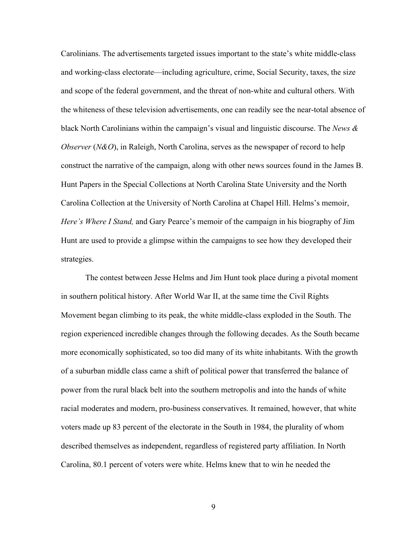Carolinians. The advertisements targeted issues important to the state's white middle-class and working-class electorate—including agriculture, crime, Social Security, taxes, the size and scope of the federal government, and the threat of non-white and cultural others. With the whiteness of these television advertisements, one can readily see the near-total absence of black North Carolinians within the campaign's visual and linguistic discourse. The *News & Observer* (*N&O*), in Raleigh, North Carolina, serves as the newspaper of record to help construct the narrative of the campaign, along with other news sources found in the James B. Hunt Papers in the Special Collections at North Carolina State University and the North Carolina Collection at the University of North Carolina at Chapel Hill. Helms's memoir, *Here's Where I Stand,* and Gary Pearce's memoir of the campaign in his biography of Jim Hunt are used to provide a glimpse within the campaigns to see how they developed their strategies.

The contest between Jesse Helms and Jim Hunt took place during a pivotal moment in southern political history. After World War II, at the same time the Civil Rights Movement began climbing to its peak, the white middle-class exploded in the South. The region experienced incredible changes through the following decades. As the South became more economically sophisticated, so too did many of its white inhabitants. With the growth of a suburban middle class came a shift of political power that transferred the balance of power from the rural black belt into the southern metropolis and into the hands of white racial moderates and modern, pro-business conservatives. It remained, however, that white voters made up 83 percent of the electorate in the South in 1984, the plurality of whom described themselves as independent, regardless of registered party affiliation. In North Carolina, 80.1 percent of voters were white. Helms knew that to win he needed the

9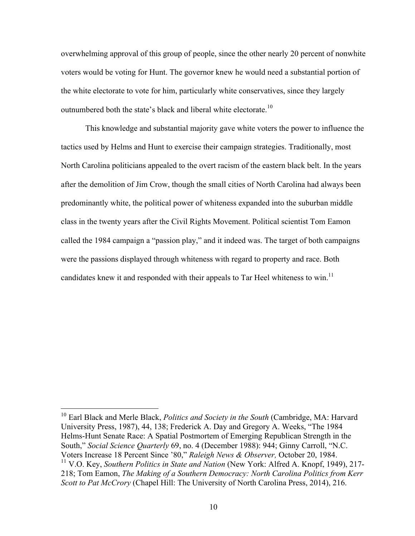overwhelming approval of this group of people, since the other nearly 20 percent of nonwhite voters would be voting for Hunt. The governor knew he would need a substantial portion of the white electorate to vote for him, particularly white conservatives, since they largely outnumbered both the state's black and liberal white electorate.<sup>10</sup>

This knowledge and substantial majority gave white voters the power to influence the tactics used by Helms and Hunt to exercise their campaign strategies. Traditionally, most North Carolina politicians appealed to the overt racism of the eastern black belt. In the years after the demolition of Jim Crow, though the small cities of North Carolina had always been predominantly white, the political power of whiteness expanded into the suburban middle class in the twenty years after the Civil Rights Movement. Political scientist Tom Eamon called the 1984 campaign a "passion play," and it indeed was. The target of both campaigns were the passions displayed through whiteness with regard to property and race. Both candidates knew it and responded with their appeals to Tar Heel whiteness to win.<sup>11</sup>

 <sup>10</sup> Earl Black and Merle Black, *Politics and Society in the South* (Cambridge, MA: Harvard University Press, 1987), 44, 138; Frederick A. Day and Gregory A. Weeks, "The 1984 Helms-Hunt Senate Race: A Spatial Postmortem of Emerging Republican Strength in the South," *Social Science Quarterly* 69, no. 4 (December 1988): 944; Ginny Carroll, "N.C. Voters Increase 18 Percent Since '80," *Raleigh News & Observer,* October 20, 1984. <sup>11</sup> V.O. Key, *Southern Politics in State and Nation* (New York: Alfred A. Knopf, 1949), 217- 218; Tom Eamon, *The Making of a Southern Democracy: North Carolina Politics from Kerr* 

*Scott to Pat McCrory* (Chapel Hill: The University of North Carolina Press, 2014), 216.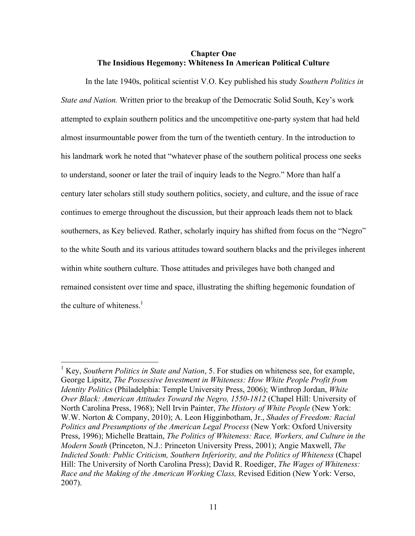#### **Chapter One The Insidious Hegemony: Whiteness In American Political Culture**

In the late 1940s, political scientist V.O. Key published his study *Southern Politics in State and Nation.* Written prior to the breakup of the Democratic Solid South, Key's work attempted to explain southern politics and the uncompetitive one-party system that had held almost insurmountable power from the turn of the twentieth century. In the introduction to his landmark work he noted that "whatever phase of the southern political process one seeks to understand, sooner or later the trail of inquiry leads to the Negro." More than half a century later scholars still study southern politics, society, and culture, and the issue of race continues to emerge throughout the discussion, but their approach leads them not to black southerners, as Key believed. Rather, scholarly inquiry has shifted from focus on the "Negro" to the white South and its various attitudes toward southern blacks and the privileges inherent within white southern culture. Those attitudes and privileges have both changed and remained consistent over time and space, illustrating the shifting hegemonic foundation of the culture of whiteness. $<sup>1</sup>$ </sup>

 <sup>1</sup> Key, *Southern Politics in State and Nation*, 5. For studies on whiteness see, for example, George Lipsitz, *The Possessive Investment in Whiteness: How White People Profit from Identity Politics* (Philadelphia: Temple University Press, 2006); Winthrop Jordan, *White Over Black: American Attitudes Toward the Negro, 1550-1812* (Chapel Hill: University of North Carolina Press, 1968); Nell Irvin Painter, *The History of White People* (New York: W.W. Norton & Company, 2010); A. Leon Higginbotham, Jr., *Shades of Freedom: Racial Politics and Presumptions of the American Legal Process* (New York: Oxford University Press, 1996); Michelle Brattain, *The Politics of Whiteness: Race, Workers, and Culture in the Modern South* (Princeton, N.J.: Princeton University Press, 2001); Angie Maxwell, *The Indicted South: Public Criticism, Southern Inferiority, and the Politics of Whiteness* (Chapel Hill: The University of North Carolina Press); David R. Roediger, *The Wages of Whiteness: Race and the Making of the American Working Class,* Revised Edition (New York: Verso, 2007).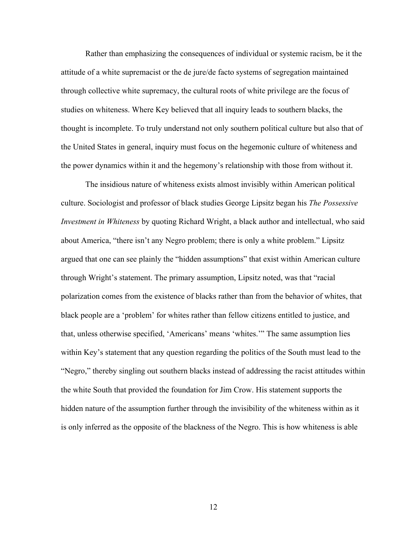Rather than emphasizing the consequences of individual or systemic racism, be it the attitude of a white supremacist or the de jure/de facto systems of segregation maintained through collective white supremacy, the cultural roots of white privilege are the focus of studies on whiteness. Where Key believed that all inquiry leads to southern blacks, the thought is incomplete. To truly understand not only southern political culture but also that of the United States in general, inquiry must focus on the hegemonic culture of whiteness and the power dynamics within it and the hegemony's relationship with those from without it.

The insidious nature of whiteness exists almost invisibly within American political culture. Sociologist and professor of black studies George Lipsitz began his *The Possessive Investment in Whiteness* by quoting Richard Wright, a black author and intellectual, who said about America, "there isn't any Negro problem; there is only a white problem." Lipsitz argued that one can see plainly the "hidden assumptions" that exist within American culture through Wright's statement. The primary assumption, Lipsitz noted, was that "racial polarization comes from the existence of blacks rather than from the behavior of whites, that black people are a 'problem' for whites rather than fellow citizens entitled to justice, and that, unless otherwise specified, 'Americans' means 'whites.'" The same assumption lies within Key's statement that any question regarding the politics of the South must lead to the "Negro," thereby singling out southern blacks instead of addressing the racist attitudes within the white South that provided the foundation for Jim Crow. His statement supports the hidden nature of the assumption further through the invisibility of the whiteness within as it is only inferred as the opposite of the blackness of the Negro. This is how whiteness is able

12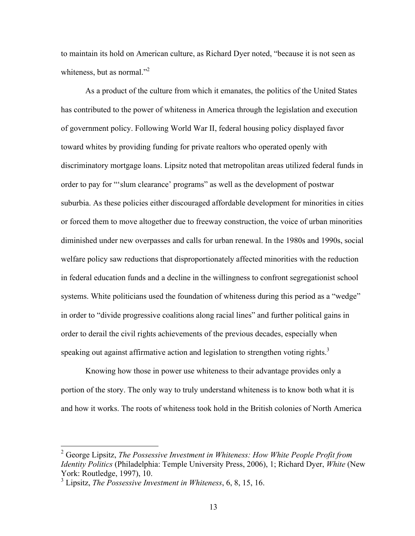to maintain its hold on American culture, as Richard Dyer noted, "because it is not seen as whiteness, but as normal."<sup>2</sup>

As a product of the culture from which it emanates, the politics of the United States has contributed to the power of whiteness in America through the legislation and execution of government policy. Following World War II, federal housing policy displayed favor toward whites by providing funding for private realtors who operated openly with discriminatory mortgage loans. Lipsitz noted that metropolitan areas utilized federal funds in order to pay for "'slum clearance' programs" as well as the development of postwar suburbia. As these policies either discouraged affordable development for minorities in cities or forced them to move altogether due to freeway construction, the voice of urban minorities diminished under new overpasses and calls for urban renewal. In the 1980s and 1990s, social welfare policy saw reductions that disproportionately affected minorities with the reduction in federal education funds and a decline in the willingness to confront segregationist school systems. White politicians used the foundation of whiteness during this period as a "wedge" in order to "divide progressive coalitions along racial lines" and further political gains in order to derail the civil rights achievements of the previous decades, especially when speaking out against affirmative action and legislation to strengthen voting rights.<sup>3</sup>

Knowing how those in power use whiteness to their advantage provides only a portion of the story. The only way to truly understand whiteness is to know both what it is and how it works. The roots of whiteness took hold in the British colonies of North America

 <sup>2</sup> George Lipsitz, *The Possessive Investment in Whiteness: How White People Profit from Identity Politics* (Philadelphia: Temple University Press, 2006), 1; Richard Dyer, *White* (New York: Routledge, 1997), 10.

<sup>3</sup> Lipsitz, *The Possessive Investment in Whiteness*, 6, 8, 15, 16.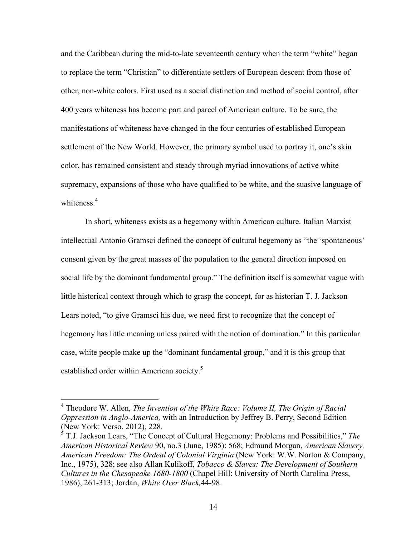and the Caribbean during the mid-to-late seventeenth century when the term "white" began to replace the term "Christian" to differentiate settlers of European descent from those of other, non-white colors. First used as a social distinction and method of social control, after 400 years whiteness has become part and parcel of American culture. To be sure, the manifestations of whiteness have changed in the four centuries of established European settlement of the New World. However, the primary symbol used to portray it, one's skin color, has remained consistent and steady through myriad innovations of active white supremacy, expansions of those who have qualified to be white, and the suasive language of whiteness $4$ 

In short, whiteness exists as a hegemony within American culture. Italian Marxist intellectual Antonio Gramsci defined the concept of cultural hegemony as "the 'spontaneous' consent given by the great masses of the population to the general direction imposed on social life by the dominant fundamental group." The definition itself is somewhat vague with little historical context through which to grasp the concept, for as historian T. J. Jackson Lears noted, "to give Gramsci his due, we need first to recognize that the concept of hegemony has little meaning unless paired with the notion of domination." In this particular case, white people make up the "dominant fundamental group," and it is this group that established order within American society.<sup>5</sup>

 <sup>4</sup> Theodore W. Allen, *The Invention of the White Race: Volume II, The Origin of Racial Oppression in Anglo-America,* with an Introduction by Jeffrey B. Perry, Second Edition (New York: Verso, 2012), 228.

<sup>5</sup> T.J. Jackson Lears, "The Concept of Cultural Hegemony: Problems and Possibilities," *The American Historical Review* 90, no.3 (June, 1985): 568; Edmund Morgan, *American Slavery, American Freedom: The Ordeal of Colonial Virginia* (New York: W.W. Norton & Company, Inc., 1975), 328; see also Allan Kulikoff, *Tobacco & Slaves: The Development of Southern Cultures in the Chesapeake 1680-1800* (Chapel Hill: University of North Carolina Press, 1986), 261-313; Jordan, *White Over Black,*44-98.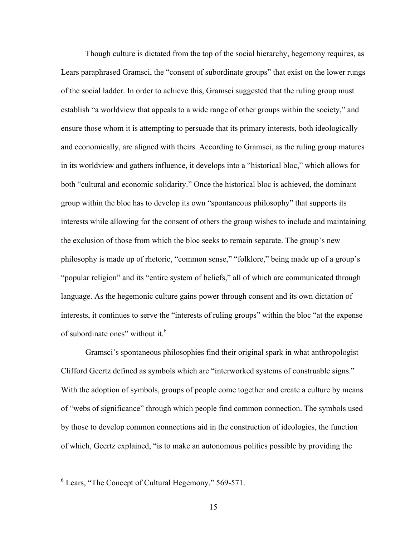Though culture is dictated from the top of the social hierarchy, hegemony requires, as Lears paraphrased Gramsci, the "consent of subordinate groups" that exist on the lower rungs of the social ladder. In order to achieve this, Gramsci suggested that the ruling group must establish "a worldview that appeals to a wide range of other groups within the society," and ensure those whom it is attempting to persuade that its primary interests, both ideologically and economically, are aligned with theirs. According to Gramsci, as the ruling group matures in its worldview and gathers influence, it develops into a "historical bloc," which allows for both "cultural and economic solidarity." Once the historical bloc is achieved, the dominant group within the bloc has to develop its own "spontaneous philosophy" that supports its interests while allowing for the consent of others the group wishes to include and maintaining the exclusion of those from which the bloc seeks to remain separate. The group's new philosophy is made up of rhetoric, "common sense," "folklore," being made up of a group's "popular religion" and its "entire system of beliefs," all of which are communicated through language. As the hegemonic culture gains power through consent and its own dictation of interests, it continues to serve the "interests of ruling groups" within the bloc "at the expense of subordinate ones" without it.<sup>6</sup>

Gramsci's spontaneous philosophies find their original spark in what anthropologist Clifford Geertz defined as symbols which are "interworked systems of construable signs." With the adoption of symbols, groups of people come together and create a culture by means of "webs of significance" through which people find common connection. The symbols used by those to develop common connections aid in the construction of ideologies, the function of which, Geertz explained, "is to make an autonomous politics possible by providing the

 $6$  Lears, "The Concept of Cultural Hegemony," 569-571.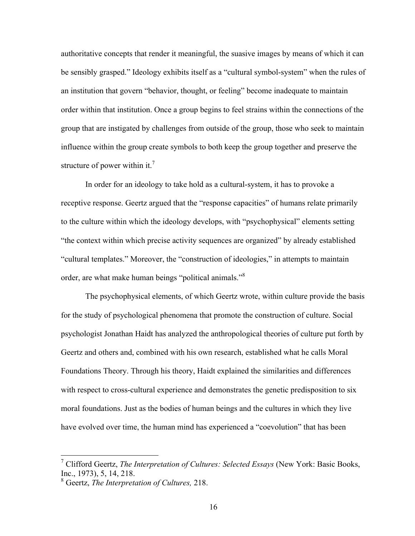authoritative concepts that render it meaningful, the suasive images by means of which it can be sensibly grasped." Ideology exhibits itself as a "cultural symbol-system" when the rules of an institution that govern "behavior, thought, or feeling" become inadequate to maintain order within that institution. Once a group begins to feel strains within the connections of the group that are instigated by challenges from outside of the group, those who seek to maintain influence within the group create symbols to both keep the group together and preserve the structure of power within it.<sup>7</sup>

In order for an ideology to take hold as a cultural-system, it has to provoke a receptive response. Geertz argued that the "response capacities" of humans relate primarily to the culture within which the ideology develops, with "psychophysical" elements setting "the context within which precise activity sequences are organized" by already established "cultural templates." Moreover, the "construction of ideologies," in attempts to maintain order, are what make human beings "political animals."<sup>8</sup>

The psychophysical elements, of which Geertz wrote, within culture provide the basis for the study of psychological phenomena that promote the construction of culture. Social psychologist Jonathan Haidt has analyzed the anthropological theories of culture put forth by Geertz and others and, combined with his own research, established what he calls Moral Foundations Theory. Through his theory, Haidt explained the similarities and differences with respect to cross-cultural experience and demonstrates the genetic predisposition to six moral foundations. Just as the bodies of human beings and the cultures in which they live have evolved over time, the human mind has experienced a "coevolution" that has been

 <sup>7</sup> Clifford Geertz, *The Interpretation of Cultures: Selected Essays* (New York: Basic Books, Inc., 1973), 5, 14, 218.

<sup>8</sup> Geertz, *The Interpretation of Cultures,* 218.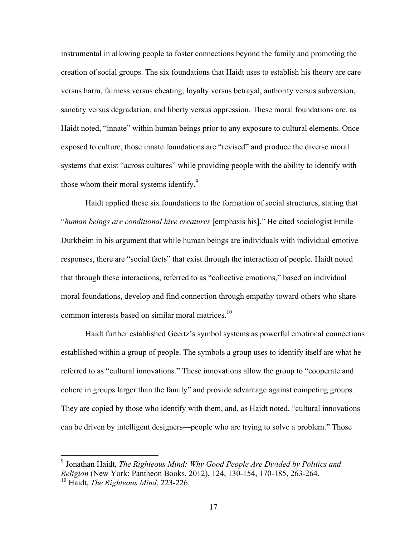instrumental in allowing people to foster connections beyond the family and promoting the creation of social groups. The six foundations that Haidt uses to establish his theory are care versus harm, fairness versus cheating, loyalty versus betrayal, authority versus subversion, sanctity versus degradation, and liberty versus oppression. These moral foundations are, as Haidt noted, "innate" within human beings prior to any exposure to cultural elements. Once exposed to culture, those innate foundations are "revised" and produce the diverse moral systems that exist "across cultures" while providing people with the ability to identify with those whom their moral systems identify.<sup>9</sup>

Haidt applied these six foundations to the formation of social structures, stating that "*human beings are conditional hive creatures* [emphasis his]." He cited sociologist Emile Durkheim in his argument that while human beings are individuals with individual emotive responses, there are "social facts" that exist through the interaction of people. Haidt noted that through these interactions, referred to as "collective emotions," based on individual moral foundations, develop and find connection through empathy toward others who share common interests based on similar moral matrices.<sup>10</sup>

Haidt further established Geertz's symbol systems as powerful emotional connections established within a group of people. The symbols a group uses to identify itself are what he referred to as "cultural innovations." These innovations allow the group to "cooperate and cohere in groups larger than the family" and provide advantage against competing groups. They are copied by those who identify with them, and, as Haidt noted, "cultural innovations can be driven by intelligent designers—people who are trying to solve a problem." Those

 <sup>9</sup> Jonathan Haidt, *The Righteous Mind: Why Good People Are Divided by Politics and Religion* (New York: Pantheon Books, 2012), 124, 130-154, 170-185, 263-264. <sup>10</sup> Haidt, *The Righteous Mind*, 223-226.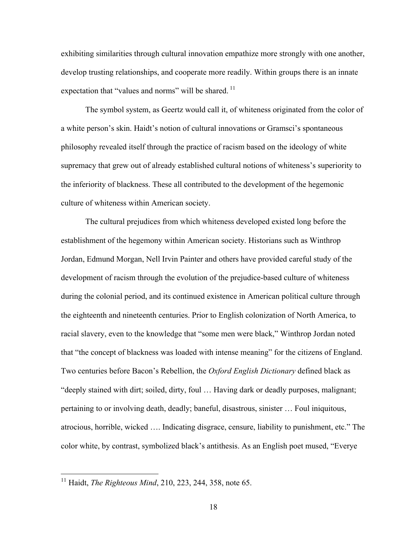exhibiting similarities through cultural innovation empathize more strongly with one another, develop trusting relationships, and cooperate more readily. Within groups there is an innate expectation that "values and norms" will be shared.  $<sup>11</sup>$ </sup>

The symbol system, as Geertz would call it, of whiteness originated from the color of a white person's skin. Haidt's notion of cultural innovations or Gramsci's spontaneous philosophy revealed itself through the practice of racism based on the ideology of white supremacy that grew out of already established cultural notions of whiteness's superiority to the inferiority of blackness. These all contributed to the development of the hegemonic culture of whiteness within American society.

The cultural prejudices from which whiteness developed existed long before the establishment of the hegemony within American society. Historians such as Winthrop Jordan, Edmund Morgan, Nell Irvin Painter and others have provided careful study of the development of racism through the evolution of the prejudice-based culture of whiteness during the colonial period, and its continued existence in American political culture through the eighteenth and nineteenth centuries. Prior to English colonization of North America, to racial slavery, even to the knowledge that "some men were black," Winthrop Jordan noted that "the concept of blackness was loaded with intense meaning" for the citizens of England. Two centuries before Bacon's Rebellion, the *Oxford English Dictionary* defined black as "deeply stained with dirt; soiled, dirty, foul … Having dark or deadly purposes, malignant; pertaining to or involving death, deadly; baneful, disastrous, sinister … Foul iniquitous, atrocious, horrible, wicked …. Indicating disgrace, censure, liability to punishment, etc." The color white, by contrast, symbolized black's antithesis. As an English poet mused, "Everye

<sup>&</sup>lt;sup>11</sup> Haidt, *The Righteous Mind*, 210, 223, 244, 358, note 65.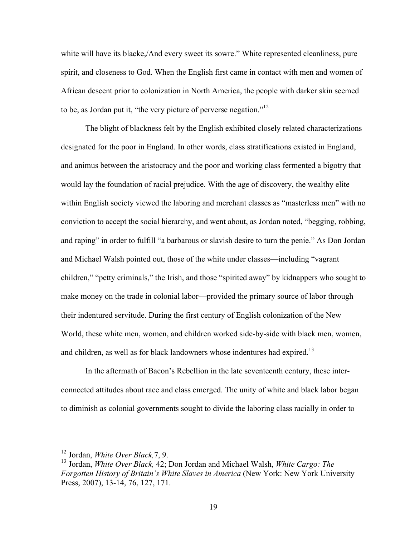white will have its blacke,/And every sweet its sowre." White represented cleanliness, pure spirit, and closeness to God. When the English first came in contact with men and women of African descent prior to colonization in North America, the people with darker skin seemed to be, as Jordan put it, "the very picture of perverse negation."<sup>12</sup>

The blight of blackness felt by the English exhibited closely related characterizations designated for the poor in England. In other words, class stratifications existed in England, and animus between the aristocracy and the poor and working class fermented a bigotry that would lay the foundation of racial prejudice. With the age of discovery, the wealthy elite within English society viewed the laboring and merchant classes as "masterless men" with no conviction to accept the social hierarchy, and went about, as Jordan noted, "begging, robbing, and raping" in order to fulfill "a barbarous or slavish desire to turn the penie." As Don Jordan and Michael Walsh pointed out, those of the white under classes—including "vagrant children," "petty criminals," the Irish, and those "spirited away" by kidnappers who sought to make money on the trade in colonial labor—provided the primary source of labor through their indentured servitude. During the first century of English colonization of the New World, these white men, women, and children worked side-by-side with black men, women, and children, as well as for black landowners whose indentures had expired.<sup>13</sup>

In the aftermath of Bacon's Rebellion in the late seventeenth century, these interconnected attitudes about race and class emerged. The unity of white and black labor began to diminish as colonial governments sought to divide the laboring class racially in order to

 <sup>12</sup> Jordan, *White Over Black,*7, 9.

<sup>13</sup> Jordan, *White Over Black,* 42; Don Jordan and Michael Walsh, *White Cargo: The Forgotten History of Britain's White Slaves in America* (New York: New York University Press, 2007), 13-14, 76, 127, 171.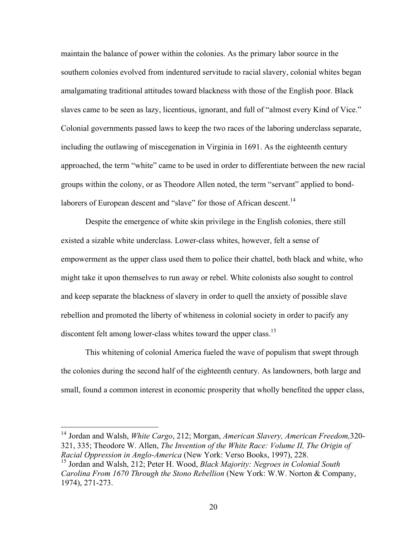maintain the balance of power within the colonies. As the primary labor source in the southern colonies evolved from indentured servitude to racial slavery, colonial whites began amalgamating traditional attitudes toward blackness with those of the English poor. Black slaves came to be seen as lazy, licentious, ignorant, and full of "almost every Kind of Vice." Colonial governments passed laws to keep the two races of the laboring underclass separate, including the outlawing of miscegenation in Virginia in 1691. As the eighteenth century approached, the term "white" came to be used in order to differentiate between the new racial groups within the colony, or as Theodore Allen noted, the term "servant" applied to bondlaborers of European descent and "slave" for those of African descent.<sup>14</sup>

Despite the emergence of white skin privilege in the English colonies, there still existed a sizable white underclass. Lower-class whites, however, felt a sense of empowerment as the upper class used them to police their chattel, both black and white, who might take it upon themselves to run away or rebel. White colonists also sought to control and keep separate the blackness of slavery in order to quell the anxiety of possible slave rebellion and promoted the liberty of whiteness in colonial society in order to pacify any discontent felt among lower-class whites toward the upper class.<sup>15</sup>

This whitening of colonial America fueled the wave of populism that swept through the colonies during the second half of the eighteenth century. As landowners, both large and small, found a common interest in economic prosperity that wholly benefited the upper class,

 <sup>14</sup> Jordan and Walsh, *White Cargo*, 212; Morgan, *American Slavery, American Freedom,*320- 321, 335; Theodore W. Allen, *The Invention of the White Race: Volume II, The Origin of Racial Oppression in Anglo-America* (New York: Verso Books, 1997), 228.

<sup>15</sup> Jordan and Walsh, 212; Peter H. Wood, *Black Majority: Negroes in Colonial South Carolina From 1670 Through the Stono Rebellion* (New York: W.W. Norton & Company, 1974), 271-273.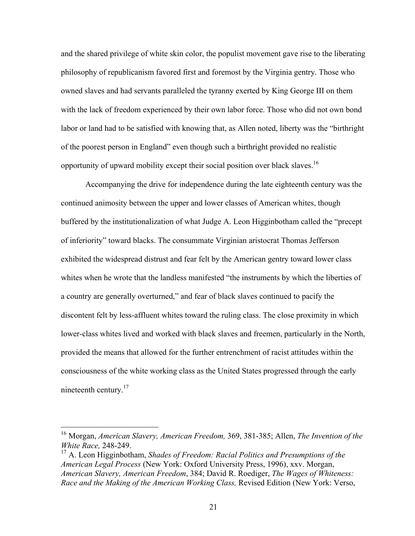and the shared privilege of white skin color, the populist movement gave rise to the liberating philosophy of republicanism favored first and foremost by the Virginia gentry. Those who owned slaves and had servants paralleled the tyranny exerted by King George III on them with the lack of freedom experienced by their own labor force. Those who did not own bond labor or land had to be satisfied with knowing that, as Allen noted, liberty was the "birthright of the poorest person in England" even though such a birthright provided no realistic opportunity of upward mobility except their social position over black slaves.<sup>16</sup>

Accompanying the drive for independence during the late eighteenth century was the continued animosity between the upper and lower classes of American whites, though buffered by the institutionalization of what Judge A. Leon Higginbotham called the "precept of inferiority" toward blacks. The consummate Virginian aristocrat Thomas Jefferson exhibited the widespread distrust and fear felt by the American gentry toward lower class whites when he wrote that the landless manifested "the instruments by which the liberties of a country are generally overturned," and fear of black slaves continued to pacify the discontent felt by less-affluent whites toward the ruling class. The close proximity in which lower-class whites lived and worked with black slaves and freemen, particularly in the North, provided the means that allowed for the further entrenchment of racist attitudes within the consciousness of the white working class as the United States progressed through the early nineteenth century.<sup>17</sup>

 <sup>16</sup> Morgan, *American Slavery, American Freedom,* 369, 381-385; Allen, *The Invention of the White Race,* 248-249.

<sup>17</sup> A. Leon Higginbotham, *Shades of Freedom: Racial Politics and Presumptions of the American Legal Process* (New York: Oxford University Press, 1996), xxv. Morgan, *American Slavery, American Freedom*, 384; David R. Roediger, *The Wages of Whiteness: Race and the Making of the American Working Class,* Revised Edition (New York: Verso,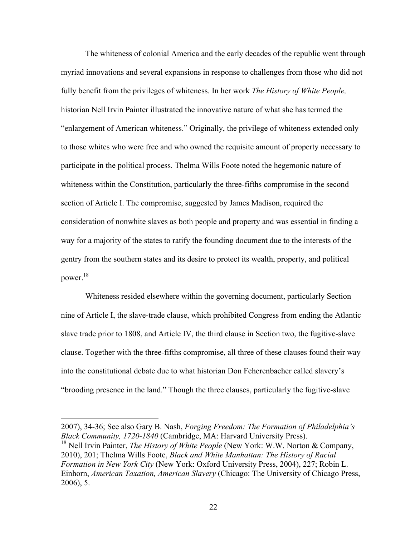The whiteness of colonial America and the early decades of the republic went through myriad innovations and several expansions in response to challenges from those who did not fully benefit from the privileges of whiteness. In her work *The History of White People,* historian Nell Irvin Painter illustrated the innovative nature of what she has termed the "enlargement of American whiteness." Originally, the privilege of whiteness extended only to those whites who were free and who owned the requisite amount of property necessary to participate in the political process. Thelma Wills Foote noted the hegemonic nature of whiteness within the Constitution, particularly the three-fifths compromise in the second section of Article I. The compromise, suggested by James Madison, required the consideration of nonwhite slaves as both people and property and was essential in finding a way for a majority of the states to ratify the founding document due to the interests of the gentry from the southern states and its desire to protect its wealth, property, and political power.18

Whiteness resided elsewhere within the governing document, particularly Section nine of Article I, the slave-trade clause, which prohibited Congress from ending the Atlantic slave trade prior to 1808, and Article IV, the third clause in Section two, the fugitive-slave clause. Together with the three-fifths compromise, all three of these clauses found their way into the constitutional debate due to what historian Don Feherenbacher called slavery's "brooding presence in the land." Though the three clauses, particularly the fugitive-slave

 

<sup>2007), 34-36;</sup> See also Gary B. Nash, *Forging Freedom: The Formation of Philadelphia's Black Community, 1720-1840* (Cambridge, MA: Harvard University Press). <sup>18</sup> Nell Irvin Painter, *The History of White People* (New York: W.W. Norton & Company, 2010), 201; Thelma Wills Foote, *Black and White Manhattan: The History of Racial Formation in New York City* (New York: Oxford University Press, 2004), 227; Robin L.

Einhorn, *American Taxation, American Slavery* (Chicago: The University of Chicago Press, 2006), 5.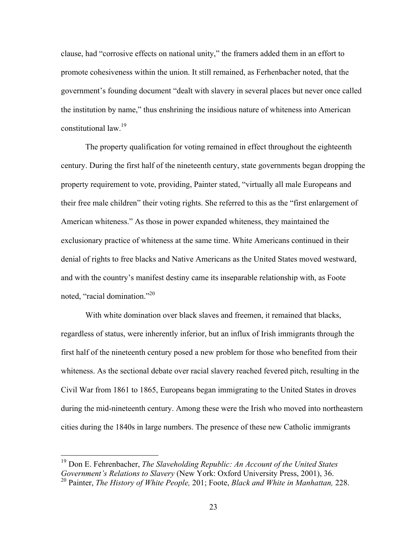clause, had "corrosive effects on national unity," the framers added them in an effort to promote cohesiveness within the union. It still remained, as Ferhenbacher noted, that the government's founding document "dealt with slavery in several places but never once called the institution by name," thus enshrining the insidious nature of whiteness into American constitutional law<sup>19</sup>

The property qualification for voting remained in effect throughout the eighteenth century. During the first half of the nineteenth century, state governments began dropping the property requirement to vote, providing, Painter stated, "virtually all male Europeans and their free male children" their voting rights. She referred to this as the "first enlargement of American whiteness." As those in power expanded whiteness, they maintained the exclusionary practice of whiteness at the same time. White Americans continued in their denial of rights to free blacks and Native Americans as the United States moved westward, and with the country's manifest destiny came its inseparable relationship with, as Foote noted, "racial domination."<sup>20</sup>

With white domination over black slaves and freemen, it remained that blacks, regardless of status, were inherently inferior, but an influx of Irish immigrants through the first half of the nineteenth century posed a new problem for those who benefited from their whiteness. As the sectional debate over racial slavery reached fevered pitch, resulting in the Civil War from 1861 to 1865, Europeans began immigrating to the United States in droves during the mid-nineteenth century. Among these were the Irish who moved into northeastern cities during the 1840s in large numbers. The presence of these new Catholic immigrants

 <sup>19</sup> Don E. Fehrenbacher, *The Slaveholding Republic: An Account of the United States Government's Relations to Slavery* (New York: Oxford University Press, 2001), 36. <sup>20</sup> Painter, *The History of White People,* 201; Foote, *Black and White in Manhattan,* 228.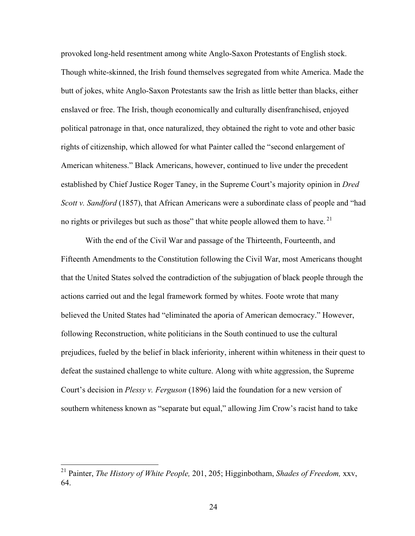provoked long-held resentment among white Anglo-Saxon Protestants of English stock. Though white-skinned, the Irish found themselves segregated from white America. Made the butt of jokes, white Anglo-Saxon Protestants saw the Irish as little better than blacks, either enslaved or free. The Irish, though economically and culturally disenfranchised, enjoyed political patronage in that, once naturalized, they obtained the right to vote and other basic rights of citizenship, which allowed for what Painter called the "second enlargement of American whiteness." Black Americans, however, continued to live under the precedent established by Chief Justice Roger Taney, in the Supreme Court's majority opinion in *Dred Scott v. Sandford* (1857), that African Americans were a subordinate class of people and "had no rights or privileges but such as those" that white people allowed them to have.<sup>21</sup>

With the end of the Civil War and passage of the Thirteenth, Fourteenth, and Fifteenth Amendments to the Constitution following the Civil War, most Americans thought that the United States solved the contradiction of the subjugation of black people through the actions carried out and the legal framework formed by whites. Foote wrote that many believed the United States had "eliminated the aporia of American democracy." However, following Reconstruction, white politicians in the South continued to use the cultural prejudices, fueled by the belief in black inferiority, inherent within whiteness in their quest to defeat the sustained challenge to white culture. Along with white aggression, the Supreme Court's decision in *Plessy v. Ferguson* (1896) laid the foundation for a new version of southern whiteness known as "separate but equal," allowing Jim Crow's racist hand to take

 <sup>21</sup> Painter, *The History of White People,* 201, 205; Higginbotham, *Shades of Freedom,* xxv, 64.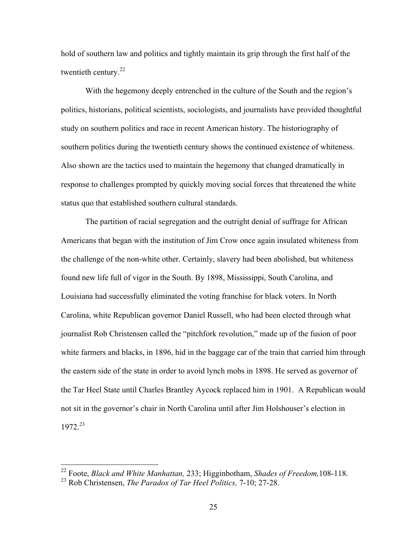hold of southern law and politics and tightly maintain its grip through the first half of the twentieth century.<sup>22</sup>

With the hegemony deeply entrenched in the culture of the South and the region's politics, historians, political scientists, sociologists, and journalists have provided thoughtful study on southern politics and race in recent American history. The historiography of southern politics during the twentieth century shows the continued existence of whiteness. Also shown are the tactics used to maintain the hegemony that changed dramatically in response to challenges prompted by quickly moving social forces that threatened the white status quo that established southern cultural standards.

The partition of racial segregation and the outright denial of suffrage for African Americans that began with the institution of Jim Crow once again insulated whiteness from the challenge of the non-white other. Certainly, slavery had been abolished, but whiteness found new life full of vigor in the South. By 1898, Mississippi, South Carolina, and Louisiana had successfully eliminated the voting franchise for black voters. In North Carolina, white Republican governor Daniel Russell, who had been elected through what journalist Rob Christensen called the "pitchfork revolution," made up of the fusion of poor white farmers and blacks, in 1896, hid in the baggage car of the train that carried him through the eastern side of the state in order to avoid lynch mobs in 1898. He served as governor of the Tar Heel State until Charles Brantley Aycock replaced him in 1901. A Republican would not sit in the governor's chair in North Carolina until after Jim Holshouser's election in 1972.<sup>23</sup>

 <sup>22</sup> Foote, *Black and White Manhattan,* 233; Higginbotham, *Shades of Freedom,*108-118.

<sup>23</sup> Rob Christensen, *The Paradox of Tar Heel Politics,* 7-10; 27-28.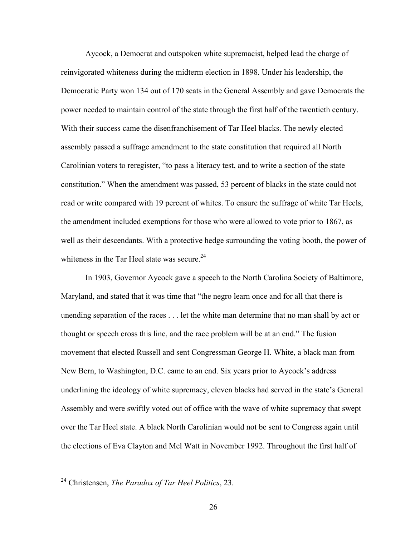Aycock, a Democrat and outspoken white supremacist, helped lead the charge of reinvigorated whiteness during the midterm election in 1898. Under his leadership, the Democratic Party won 134 out of 170 seats in the General Assembly and gave Democrats the power needed to maintain control of the state through the first half of the twentieth century. With their success came the disenfranchisement of Tar Heel blacks. The newly elected assembly passed a suffrage amendment to the state constitution that required all North Carolinian voters to reregister, "to pass a literacy test, and to write a section of the state constitution." When the amendment was passed, 53 percent of blacks in the state could not read or write compared with 19 percent of whites. To ensure the suffrage of white Tar Heels, the amendment included exemptions for those who were allowed to vote prior to 1867, as well as their descendants. With a protective hedge surrounding the voting booth, the power of whiteness in the Tar Heel state was secure.<sup>24</sup>

In 1903, Governor Aycock gave a speech to the North Carolina Society of Baltimore, Maryland, and stated that it was time that "the negro learn once and for all that there is unending separation of the races . . . let the white man determine that no man shall by act or thought or speech cross this line, and the race problem will be at an end." The fusion movement that elected Russell and sent Congressman George H. White, a black man from New Bern, to Washington, D.C. came to an end. Six years prior to Aycock's address underlining the ideology of white supremacy, eleven blacks had served in the state's General Assembly and were swiftly voted out of office with the wave of white supremacy that swept over the Tar Heel state. A black North Carolinian would not be sent to Congress again until the elections of Eva Clayton and Mel Watt in November 1992. Throughout the first half of

 <sup>24</sup> Christensen, *The Paradox of Tar Heel Politics*, 23.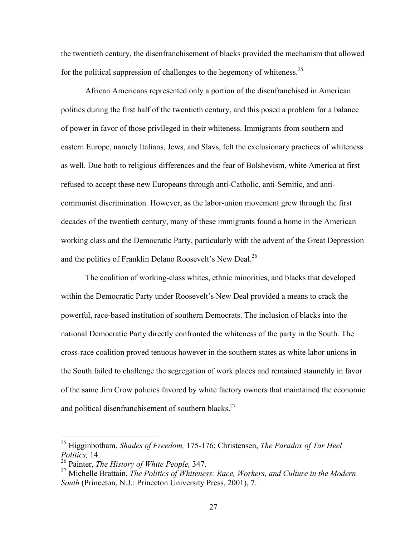the twentieth century, the disenfranchisement of blacks provided the mechanism that allowed for the political suppression of challenges to the hegemony of whiteness.<sup>25</sup>

African Americans represented only a portion of the disenfranchised in American politics during the first half of the twentieth century, and this posed a problem for a balance of power in favor of those privileged in their whiteness. Immigrants from southern and eastern Europe, namely Italians, Jews, and Slavs, felt the exclusionary practices of whiteness as well. Due both to religious differences and the fear of Bolshevism, white America at first refused to accept these new Europeans through anti-Catholic, anti-Semitic, and anticommunist discrimination. However, as the labor-union movement grew through the first decades of the twentieth century, many of these immigrants found a home in the American working class and the Democratic Party, particularly with the advent of the Great Depression and the politics of Franklin Delano Roosevelt's New Deal.<sup>26</sup>

The coalition of working-class whites, ethnic minorities, and blacks that developed within the Democratic Party under Roosevelt's New Deal provided a means to crack the powerful, race-based institution of southern Democrats. The inclusion of blacks into the national Democratic Party directly confronted the whiteness of the party in the South. The cross-race coalition proved tenuous however in the southern states as white labor unions in the South failed to challenge the segregation of work places and remained staunchly in favor of the same Jim Crow policies favored by white factory owners that maintained the economic and political disenfranchisement of southern blacks. $27$ 

 <sup>25</sup> Higginbotham, *Shades of Freedom,* 175-176; Christensen, *The Paradox of Tar Heel Politics,* 14.

<sup>26</sup> Painter, *The History of White People,* 347.

<sup>27</sup> Michelle Brattain, *The Politics of Whiteness: Race, Workers, and Culture in the Modern South* (Princeton, N.J.: Princeton University Press, 2001), 7.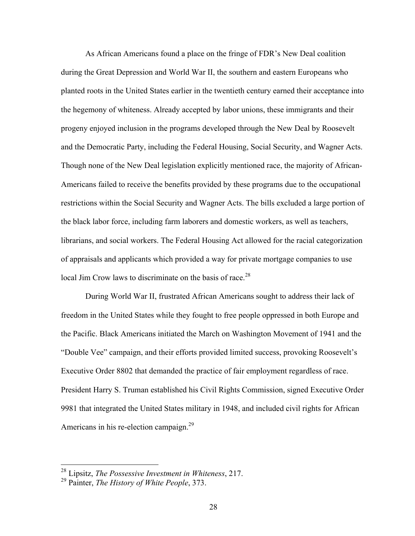As African Americans found a place on the fringe of FDR's New Deal coalition during the Great Depression and World War II, the southern and eastern Europeans who planted roots in the United States earlier in the twentieth century earned their acceptance into the hegemony of whiteness. Already accepted by labor unions, these immigrants and their progeny enjoyed inclusion in the programs developed through the New Deal by Roosevelt and the Democratic Party, including the Federal Housing, Social Security, and Wagner Acts. Though none of the New Deal legislation explicitly mentioned race, the majority of African-Americans failed to receive the benefits provided by these programs due to the occupational restrictions within the Social Security and Wagner Acts. The bills excluded a large portion of the black labor force, including farm laborers and domestic workers, as well as teachers, librarians, and social workers. The Federal Housing Act allowed for the racial categorization of appraisals and applicants which provided a way for private mortgage companies to use local Jim Crow laws to discriminate on the basis of race.<sup>28</sup>

During World War II, frustrated African Americans sought to address their lack of freedom in the United States while they fought to free people oppressed in both Europe and the Pacific. Black Americans initiated the March on Washington Movement of 1941 and the "Double Vee" campaign, and their efforts provided limited success, provoking Roosevelt's Executive Order 8802 that demanded the practice of fair employment regardless of race. President Harry S. Truman established his Civil Rights Commission, signed Executive Order 9981 that integrated the United States military in 1948, and included civil rights for African Americans in his re-election campaign.<sup>29</sup>

 <sup>28</sup> Lipsitz, *The Possessive Investment in Whiteness*, 217.

<sup>29</sup> Painter, *The History of White People*, 373.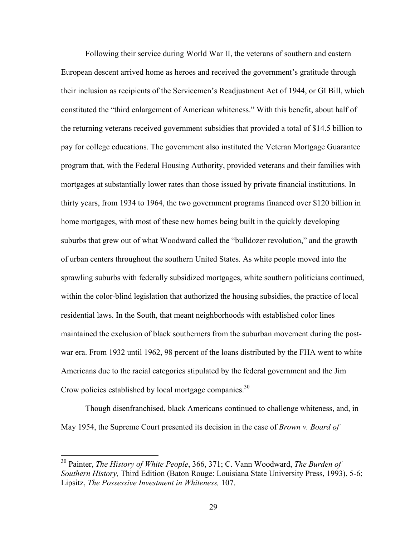Following their service during World War II, the veterans of southern and eastern European descent arrived home as heroes and received the government's gratitude through their inclusion as recipients of the Servicemen's Readjustment Act of 1944, or GI Bill, which constituted the "third enlargement of American whiteness." With this benefit, about half of the returning veterans received government subsidies that provided a total of \$14.5 billion to pay for college educations. The government also instituted the Veteran Mortgage Guarantee program that, with the Federal Housing Authority, provided veterans and their families with mortgages at substantially lower rates than those issued by private financial institutions. In thirty years, from 1934 to 1964, the two government programs financed over \$120 billion in home mortgages, with most of these new homes being built in the quickly developing suburbs that grew out of what Woodward called the "bulldozer revolution," and the growth of urban centers throughout the southern United States. As white people moved into the sprawling suburbs with federally subsidized mortgages, white southern politicians continued, within the color-blind legislation that authorized the housing subsidies, the practice of local residential laws. In the South, that meant neighborhoods with established color lines maintained the exclusion of black southerners from the suburban movement during the postwar era. From 1932 until 1962, 98 percent of the loans distributed by the FHA went to white Americans due to the racial categories stipulated by the federal government and the Jim Crow policies established by local mortgage companies.<sup>30</sup>

Though disenfranchised, black Americans continued to challenge whiteness, and, in May 1954, the Supreme Court presented its decision in the case of *Brown v. Board of*

 <sup>30</sup> Painter, *The History of White People*, 366, 371; C. Vann Woodward, *The Burden of Southern History,* Third Edition (Baton Rouge: Louisiana State University Press, 1993), 5-6; Lipsitz, *The Possessive Investment in Whiteness,* 107.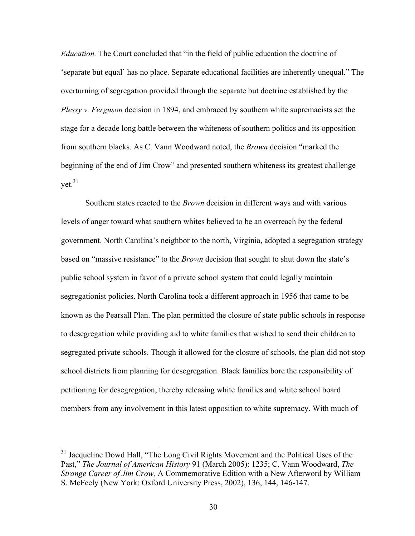*Education.* The Court concluded that "in the field of public education the doctrine of 'separate but equal' has no place. Separate educational facilities are inherently unequal." The overturning of segregation provided through the separate but doctrine established by the *Plessy v. Ferguson* decision in 1894, and embraced by southern white supremacists set the stage for a decade long battle between the whiteness of southern politics and its opposition from southern blacks. As C. Vann Woodward noted, the *Brown* decision "marked the beginning of the end of Jim Crow" and presented southern whiteness its greatest challenge  $vet<sup>31</sup>$ 

Southern states reacted to the *Brown* decision in different ways and with various levels of anger toward what southern whites believed to be an overreach by the federal government. North Carolina's neighbor to the north, Virginia, adopted a segregation strategy based on "massive resistance" to the *Brown* decision that sought to shut down the state's public school system in favor of a private school system that could legally maintain segregationist policies. North Carolina took a different approach in 1956 that came to be known as the Pearsall Plan. The plan permitted the closure of state public schools in response to desegregation while providing aid to white families that wished to send their children to segregated private schools. Though it allowed for the closure of schools, the plan did not stop school districts from planning for desegregation. Black families bore the responsibility of petitioning for desegregation, thereby releasing white families and white school board members from any involvement in this latest opposition to white supremacy. With much of

<sup>&</sup>lt;sup>31</sup> Jacqueline Dowd Hall, "The Long Civil Rights Movement and the Political Uses of the Past," *The Journal of American History* 91 (March 2005): 1235; C. Vann Woodward, *The Strange Career of Jim Crow,* A Commemorative Edition with a New Afterword by William S. McFeely (New York: Oxford University Press, 2002), 136, 144, 146-147.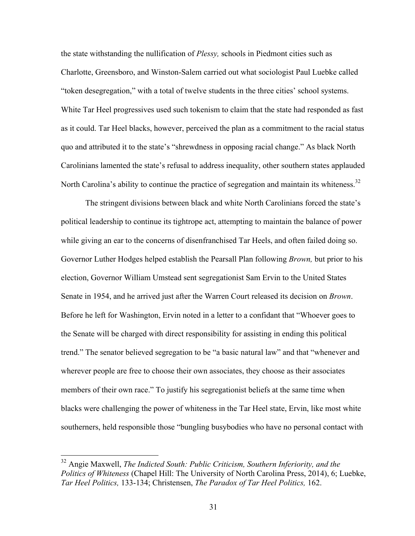the state withstanding the nullification of *Plessy,* schools in Piedmont cities such as Charlotte, Greensboro, and Winston-Salem carried out what sociologist Paul Luebke called "token desegregation," with a total of twelve students in the three cities' school systems. White Tar Heel progressives used such tokenism to claim that the state had responded as fast as it could. Tar Heel blacks, however, perceived the plan as a commitment to the racial status quo and attributed it to the state's "shrewdness in opposing racial change." As black North Carolinians lamented the state's refusal to address inequality, other southern states applauded North Carolina's ability to continue the practice of segregation and maintain its whiteness.<sup>32</sup>

The stringent divisions between black and white North Carolinians forced the state's political leadership to continue its tightrope act, attempting to maintain the balance of power while giving an ear to the concerns of disenfranchised Tar Heels, and often failed doing so. Governor Luther Hodges helped establish the Pearsall Plan following *Brown,* but prior to his election, Governor William Umstead sent segregationist Sam Ervin to the United States Senate in 1954, and he arrived just after the Warren Court released its decision on *Brown*. Before he left for Washington, Ervin noted in a letter to a confidant that "Whoever goes to the Senate will be charged with direct responsibility for assisting in ending this political trend." The senator believed segregation to be "a basic natural law" and that "whenever and wherever people are free to choose their own associates, they choose as their associates members of their own race." To justify his segregationist beliefs at the same time when blacks were challenging the power of whiteness in the Tar Heel state, Ervin, like most white southerners, held responsible those "bungling busybodies who have no personal contact with

 <sup>32</sup> Angie Maxwell, *The Indicted South: Public Criticism, Southern Inferiority, and the Politics of Whiteness* (Chapel Hill: The University of North Carolina Press, 2014), 6; Luebke, *Tar Heel Politics,* 133-134; Christensen, *The Paradox of Tar Heel Politics,* 162.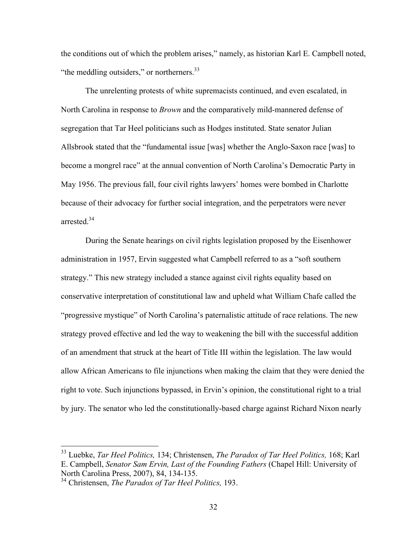the conditions out of which the problem arises," namely, as historian Karl E. Campbell noted, "the meddling outsiders," or northerners.<sup>33</sup>

The unrelenting protests of white supremacists continued, and even escalated, in North Carolina in response to *Brown* and the comparatively mild-mannered defense of segregation that Tar Heel politicians such as Hodges instituted. State senator Julian Allsbrook stated that the "fundamental issue [was] whether the Anglo-Saxon race [was] to become a mongrel race" at the annual convention of North Carolina's Democratic Party in May 1956. The previous fall, four civil rights lawyers' homes were bombed in Charlotte because of their advocacy for further social integration, and the perpetrators were never arrested<sup>34</sup>

During the Senate hearings on civil rights legislation proposed by the Eisenhower administration in 1957, Ervin suggested what Campbell referred to as a "soft southern strategy." This new strategy included a stance against civil rights equality based on conservative interpretation of constitutional law and upheld what William Chafe called the "progressive mystique" of North Carolina's paternalistic attitude of race relations. The new strategy proved effective and led the way to weakening the bill with the successful addition of an amendment that struck at the heart of Title III within the legislation. The law would allow African Americans to file injunctions when making the claim that they were denied the right to vote. Such injunctions bypassed, in Ervin's opinion, the constitutional right to a trial by jury. The senator who led the constitutionally-based charge against Richard Nixon nearly

 <sup>33</sup> Luebke, *Tar Heel Politics,* 134; Christensen, *The Paradox of Tar Heel Politics,* 168; Karl E. Campbell, *Senator Sam Ervin, Last of the Founding Fathers* (Chapel Hill: University of North Carolina Press, 2007), 84, 134-135.

<sup>34</sup> Christensen, *The Paradox of Tar Heel Politics,* 193.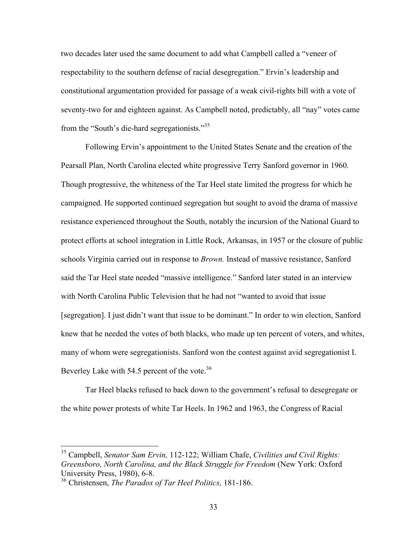two decades later used the same document to add what Campbell called a "veneer of respectability to the southern defense of racial desegregation." Ervin's leadership and constitutional argumentation provided for passage of a weak civil-rights bill with a vote of seventy-two for and eighteen against. As Campbell noted, predictably, all "nay" votes came from the "South's die-hard segregationists."<sup>35</sup>

Following Ervin's appointment to the United States Senate and the creation of the Pearsall Plan, North Carolina elected white progressive Terry Sanford governor in 1960. Though progressive, the whiteness of the Tar Heel state limited the progress for which he campaigned. He supported continued segregation but sought to avoid the drama of massive resistance experienced throughout the South, notably the incursion of the National Guard to protect efforts at school integration in Little Rock, Arkansas, in 1957 or the closure of public schools Virginia carried out in response to *Brown.* Instead of massive resistance, Sanford said the Tar Heel state needed "massive intelligence." Sanford later stated in an interview with North Carolina Public Television that he had not "wanted to avoid that issue [segregation]. I just didn't want that issue to be dominant." In order to win election, Sanford knew that he needed the votes of both blacks, who made up ten percent of voters, and whites, many of whom were segregationists. Sanford won the contest against avid segregationist I. Beverley Lake with 54.5 percent of the vote.<sup>36</sup>

Tar Heel blacks refused to back down to the government's refusal to desegregate or the white power protests of white Tar Heels. In 1962 and 1963, the Congress of Racial

 <sup>35</sup> Campbell, *Senator Sam Ervin,* 112-122; William Chafe, *Civilities and Civil Rights: Greensboro, North Carolina, and the Black Struggle for Freedom* (New York: Oxford University Press, 1980), 6-8.

<sup>36</sup> Christensen, *The Paradox of Tar Heel Politics,* 181-186.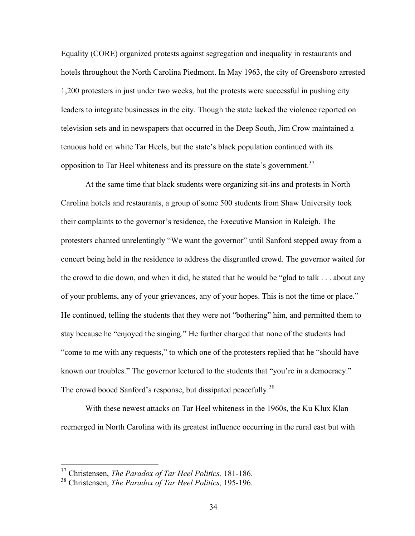Equality (CORE) organized protests against segregation and inequality in restaurants and hotels throughout the North Carolina Piedmont. In May 1963, the city of Greensboro arrested 1,200 protesters in just under two weeks, but the protests were successful in pushing city leaders to integrate businesses in the city. Though the state lacked the violence reported on television sets and in newspapers that occurred in the Deep South, Jim Crow maintained a tenuous hold on white Tar Heels, but the state's black population continued with its opposition to Tar Heel whiteness and its pressure on the state's government.<sup>37</sup>

At the same time that black students were organizing sit-ins and protests in North Carolina hotels and restaurants, a group of some 500 students from Shaw University took their complaints to the governor's residence, the Executive Mansion in Raleigh. The protesters chanted unrelentingly "We want the governor" until Sanford stepped away from a concert being held in the residence to address the disgruntled crowd. The governor waited for the crowd to die down, and when it did, he stated that he would be "glad to talk . . . about any of your problems, any of your grievances, any of your hopes. This is not the time or place." He continued, telling the students that they were not "bothering" him, and permitted them to stay because he "enjoyed the singing." He further charged that none of the students had "come to me with any requests," to which one of the protesters replied that he "should have known our troubles." The governor lectured to the students that "you're in a democracy." The crowd booed Sanford's response, but dissipated peacefully.<sup>38</sup>

With these newest attacks on Tar Heel whiteness in the 1960s, the Ku Klux Klan reemerged in North Carolina with its greatest influence occurring in the rural east but with

 <sup>37</sup> Christensen, *The Paradox of Tar Heel Politics,* 181-186.

<sup>38</sup> Christensen, *The Paradox of Tar Heel Politics,* 195-196.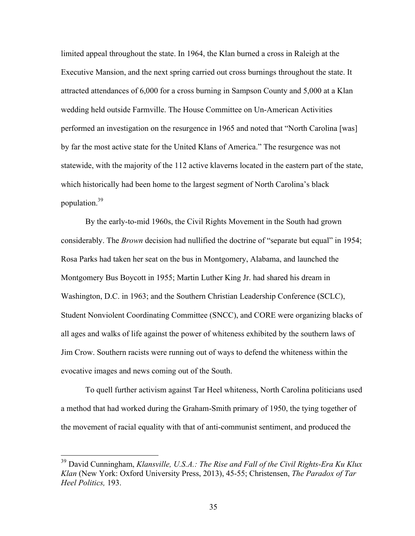limited appeal throughout the state. In 1964, the Klan burned a cross in Raleigh at the Executive Mansion, and the next spring carried out cross burnings throughout the state. It attracted attendances of 6,000 for a cross burning in Sampson County and 5,000 at a Klan wedding held outside Farmville. The House Committee on Un-American Activities performed an investigation on the resurgence in 1965 and noted that "North Carolina [was] by far the most active state for the United Klans of America." The resurgence was not statewide, with the majority of the 112 active klaverns located in the eastern part of the state, which historically had been home to the largest segment of North Carolina's black population.39

By the early-to-mid 1960s, the Civil Rights Movement in the South had grown considerably. The *Brown* decision had nullified the doctrine of "separate but equal" in 1954; Rosa Parks had taken her seat on the bus in Montgomery, Alabama, and launched the Montgomery Bus Boycott in 1955; Martin Luther King Jr. had shared his dream in Washington, D.C. in 1963; and the Southern Christian Leadership Conference (SCLC), Student Nonviolent Coordinating Committee (SNCC), and CORE were organizing blacks of all ages and walks of life against the power of whiteness exhibited by the southern laws of Jim Crow. Southern racists were running out of ways to defend the whiteness within the evocative images and news coming out of the South.

To quell further activism against Tar Heel whiteness, North Carolina politicians used a method that had worked during the Graham-Smith primary of 1950, the tying together of the movement of racial equality with that of anti-communist sentiment, and produced the

 <sup>39</sup> David Cunningham, *Klansville, U.S.A.: The Rise and Fall of the Civil Rights-Era Ku Klux Klan* (New York: Oxford University Press, 2013), 45-55; Christensen, *The Paradox of Tar Heel Politics,* 193.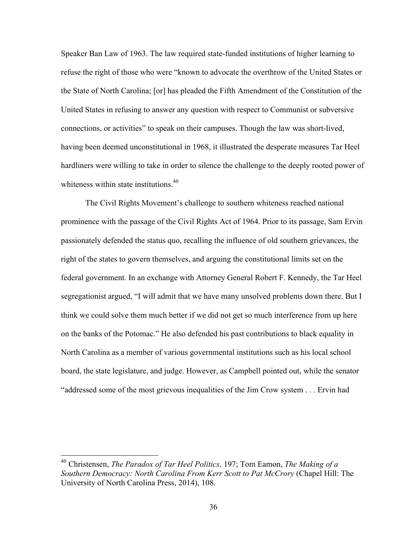Speaker Ban Law of 1963. The law required state-funded institutions of higher learning to refuse the right of those who were "known to advocate the overthrow of the United States or the State of North Carolina; [or] has pleaded the Fifth Amendment of the Constitution of the United States in refusing to answer any question with respect to Communist or subversive connections, or activities" to speak on their campuses. Though the law was short-lived, having been deemed unconstitutional in 1968, it illustrated the desperate measures Tar Heel hardliners were willing to take in order to silence the challenge to the deeply rooted power of whiteness within state institutions.<sup>40</sup>

The Civil Rights Movement's challenge to southern whiteness reached national prominence with the passage of the Civil Rights Act of 1964. Prior to its passage, Sam Ervin passionately defended the status quo, recalling the influence of old southern grievances, the right of the states to govern themselves, and arguing the constitutional limits set on the federal government. In an exchange with Attorney General Robert F. Kennedy, the Tar Heel segregationist argued, "I will admit that we have many unsolved problems down there. But I think we could solve them much better if we did not get so much interference from up here on the banks of the Potomac." He also defended his past contributions to black equality in North Carolina as a member of various governmental institutions such as his local school board, the state legislature, and judge. However, as Campbell pointed out, while the senator "addressed some of the most grievous inequalities of the Jim Crow system . . . Ervin had

 <sup>40</sup> Christensen, *The Paradox of Tar Heel Politics,* 197; Tom Eamon, *The Making of a Southern Democracy: North Carolina From Kerr Scott to Pat McCrory* (Chapel Hill: The University of North Carolina Press, 2014), 108.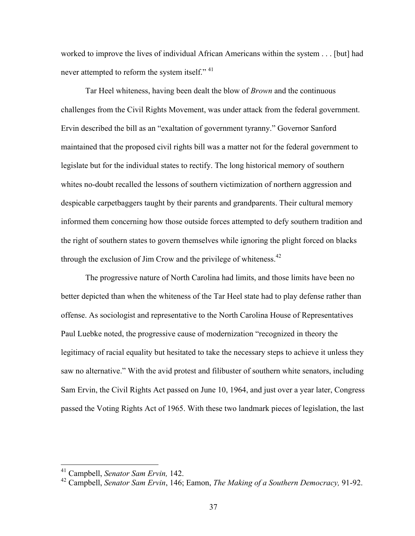worked to improve the lives of individual African Americans within the system . . . [but] had never attempted to reform the system itself."<sup>41</sup>

Tar Heel whiteness, having been dealt the blow of *Brown* and the continuous challenges from the Civil Rights Movement, was under attack from the federal government. Ervin described the bill as an "exaltation of government tyranny." Governor Sanford maintained that the proposed civil rights bill was a matter not for the federal government to legislate but for the individual states to rectify. The long historical memory of southern whites no-doubt recalled the lessons of southern victimization of northern aggression and despicable carpetbaggers taught by their parents and grandparents. Their cultural memory informed them concerning how those outside forces attempted to defy southern tradition and the right of southern states to govern themselves while ignoring the plight forced on blacks through the exclusion of Jim Crow and the privilege of whiteness. $42$ 

The progressive nature of North Carolina had limits, and those limits have been no better depicted than when the whiteness of the Tar Heel state had to play defense rather than offense. As sociologist and representative to the North Carolina House of Representatives Paul Luebke noted, the progressive cause of modernization "recognized in theory the legitimacy of racial equality but hesitated to take the necessary steps to achieve it unless they saw no alternative." With the avid protest and filibuster of southern white senators, including Sam Ervin, the Civil Rights Act passed on June 10, 1964, and just over a year later, Congress passed the Voting Rights Act of 1965. With these two landmark pieces of legislation, the last

 <sup>41</sup> Campbell, *Senator Sam Ervin,* 142.

<sup>42</sup> Campbell, *Senator Sam Ervin*, 146; Eamon, *The Making of a Southern Democracy,* 91-92.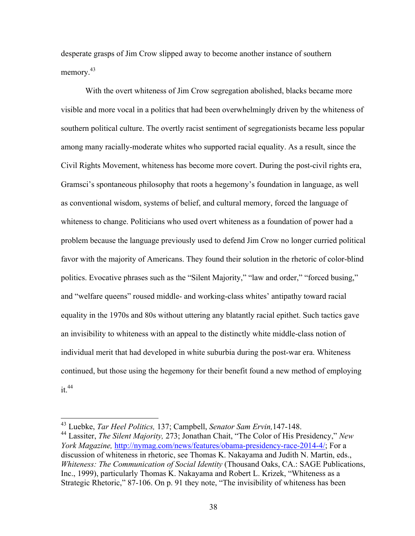desperate grasps of Jim Crow slipped away to become another instance of southern memory.<sup>43</sup>

With the overt whiteness of Jim Crow segregation abolished, blacks became more visible and more vocal in a politics that had been overwhelmingly driven by the whiteness of southern political culture. The overtly racist sentiment of segregationists became less popular among many racially-moderate whites who supported racial equality. As a result, since the Civil Rights Movement, whiteness has become more covert. During the post-civil rights era, Gramsci's spontaneous philosophy that roots a hegemony's foundation in language, as well as conventional wisdom, systems of belief, and cultural memory, forced the language of whiteness to change. Politicians who used overt whiteness as a foundation of power had a problem because the language previously used to defend Jim Crow no longer curried political favor with the majority of Americans. They found their solution in the rhetoric of color-blind politics. Evocative phrases such as the "Silent Majority," "law and order," "forced busing," and "welfare queens" roused middle- and working-class whites' antipathy toward racial equality in the 1970s and 80s without uttering any blatantly racial epithet. Such tactics gave an invisibility to whiteness with an appeal to the distinctly white middle-class notion of individual merit that had developed in white suburbia during the post-war era. Whiteness continued, but those using the hegemony for their benefit found a new method of employing  $it<sup>44</sup>$ 

 <sup>43</sup> Luebke, *Tar Heel Politics,* 137; Campbell, *Senator Sam Ervin,*147-148.

<sup>44</sup> Lassiter, *The Silent Majority,* 273; Jonathan Chait, "The Color of His Presidency," *New York Magazine,* http://nymag.com/news/features/obama-presidency-race-2014-4/; For a discussion of whiteness in rhetoric, see Thomas K. Nakayama and Judith N. Martin, eds., *Whiteness: The Communication of Social Identity* (Thousand Oaks, CA.: SAGE Publications, Inc., 1999), particularly Thomas K. Nakayama and Robert L. Krizek, "Whiteness as a Strategic Rhetoric," 87-106. On p. 91 they note, "The invisibility of whiteness has been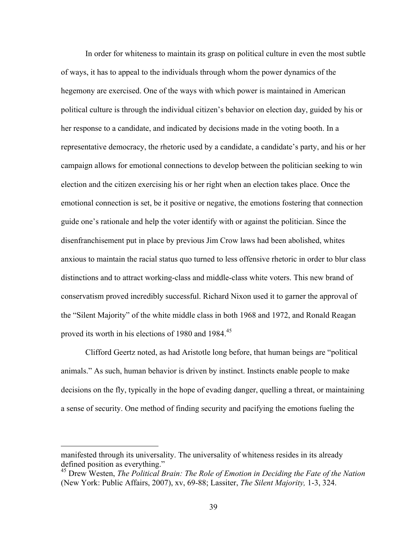In order for whiteness to maintain its grasp on political culture in even the most subtle of ways, it has to appeal to the individuals through whom the power dynamics of the hegemony are exercised. One of the ways with which power is maintained in American political culture is through the individual citizen's behavior on election day, guided by his or her response to a candidate, and indicated by decisions made in the voting booth. In a representative democracy, the rhetoric used by a candidate, a candidate's party, and his or her campaign allows for emotional connections to develop between the politician seeking to win election and the citizen exercising his or her right when an election takes place. Once the emotional connection is set, be it positive or negative, the emotions fostering that connection guide one's rationale and help the voter identify with or against the politician. Since the disenfranchisement put in place by previous Jim Crow laws had been abolished, whites anxious to maintain the racial status quo turned to less offensive rhetoric in order to blur class distinctions and to attract working-class and middle-class white voters. This new brand of conservatism proved incredibly successful. Richard Nixon used it to garner the approval of the "Silent Majority" of the white middle class in both 1968 and 1972, and Ronald Reagan proved its worth in his elections of 1980 and 1984.<sup>45</sup>

Clifford Geertz noted, as had Aristotle long before, that human beings are "political animals." As such, human behavior is driven by instinct. Instincts enable people to make decisions on the fly, typically in the hope of evading danger, quelling a threat, or maintaining a sense of security. One method of finding security and pacifying the emotions fueling the

manifested through its universality. The universality of whiteness resides in its already defined position as everything."

<sup>45</sup> Drew Westen, *The Political Brain: The Role of Emotion in Deciding the Fate of the Nation*  (New York: Public Affairs, 2007), xv, 69-88; Lassiter, *The Silent Majority,* 1-3, 324.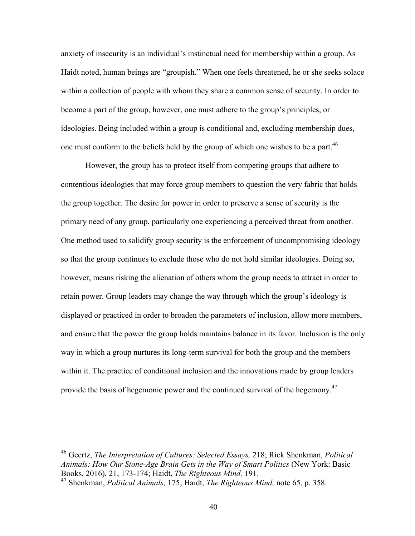anxiety of insecurity is an individual's instinctual need for membership within a group. As Haidt noted, human beings are "groupish." When one feels threatened, he or she seeks solace within a collection of people with whom they share a common sense of security. In order to become a part of the group, however, one must adhere to the group's principles, or ideologies. Being included within a group is conditional and, excluding membership dues, one must conform to the beliefs held by the group of which one wishes to be a part.<sup>46</sup>

However, the group has to protect itself from competing groups that adhere to contentious ideologies that may force group members to question the very fabric that holds the group together. The desire for power in order to preserve a sense of security is the primary need of any group, particularly one experiencing a perceived threat from another. One method used to solidify group security is the enforcement of uncompromising ideology so that the group continues to exclude those who do not hold similar ideologies. Doing so, however, means risking the alienation of others whom the group needs to attract in order to retain power. Group leaders may change the way through which the group's ideology is displayed or practiced in order to broaden the parameters of inclusion, allow more members, and ensure that the power the group holds maintains balance in its favor. Inclusion is the only way in which a group nurtures its long-term survival for both the group and the members within it. The practice of conditional inclusion and the innovations made by group leaders provide the basis of hegemonic power and the continued survival of the hegemony.<sup>47</sup>

 <sup>46</sup> Geertz, *The Interpretation of Cultures: Selected Essays,* 218; Rick Shenkman, *Political Animals: How Our Stone-Age Brain Gets in the Way of Smart Politics* (New York: Basic Books, 2016), 21, 173-174; Haidt, *The Righteous Mind,* 191.

<sup>47</sup> Shenkman, *Political Animals,* 175; Haidt, *The Righteous Mind,* note 65, p. 358.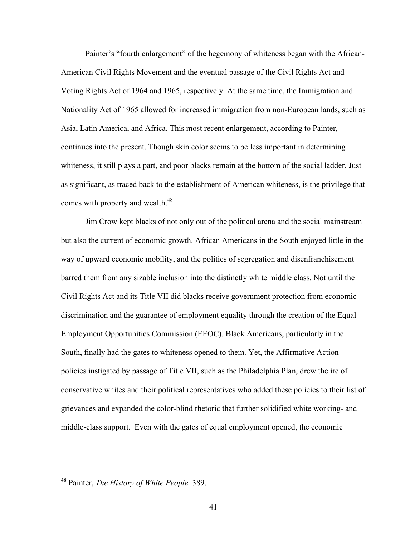Painter's "fourth enlargement" of the hegemony of whiteness began with the African-American Civil Rights Movement and the eventual passage of the Civil Rights Act and Voting Rights Act of 1964 and 1965, respectively. At the same time, the Immigration and Nationality Act of 1965 allowed for increased immigration from non-European lands, such as Asia, Latin America, and Africa. This most recent enlargement, according to Painter, continues into the present. Though skin color seems to be less important in determining whiteness, it still plays a part, and poor blacks remain at the bottom of the social ladder. Just as significant, as traced back to the establishment of American whiteness, is the privilege that comes with property and wealth.<sup>48</sup>

Jim Crow kept blacks of not only out of the political arena and the social mainstream but also the current of economic growth. African Americans in the South enjoyed little in the way of upward economic mobility, and the politics of segregation and disenfranchisement barred them from any sizable inclusion into the distinctly white middle class. Not until the Civil Rights Act and its Title VII did blacks receive government protection from economic discrimination and the guarantee of employment equality through the creation of the Equal Employment Opportunities Commission (EEOC). Black Americans, particularly in the South, finally had the gates to whiteness opened to them. Yet, the Affirmative Action policies instigated by passage of Title VII, such as the Philadelphia Plan, drew the ire of conservative whites and their political representatives who added these policies to their list of grievances and expanded the color-blind rhetoric that further solidified white working- and middle-class support. Even with the gates of equal employment opened, the economic

 <sup>48</sup> Painter, *The History of White People,* 389.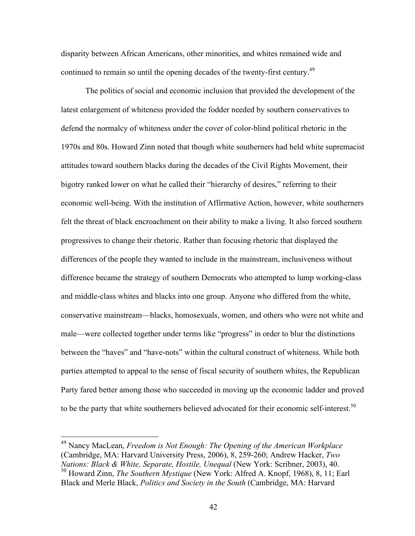disparity between African Americans, other minorities, and whites remained wide and continued to remain so until the opening decades of the twenty-first century.<sup>49</sup>

The politics of social and economic inclusion that provided the development of the latest enlargement of whiteness provided the fodder needed by southern conservatives to defend the normalcy of whiteness under the cover of color-blind political rhetoric in the 1970s and 80s. Howard Zinn noted that though white southerners had held white supremacist attitudes toward southern blacks during the decades of the Civil Rights Movement, their bigotry ranked lower on what he called their "hierarchy of desires," referring to their economic well-being. With the institution of Affirmative Action, however, white southerners felt the threat of black encroachment on their ability to make a living. It also forced southern progressives to change their rhetoric. Rather than focusing rhetoric that displayed the differences of the people they wanted to include in the mainstream, inclusiveness without difference became the strategy of southern Democrats who attempted to lump working-class and middle-class whites and blacks into one group. Anyone who differed from the white, conservative mainstream—blacks, homosexuals, women, and others who were not white and male—were collected together under terms like "progress" in order to blur the distinctions between the "haves" and "have-nots" within the cultural construct of whiteness. While both parties attempted to appeal to the sense of fiscal security of southern whites, the Republican Party fared better among those who succeeded in moving up the economic ladder and proved to be the party that white southerners believed advocated for their economic self-interest.<sup>50</sup>

 <sup>49</sup> Nancy MacLean, *Freedom is Not Enough: The Opening of the American Workplace*  (Cambridge, MA: Harvard University Press, 2006), 8, 259-260; Andrew Hacker, *Two Nations: Black & White, Separate, Hostile, Unequal* (New York: Scribner, 2003), 40. <sup>50</sup> Howard Zinn, *The Southern Mystique* (New York: Alfred A. Knopf, 1968), 8, 11; Earl Black and Merle Black, *Politics and Society in the South* (Cambridge, MA: Harvard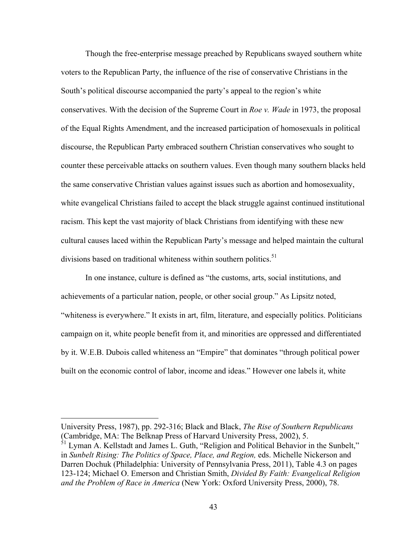Though the free-enterprise message preached by Republicans swayed southern white voters to the Republican Party, the influence of the rise of conservative Christians in the South's political discourse accompanied the party's appeal to the region's white conservatives. With the decision of the Supreme Court in *Roe v. Wade* in 1973, the proposal of the Equal Rights Amendment, and the increased participation of homosexuals in political discourse, the Republican Party embraced southern Christian conservatives who sought to counter these perceivable attacks on southern values. Even though many southern blacks held the same conservative Christian values against issues such as abortion and homosexuality, white evangelical Christians failed to accept the black struggle against continued institutional racism. This kept the vast majority of black Christians from identifying with these new cultural causes laced within the Republican Party's message and helped maintain the cultural divisions based on traditional whiteness within southern politics.<sup>51</sup>

In one instance, culture is defined as "the customs, arts, social institutions, and achievements of a particular nation, people, or other social group." As Lipsitz noted, "whiteness is everywhere." It exists in art, film, literature, and especially politics. Politicians campaign on it, white people benefit from it, and minorities are oppressed and differentiated by it. W.E.B. Dubois called whiteness an "Empire" that dominates "through political power built on the economic control of labor, income and ideas." However one labels it, white

University Press, 1987), pp. 292-316; Black and Black, *The Rise of Southern Republicans*  (Cambridge, MA: The Belknap Press of Harvard University Press, 2002), 5.

 $\frac{\delta_1}{\delta_2}$  Lyman A. Kellstadt and James L. Guth, "Religion and Political Behavior in the Sunbelt," in *Sunbelt Rising: The Politics of Space, Place, and Region,* eds. Michelle Nickerson and Darren Dochuk (Philadelphia: University of Pennsylvania Press, 2011), Table 4.3 on pages 123-124; Michael O. Emerson and Christian Smith, *Divided By Faith: Evangelical Religion and the Problem of Race in America* (New York: Oxford University Press, 2000), 78.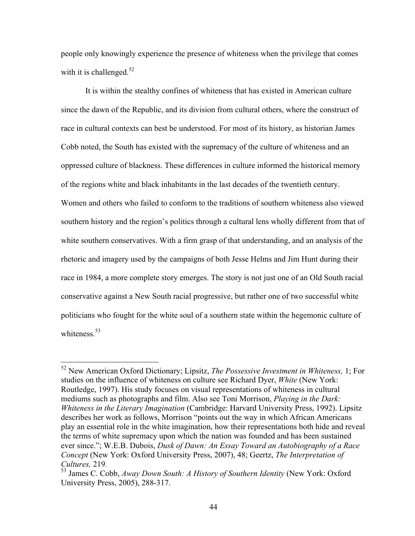people only knowingly experience the presence of whiteness when the privilege that comes with it is challenged.<sup>52</sup>

It is within the stealthy confines of whiteness that has existed in American culture since the dawn of the Republic, and its division from cultural others, where the construct of race in cultural contexts can best be understood. For most of its history, as historian James Cobb noted, the South has existed with the supremacy of the culture of whiteness and an oppressed culture of blackness. These differences in culture informed the historical memory of the regions white and black inhabitants in the last decades of the twentieth century. Women and others who failed to conform to the traditions of southern whiteness also viewed southern history and the region's politics through a cultural lens wholly different from that of white southern conservatives. With a firm grasp of that understanding, and an analysis of the rhetoric and imagery used by the campaigns of both Jesse Helms and Jim Hunt during their race in 1984, a more complete story emerges. The story is not just one of an Old South racial conservative against a New South racial progressive, but rather one of two successful white politicians who fought for the white soul of a southern state within the hegemonic culture of whiteness.<sup>53</sup>

 <sup>52</sup> New American Oxford Dictionary; Lipsitz, *The Possessive Investment in Whiteness,* 1; For studies on the influence of whiteness on culture see Richard Dyer, *White* (New York: Routledge, 1997). His study focuses on visual representations of whiteness in cultural mediums such as photographs and film. Also see Toni Morrison, *Playing in the Dark: Whiteness in the Literary Imagination* (Cambridge: Harvard University Press, 1992). Lipsitz describes her work as follows, Morrison "points out the way in which African Americans play an essential role in the white imagination, how their representations both hide and reveal the terms of white supremacy upon which the nation was founded and has been sustained ever since."; W.E.B. Dubois, *Dusk of Dawn: An Essay Toward an Autobiography of a Race Concept* (New York: Oxford University Press, 2007), 48; Geertz, *The Interpretation of Cultures, 219. Cultures, 219. Cultures, 219. Away Down South: A History of Southern Identity (New York: Oxford 33 James C. Cobb, Away Down South: A History of Southern Identity (New York: Oxford* 

University Press, 2005), 288-317.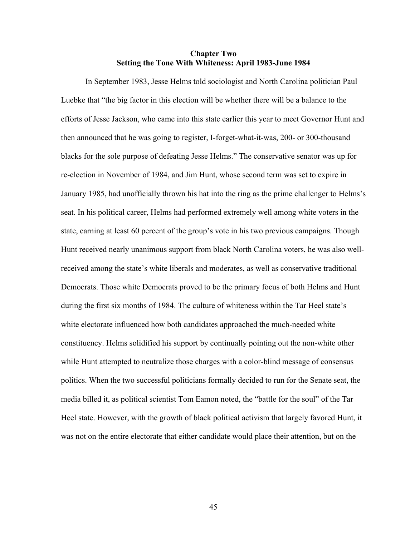## **Chapter Two Setting the Tone With Whiteness: April 1983-June 1984**

In September 1983, Jesse Helms told sociologist and North Carolina politician Paul Luebke that "the big factor in this election will be whether there will be a balance to the efforts of Jesse Jackson, who came into this state earlier this year to meet Governor Hunt and then announced that he was going to register, I-forget-what-it-was, 200- or 300-thousand blacks for the sole purpose of defeating Jesse Helms." The conservative senator was up for re-election in November of 1984, and Jim Hunt, whose second term was set to expire in January 1985, had unofficially thrown his hat into the ring as the prime challenger to Helms's seat. In his political career, Helms had performed extremely well among white voters in the state, earning at least 60 percent of the group's vote in his two previous campaigns. Though Hunt received nearly unanimous support from black North Carolina voters, he was also wellreceived among the state's white liberals and moderates, as well as conservative traditional Democrats. Those white Democrats proved to be the primary focus of both Helms and Hunt during the first six months of 1984. The culture of whiteness within the Tar Heel state's white electorate influenced how both candidates approached the much-needed white constituency. Helms solidified his support by continually pointing out the non-white other while Hunt attempted to neutralize those charges with a color-blind message of consensus politics. When the two successful politicians formally decided to run for the Senate seat, the media billed it, as political scientist Tom Eamon noted, the "battle for the soul" of the Tar Heel state. However, with the growth of black political activism that largely favored Hunt, it was not on the entire electorate that either candidate would place their attention, but on the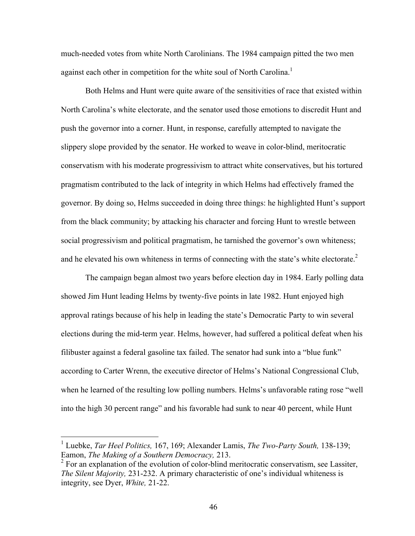much-needed votes from white North Carolinians. The 1984 campaign pitted the two men against each other in competition for the white soul of North Carolina.<sup>1</sup>

Both Helms and Hunt were quite aware of the sensitivities of race that existed within North Carolina's white electorate, and the senator used those emotions to discredit Hunt and push the governor into a corner. Hunt, in response, carefully attempted to navigate the slippery slope provided by the senator. He worked to weave in color-blind, meritocratic conservatism with his moderate progressivism to attract white conservatives, but his tortured pragmatism contributed to the lack of integrity in which Helms had effectively framed the governor. By doing so, Helms succeeded in doing three things: he highlighted Hunt's support from the black community; by attacking his character and forcing Hunt to wrestle between social progressivism and political pragmatism, he tarnished the governor's own whiteness; and he elevated his own whiteness in terms of connecting with the state's white electorate.<sup>2</sup>

The campaign began almost two years before election day in 1984. Early polling data showed Jim Hunt leading Helms by twenty-five points in late 1982. Hunt enjoyed high approval ratings because of his help in leading the state's Democratic Party to win several elections during the mid-term year. Helms, however, had suffered a political defeat when his filibuster against a federal gasoline tax failed. The senator had sunk into a "blue funk" according to Carter Wrenn, the executive director of Helms's National Congressional Club, when he learned of the resulting low polling numbers. Helms's unfavorable rating rose "well into the high 30 percent range" and his favorable had sunk to near 40 percent, while Hunt

 <sup>1</sup> Luebke, *Tar Heel Politics,* 167, 169; Alexander Lamis, *The Two-Party South,* 138-139; Eamon, *The Making of a Southern Democracy,* 213.

 $2$  For an explanation of the evolution of color-blind meritocratic conservatism, see Lassiter, *The Silent Majority,* 231-232. A primary characteristic of one's individual whiteness is integrity, see Dyer, *White,* 21-22.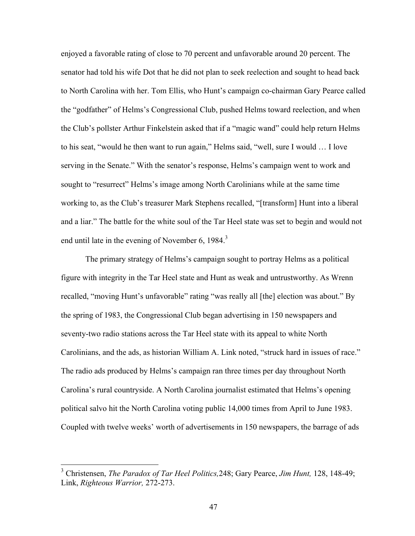enjoyed a favorable rating of close to 70 percent and unfavorable around 20 percent. The senator had told his wife Dot that he did not plan to seek reelection and sought to head back to North Carolina with her. Tom Ellis, who Hunt's campaign co-chairman Gary Pearce called the "godfather" of Helms's Congressional Club, pushed Helms toward reelection, and when the Club's pollster Arthur Finkelstein asked that if a "magic wand" could help return Helms to his seat, "would he then want to run again," Helms said, "well, sure I would … I love serving in the Senate." With the senator's response, Helms's campaign went to work and sought to "resurrect" Helms's image among North Carolinians while at the same time working to, as the Club's treasurer Mark Stephens recalled, "[transform] Hunt into a liberal and a liar." The battle for the white soul of the Tar Heel state was set to begin and would not end until late in the evening of November 6, 1984.<sup>3</sup>

The primary strategy of Helms's campaign sought to portray Helms as a political figure with integrity in the Tar Heel state and Hunt as weak and untrustworthy. As Wrenn recalled, "moving Hunt's unfavorable" rating "was really all [the] election was about." By the spring of 1983, the Congressional Club began advertising in 150 newspapers and seventy-two radio stations across the Tar Heel state with its appeal to white North Carolinians, and the ads, as historian William A. Link noted, "struck hard in issues of race." The radio ads produced by Helms's campaign ran three times per day throughout North Carolina's rural countryside. A North Carolina journalist estimated that Helms's opening political salvo hit the North Carolina voting public 14,000 times from April to June 1983. Coupled with twelve weeks' worth of advertisements in 150 newspapers, the barrage of ads

 <sup>3</sup> Christensen, *The Paradox of Tar Heel Politics,*248; Gary Pearce, *Jim Hunt,* 128, 148-49; Link, *Righteous Warrior,* 272-273.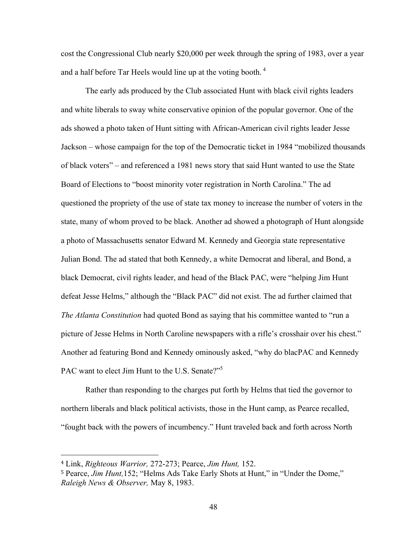cost the Congressional Club nearly \$20,000 per week through the spring of 1983, over a year and a half before Tar Heels would line up at the voting booth.  $4\overline{ }$ 

The early ads produced by the Club associated Hunt with black civil rights leaders and white liberals to sway white conservative opinion of the popular governor. One of the ads showed a photo taken of Hunt sitting with African-American civil rights leader Jesse Jackson – whose campaign for the top of the Democratic ticket in 1984 "mobilized thousands of black voters" – and referenced a 1981 news story that said Hunt wanted to use the State Board of Elections to "boost minority voter registration in North Carolina." The ad questioned the propriety of the use of state tax money to increase the number of voters in the state, many of whom proved to be black. Another ad showed a photograph of Hunt alongside a photo of Massachusetts senator Edward M. Kennedy and Georgia state representative Julian Bond. The ad stated that both Kennedy, a white Democrat and liberal, and Bond, a black Democrat, civil rights leader, and head of the Black PAC, were "helping Jim Hunt defeat Jesse Helms," although the "Black PAC" did not exist. The ad further claimed that *The Atlanta Constitution* had quoted Bond as saying that his committee wanted to "run a picture of Jesse Helms in North Caroline newspapers with a rifle's crosshair over his chest." Another ad featuring Bond and Kennedy ominously asked, "why do blacPAC and Kennedy PAC want to elect Jim Hunt to the U.S. Senate?"<sup>5</sup>

Rather than responding to the charges put forth by Helms that tied the governor to northern liberals and black political activists, those in the Hunt camp, as Pearce recalled, "fought back with the powers of incumbency." Hunt traveled back and forth across North

<sup>4</sup> Link, *Righteous Warrior,* 272-273; Pearce, *Jim Hunt,* 152.

<sup>5</sup> Pearce, *Jim Hunt,*152; "Helms Ads Take Early Shots at Hunt," in "Under the Dome," *Raleigh News & Observer,* May 8, 1983.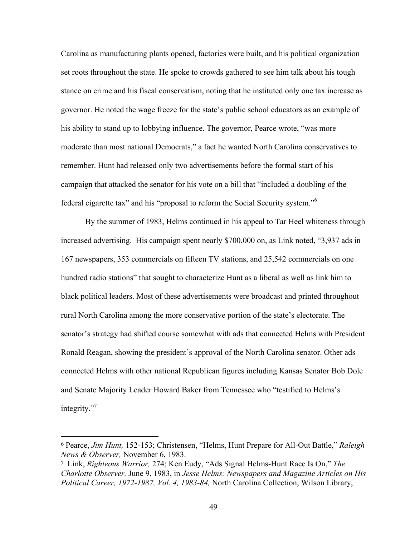Carolina as manufacturing plants opened, factories were built, and his political organization set roots throughout the state. He spoke to crowds gathered to see him talk about his tough stance on crime and his fiscal conservatism, noting that he instituted only one tax increase as governor. He noted the wage freeze for the state's public school educators as an example of his ability to stand up to lobbying influence. The governor, Pearce wrote, "was more moderate than most national Democrats," a fact he wanted North Carolina conservatives to remember. Hunt had released only two advertisements before the formal start of his campaign that attacked the senator for his vote on a bill that "included a doubling of the federal cigarette tax" and his "proposal to reform the Social Security system."<sup>6</sup>

By the summer of 1983, Helms continued in his appeal to Tar Heel whiteness through increased advertising. His campaign spent nearly \$700,000 on, as Link noted, "3,937 ads in 167 newspapers, 353 commercials on fifteen TV stations, and 25,542 commercials on one hundred radio stations" that sought to characterize Hunt as a liberal as well as link him to black political leaders. Most of these advertisements were broadcast and printed throughout rural North Carolina among the more conservative portion of the state's electorate. The senator's strategy had shifted course somewhat with ads that connected Helms with President Ronald Reagan, showing the president's approval of the North Carolina senator. Other ads connected Helms with other national Republican figures including Kansas Senator Bob Dole and Senate Majority Leader Howard Baker from Tennessee who "testified to Helms's integrity."

<sup>6</sup> Pearce, *Jim Hunt,* 152-153; Christensen, "Helms, Hunt Prepare for All-Out Battle," *Raleigh News & Observer,* November 6, 1983.

<sup>7</sup> Link, *Righteous Warrior,* 274; Ken Eudy, "Ads Signal Helms-Hunt Race Is On," *The Charlotte Observer,* June 9, 1983, in *Jesse Helms: Newspapers and Magazine Articles on His Political Career, 1972-1987, Vol. 4, 1983-84,* North Carolina Collection, Wilson Library,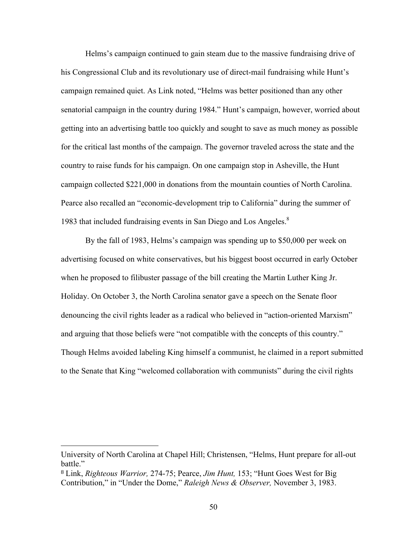Helms's campaign continued to gain steam due to the massive fundraising drive of his Congressional Club and its revolutionary use of direct-mail fundraising while Hunt's campaign remained quiet. As Link noted, "Helms was better positioned than any other senatorial campaign in the country during 1984." Hunt's campaign, however, worried about getting into an advertising battle too quickly and sought to save as much money as possible for the critical last months of the campaign. The governor traveled across the state and the country to raise funds for his campaign. On one campaign stop in Asheville, the Hunt campaign collected \$221,000 in donations from the mountain counties of North Carolina. Pearce also recalled an "economic-development trip to California" during the summer of 1983 that included fundraising events in San Diego and Los Angeles.<sup>8</sup>

By the fall of 1983, Helms's campaign was spending up to \$50,000 per week on advertising focused on white conservatives, but his biggest boost occurred in early October when he proposed to filibuster passage of the bill creating the Martin Luther King Jr. Holiday. On October 3, the North Carolina senator gave a speech on the Senate floor denouncing the civil rights leader as a radical who believed in "action-oriented Marxism" and arguing that those beliefs were "not compatible with the concepts of this country." Though Helms avoided labeling King himself a communist, he claimed in a report submitted to the Senate that King "welcomed collaboration with communists" during the civil rights

University of North Carolina at Chapel Hill; Christensen, "Helms, Hunt prepare for all-out battle."

<sup>8</sup> Link, *Righteous Warrior,* 274-75; Pearce, *Jim Hunt,* 153; "Hunt Goes West for Big Contribution," in "Under the Dome," *Raleigh News & Observer,* November 3, 1983.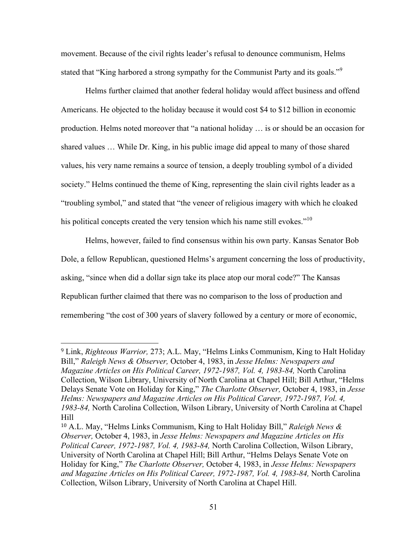movement. Because of the civil rights leader's refusal to denounce communism, Helms stated that "King harbored a strong sympathy for the Communist Party and its goals."<sup>9</sup>

Helms further claimed that another federal holiday would affect business and offend Americans. He objected to the holiday because it would cost \$4 to \$12 billion in economic production. Helms noted moreover that "a national holiday … is or should be an occasion for shared values … While Dr. King, in his public image did appeal to many of those shared values, his very name remains a source of tension, a deeply troubling symbol of a divided society." Helms continued the theme of King, representing the slain civil rights leader as a "troubling symbol," and stated that "the veneer of religious imagery with which he cloaked his political concepts created the very tension which his name still evokes."<sup>10</sup>

Helms, however, failed to find consensus within his own party. Kansas Senator Bob Dole, a fellow Republican, questioned Helms's argument concerning the loss of productivity, asking, "since when did a dollar sign take its place atop our moral code?" The Kansas Republican further claimed that there was no comparison to the loss of production and remembering "the cost of 300 years of slavery followed by a century or more of economic,

<sup>9</sup> Link, *Righteous Warrior,* 273; A.L. May, "Helms Links Communism, King to Halt Holiday Bill," *Raleigh News & Observer,* October 4, 1983, in *Jesse Helms: Newspapers and Magazine Articles on His Political Career, 1972-1987, Vol. 4, 1983-84,* North Carolina Collection, Wilson Library, University of North Carolina at Chapel Hill; Bill Arthur, "Helms Delays Senate Vote on Holiday for King," *The Charlotte Observer,* October 4, 1983, in *Jesse Helms: Newspapers and Magazine Articles on His Political Career, 1972-1987, Vol. 4, 1983-84,* North Carolina Collection, Wilson Library, University of North Carolina at Chapel Hill

<sup>10</sup> A.L. May, "Helms Links Communism, King to Halt Holiday Bill," *Raleigh News & Observer,* October 4, 1983, in *Jesse Helms: Newspapers and Magazine Articles on His Political Career, 1972-1987, Vol. 4, 1983-84,* North Carolina Collection, Wilson Library, University of North Carolina at Chapel Hill; Bill Arthur, "Helms Delays Senate Vote on Holiday for King," *The Charlotte Observer,* October 4, 1983, in *Jesse Helms: Newspapers and Magazine Articles on His Political Career, 1972-1987, Vol. 4, 1983-84,* North Carolina Collection, Wilson Library, University of North Carolina at Chapel Hill.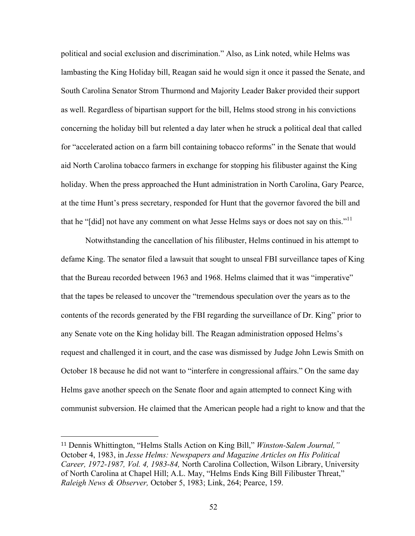political and social exclusion and discrimination." Also, as Link noted, while Helms was lambasting the King Holiday bill, Reagan said he would sign it once it passed the Senate, and South Carolina Senator Strom Thurmond and Majority Leader Baker provided their support as well. Regardless of bipartisan support for the bill, Helms stood strong in his convictions concerning the holiday bill but relented a day later when he struck a political deal that called for "accelerated action on a farm bill containing tobacco reforms" in the Senate that would aid North Carolina tobacco farmers in exchange for stopping his filibuster against the King holiday. When the press approached the Hunt administration in North Carolina, Gary Pearce, at the time Hunt's press secretary, responded for Hunt that the governor favored the bill and that he "[did] not have any comment on what Jesse Helms says or does not say on this."<sup>11</sup>

Notwithstanding the cancellation of his filibuster, Helms continued in his attempt to defame King. The senator filed a lawsuit that sought to unseal FBI surveillance tapes of King that the Bureau recorded between 1963 and 1968. Helms claimed that it was "imperative" that the tapes be released to uncover the "tremendous speculation over the years as to the contents of the records generated by the FBI regarding the surveillance of Dr. King" prior to any Senate vote on the King holiday bill. The Reagan administration opposed Helms's request and challenged it in court, and the case was dismissed by Judge John Lewis Smith on October 18 because he did not want to "interfere in congressional affairs." On the same day Helms gave another speech on the Senate floor and again attempted to connect King with communist subversion. He claimed that the American people had a right to know and that the

<sup>11</sup> Dennis Whittington, "Helms Stalls Action on King Bill," *Winston-Salem Journal,"* October 4, 1983, in *Jesse Helms: Newspapers and Magazine Articles on His Political Career, 1972-1987, Vol. 4, 1983-84,* North Carolina Collection, Wilson Library, University of North Carolina at Chapel Hill; A.L. May, "Helms Ends King Bill Filibuster Threat," *Raleigh News & Observer,* October 5, 1983; Link, 264; Pearce, 159.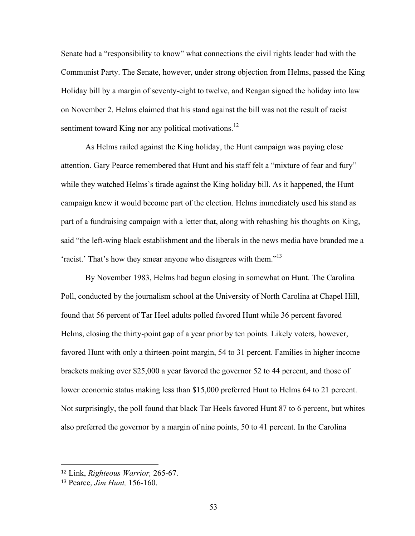Senate had a "responsibility to know" what connections the civil rights leader had with the Communist Party. The Senate, however, under strong objection from Helms, passed the King Holiday bill by a margin of seventy-eight to twelve, and Reagan signed the holiday into law on November 2. Helms claimed that his stand against the bill was not the result of racist sentiment toward King nor any political motivations.<sup>12</sup>

As Helms railed against the King holiday, the Hunt campaign was paying close attention. Gary Pearce remembered that Hunt and his staff felt a "mixture of fear and fury" while they watched Helms's tirade against the King holiday bill. As it happened, the Hunt campaign knew it would become part of the election. Helms immediately used his stand as part of a fundraising campaign with a letter that, along with rehashing his thoughts on King, said "the left-wing black establishment and the liberals in the news media have branded me a 'racist.' That's how they smear anyone who disagrees with them."<sup>13</sup>

By November 1983, Helms had begun closing in somewhat on Hunt. The Carolina Poll, conducted by the journalism school at the University of North Carolina at Chapel Hill, found that 56 percent of Tar Heel adults polled favored Hunt while 36 percent favored Helms, closing the thirty-point gap of a year prior by ten points. Likely voters, however, favored Hunt with only a thirteen-point margin, 54 to 31 percent. Families in higher income brackets making over \$25,000 a year favored the governor 52 to 44 percent, and those of lower economic status making less than \$15,000 preferred Hunt to Helms 64 to 21 percent. Not surprisingly, the poll found that black Tar Heels favored Hunt 87 to 6 percent, but whites also preferred the governor by a margin of nine points, 50 to 41 percent. In the Carolina

<sup>12</sup> Link, *Righteous Warrior,* 265-67.

<sup>13</sup> Pearce, *Jim Hunt,* 156-160.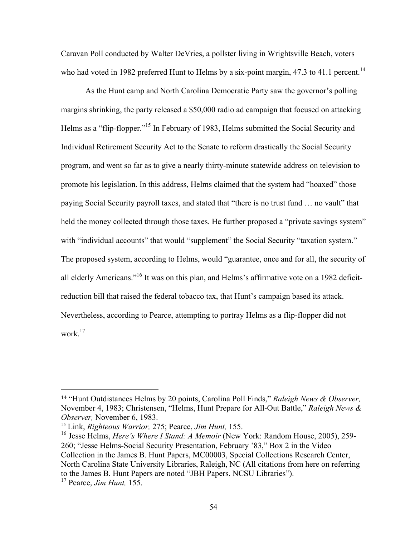Caravan Poll conducted by Walter DeVries, a pollster living in Wrightsville Beach, voters who had voted in 1982 preferred Hunt to Helms by a six-point margin, 47.3 to 41.1 percent.<sup>14</sup>

As the Hunt camp and North Carolina Democratic Party saw the governor's polling margins shrinking, the party released a \$50,000 radio ad campaign that focused on attacking Helms as a "flip-flopper."<sup>15</sup> In February of 1983, Helms submitted the Social Security and Individual Retirement Security Act to the Senate to reform drastically the Social Security program, and went so far as to give a nearly thirty-minute statewide address on television to promote his legislation. In this address, Helms claimed that the system had "hoaxed" those paying Social Security payroll taxes, and stated that "there is no trust fund … no vault" that held the money collected through those taxes. He further proposed a "private savings system" with "individual accounts" that would "supplement" the Social Security "taxation system." The proposed system, according to Helms, would "guarantee, once and for all, the security of all elderly Americans."16 It was on this plan, and Helms's affirmative vote on a 1982 deficitreduction bill that raised the federal tobacco tax, that Hunt's campaign based its attack. Nevertheless, according to Pearce, attempting to portray Helms as a flip-flopper did not work.<sup>17</sup>

<sup>14</sup> "Hunt Outdistances Helms by 20 points, Carolina Poll Finds," *Raleigh News & Observer,*  November 4, 1983; Christensen, "Helms, Hunt Prepare for All-Out Battle," *Raleigh News & Observer,* November 6, 1983.

<sup>15</sup> Link, *Righteous Warrior,* 275; Pearce, *Jim Hunt,* 155.

<sup>16</sup> Jesse Helms, *Here's Where I Stand: A Memoir* (New York: Random House, 2005), 259- 260; "Jesse Helms-Social Security Presentation, February '83," Box 2 in the Video Collection in the James B. Hunt Papers, MC00003, Special Collections Research Center, North Carolina State University Libraries, Raleigh, NC (All citations from here on referring to the James B. Hunt Papers are noted "JBH Papers, NCSU Libraries").

<sup>17</sup> Pearce, *Jim Hunt,* 155.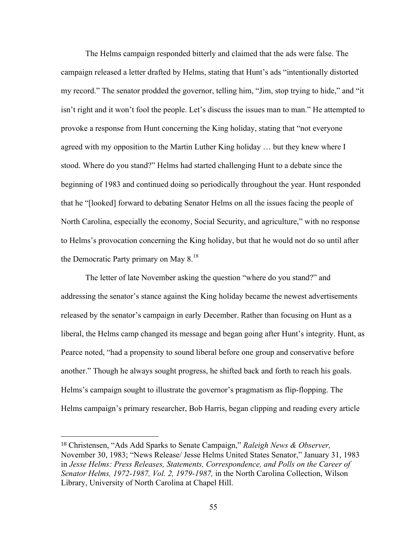The Helms campaign responded bitterly and claimed that the ads were false. The campaign released a letter drafted by Helms, stating that Hunt's ads "intentionally distorted my record." The senator prodded the governor, telling him, "Jim, stop trying to hide," and "it isn't right and it won't fool the people. Let's discuss the issues man to man." He attempted to provoke a response from Hunt concerning the King holiday, stating that "not everyone agreed with my opposition to the Martin Luther King holiday … but they knew where I stood. Where do you stand?" Helms had started challenging Hunt to a debate since the beginning of 1983 and continued doing so periodically throughout the year. Hunt responded that he "[looked] forward to debating Senator Helms on all the issues facing the people of North Carolina, especially the economy, Social Security, and agriculture," with no response to Helms's provocation concerning the King holiday, but that he would not do so until after the Democratic Party primary on May  $8^{18}$ .

The letter of late November asking the question "where do you stand?" and addressing the senator's stance against the King holiday became the newest advertisements released by the senator's campaign in early December. Rather than focusing on Hunt as a liberal, the Helms camp changed its message and began going after Hunt's integrity. Hunt, as Pearce noted, "had a propensity to sound liberal before one group and conservative before another." Though he always sought progress, he shifted back and forth to reach his goals. Helms's campaign sought to illustrate the governor's pragmatism as flip-flopping. The Helms campaign's primary researcher, Bob Harris, began clipping and reading every article

<sup>18</sup> Christensen, "Ads Add Sparks to Senate Campaign," *Raleigh News & Observer,*  November 30, 1983; "News Release/ Jesse Helms United States Senator," January 31, 1983 in *Jesse Helms: Press Releases, Statements, Correspondence, and Polls on the Career of Senator Helms, 1972-1987, Vol. 2, 1979-1987,* in the North Carolina Collection, Wilson Library, University of North Carolina at Chapel Hill.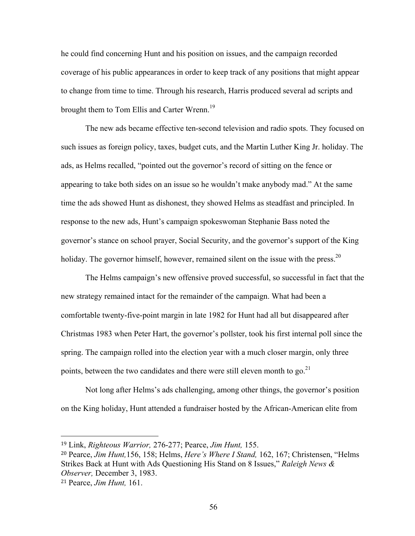he could find concerning Hunt and his position on issues, and the campaign recorded coverage of his public appearances in order to keep track of any positions that might appear to change from time to time. Through his research, Harris produced several ad scripts and brought them to Tom Ellis and Carter Wrenn.<sup>19</sup>

The new ads became effective ten-second television and radio spots. They focused on such issues as foreign policy, taxes, budget cuts, and the Martin Luther King Jr. holiday. The ads, as Helms recalled, "pointed out the governor's record of sitting on the fence or appearing to take both sides on an issue so he wouldn't make anybody mad." At the same time the ads showed Hunt as dishonest, they showed Helms as steadfast and principled. In response to the new ads, Hunt's campaign spokeswoman Stephanie Bass noted the governor's stance on school prayer, Social Security, and the governor's support of the King holiday. The governor himself, however, remained silent on the issue with the press.<sup>20</sup>

The Helms campaign's new offensive proved successful, so successful in fact that the new strategy remained intact for the remainder of the campaign. What had been a comfortable twenty-five-point margin in late 1982 for Hunt had all but disappeared after Christmas 1983 when Peter Hart, the governor's pollster, took his first internal poll since the spring. The campaign rolled into the election year with a much closer margin, only three points, between the two candidates and there were still eleven month to go.<sup>21</sup>

Not long after Helms's ads challenging, among other things, the governor's position on the King holiday, Hunt attended a fundraiser hosted by the African-American elite from

<sup>19</sup> Link, *Righteous Warrior,* 276-277; Pearce, *Jim Hunt,* 155.

<sup>20</sup> Pearce, *Jim Hunt,*156, 158; Helms, *Here's Where I Stand,* 162, 167; Christensen, "Helms Strikes Back at Hunt with Ads Questioning His Stand on 8 Issues," *Raleigh News & Observer,* December 3, 1983.

<sup>21</sup> Pearce, *Jim Hunt,* 161.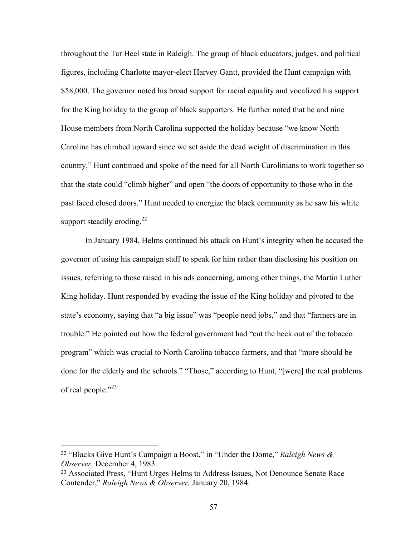throughout the Tar Heel state in Raleigh. The group of black educators, judges, and political figures, including Charlotte mayor-elect Harvey Gantt, provided the Hunt campaign with \$58,000. The governor noted his broad support for racial equality and vocalized his support for the King holiday to the group of black supporters. He further noted that he and nine House members from North Carolina supported the holiday because "we know North Carolina has climbed upward since we set aside the dead weight of discrimination in this country." Hunt continued and spoke of the need for all North Carolinians to work together so that the state could "climb higher" and open "the doors of opportunity to those who in the past faced closed doors." Hunt needed to energize the black community as he saw his white support steadily eroding.<sup>22</sup>

In January 1984, Helms continued his attack on Hunt's integrity when he accused the governor of using his campaign staff to speak for him rather than disclosing his position on issues, referring to those raised in his ads concerning, among other things, the Martin Luther King holiday. Hunt responded by evading the issue of the King holiday and pivoted to the state's economy, saying that "a big issue" was "people need jobs," and that "farmers are in trouble." He pointed out how the federal government had "cut the heck out of the tobacco program" which was crucial to North Carolina tobacco farmers, and that "more should be done for the elderly and the schools." "Those," according to Hunt, "[were] the real problems of real people."<sup>23</sup>

<sup>22</sup> "Blacks Give Hunt's Campaign a Boost," in "Under the Dome," *Raleigh News & Observer,* December 4, 1983.

<sup>23</sup> Associated Press, "Hunt Urges Helms to Address Issues, Not Denounce Senate Race Contender," *Raleigh News & Observer,* January 20, 1984.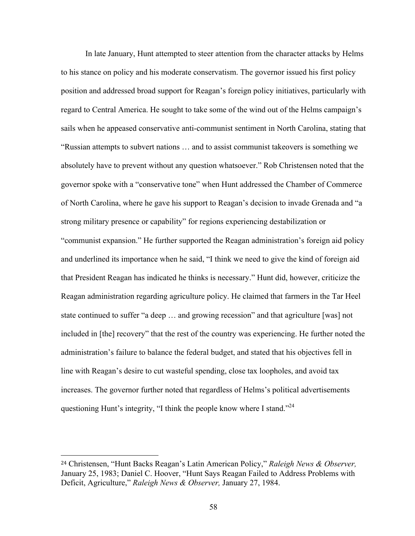In late January, Hunt attempted to steer attention from the character attacks by Helms to his stance on policy and his moderate conservatism. The governor issued his first policy position and addressed broad support for Reagan's foreign policy initiatives, particularly with regard to Central America. He sought to take some of the wind out of the Helms campaign's sails when he appeased conservative anti-communist sentiment in North Carolina, stating that "Russian attempts to subvert nations … and to assist communist takeovers is something we absolutely have to prevent without any question whatsoever." Rob Christensen noted that the governor spoke with a "conservative tone" when Hunt addressed the Chamber of Commerce of North Carolina, where he gave his support to Reagan's decision to invade Grenada and "a strong military presence or capability" for regions experiencing destabilization or "communist expansion." He further supported the Reagan administration's foreign aid policy and underlined its importance when he said, "I think we need to give the kind of foreign aid that President Reagan has indicated he thinks is necessary." Hunt did, however, criticize the Reagan administration regarding agriculture policy. He claimed that farmers in the Tar Heel state continued to suffer "a deep … and growing recession" and that agriculture [was] not included in [the] recovery" that the rest of the country was experiencing. He further noted the administration's failure to balance the federal budget, and stated that his objectives fell in line with Reagan's desire to cut wasteful spending, close tax loopholes, and avoid tax increases. The governor further noted that regardless of Helms's political advertisements questioning Hunt's integrity, "I think the people know where I stand."<sup>24</sup>

<sup>24</sup> Christensen, "Hunt Backs Reagan's Latin American Policy," *Raleigh News & Observer,*  January 25, 1983; Daniel C. Hoover, "Hunt Says Reagan Failed to Address Problems with Deficit, Agriculture," *Raleigh News & Observer,* January 27, 1984.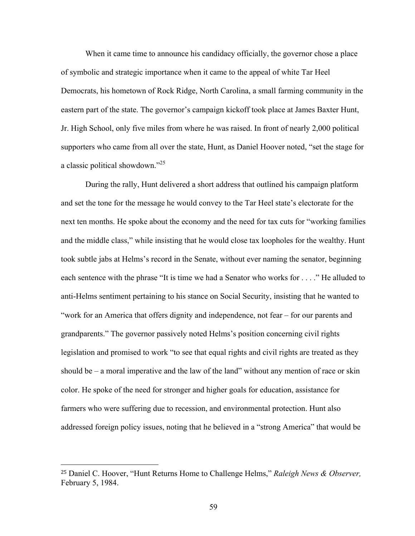When it came time to announce his candidacy officially, the governor chose a place of symbolic and strategic importance when it came to the appeal of white Tar Heel Democrats, his hometown of Rock Ridge, North Carolina, a small farming community in the eastern part of the state. The governor's campaign kickoff took place at James Baxter Hunt, Jr. High School, only five miles from where he was raised. In front of nearly 2,000 political supporters who came from all over the state, Hunt, as Daniel Hoover noted, "set the stage for a classic political showdown."<sup>25</sup>

During the rally, Hunt delivered a short address that outlined his campaign platform and set the tone for the message he would convey to the Tar Heel state's electorate for the next ten months. He spoke about the economy and the need for tax cuts for "working families and the middle class," while insisting that he would close tax loopholes for the wealthy. Hunt took subtle jabs at Helms's record in the Senate, without ever naming the senator, beginning each sentence with the phrase "It is time we had a Senator who works for . . . ." He alluded to anti-Helms sentiment pertaining to his stance on Social Security, insisting that he wanted to "work for an America that offers dignity and independence, not fear – for our parents and grandparents." The governor passively noted Helms's position concerning civil rights legislation and promised to work "to see that equal rights and civil rights are treated as they should be  $-$  a moral imperative and the law of the land" without any mention of race or skin color. He spoke of the need for stronger and higher goals for education, assistance for farmers who were suffering due to recession, and environmental protection. Hunt also addressed foreign policy issues, noting that he believed in a "strong America" that would be

<sup>25</sup> Daniel C. Hoover, "Hunt Returns Home to Challenge Helms," *Raleigh News & Observer,*  February 5, 1984.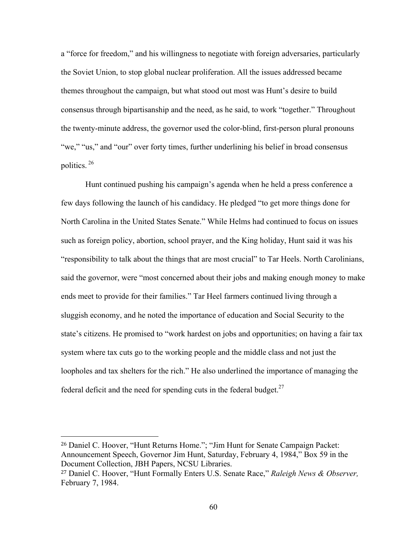a "force for freedom," and his willingness to negotiate with foreign adversaries, particularly the Soviet Union, to stop global nuclear proliferation. All the issues addressed became themes throughout the campaign, but what stood out most was Hunt's desire to build consensus through bipartisanship and the need, as he said, to work "together." Throughout the twenty-minute address, the governor used the color-blind, first-person plural pronouns "we," "us," and "our" over forty times, further underlining his belief in broad consensus politics. <sup>26</sup>

Hunt continued pushing his campaign's agenda when he held a press conference a few days following the launch of his candidacy. He pledged "to get more things done for North Carolina in the United States Senate." While Helms had continued to focus on issues such as foreign policy, abortion, school prayer, and the King holiday, Hunt said it was his "responsibility to talk about the things that are most crucial" to Tar Heels. North Carolinians, said the governor, were "most concerned about their jobs and making enough money to make ends meet to provide for their families." Tar Heel farmers continued living through a sluggish economy, and he noted the importance of education and Social Security to the state's citizens. He promised to "work hardest on jobs and opportunities; on having a fair tax system where tax cuts go to the working people and the middle class and not just the loopholes and tax shelters for the rich." He also underlined the importance of managing the federal deficit and the need for spending cuts in the federal budget. $27$ 

<sup>26</sup> Daniel C. Hoover, "Hunt Returns Home."; "Jim Hunt for Senate Campaign Packet: Announcement Speech, Governor Jim Hunt, Saturday, February 4, 1984," Box 59 in the Document Collection, JBH Papers, NCSU Libraries.

<sup>27</sup> Daniel C. Hoover, "Hunt Formally Enters U.S. Senate Race," *Raleigh News & Observer,*  February 7, 1984.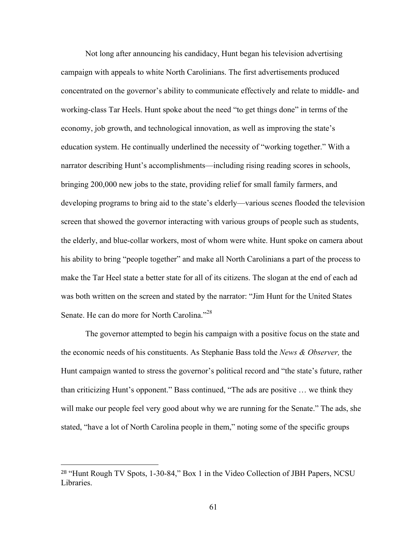Not long after announcing his candidacy, Hunt began his television advertising campaign with appeals to white North Carolinians. The first advertisements produced concentrated on the governor's ability to communicate effectively and relate to middle- and working-class Tar Heels. Hunt spoke about the need "to get things done" in terms of the economy, job growth, and technological innovation, as well as improving the state's education system. He continually underlined the necessity of "working together." With a narrator describing Hunt's accomplishments—including rising reading scores in schools, bringing 200,000 new jobs to the state, providing relief for small family farmers, and developing programs to bring aid to the state's elderly—various scenes flooded the television screen that showed the governor interacting with various groups of people such as students, the elderly, and blue-collar workers, most of whom were white. Hunt spoke on camera about his ability to bring "people together" and make all North Carolinians a part of the process to make the Tar Heel state a better state for all of its citizens. The slogan at the end of each ad was both written on the screen and stated by the narrator: "Jim Hunt for the United States Senate. He can do more for North Carolina."<sup>28</sup>

The governor attempted to begin his campaign with a positive focus on the state and the economic needs of his constituents. As Stephanie Bass told the *News & Observer,* the Hunt campaign wanted to stress the governor's political record and "the state's future, rather than criticizing Hunt's opponent." Bass continued, "The ads are positive … we think they will make our people feel very good about why we are running for the Senate." The ads, she stated, "have a lot of North Carolina people in them," noting some of the specific groups

<sup>28</sup> "Hunt Rough TV Spots, 1-30-84," Box 1 in the Video Collection of JBH Papers, NCSU Libraries.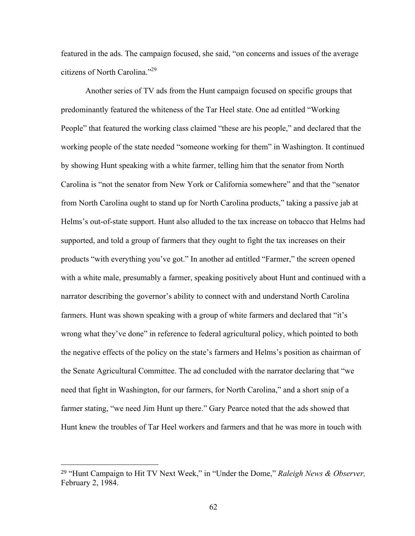featured in the ads. The campaign focused, she said, "on concerns and issues of the average citizens of North Carolina."29

Another series of TV ads from the Hunt campaign focused on specific groups that predominantly featured the whiteness of the Tar Heel state. One ad entitled "Working People" that featured the working class claimed "these are his people," and declared that the working people of the state needed "someone working for them" in Washington. It continued by showing Hunt speaking with a white farmer, telling him that the senator from North Carolina is "not the senator from New York or California somewhere" and that the "senator from North Carolina ought to stand up for North Carolina products," taking a passive jab at Helms's out-of-state support. Hunt also alluded to the tax increase on tobacco that Helms had supported, and told a group of farmers that they ought to fight the tax increases on their products "with everything you've got." In another ad entitled "Farmer," the screen opened with a white male, presumably a farmer, speaking positively about Hunt and continued with a narrator describing the governor's ability to connect with and understand North Carolina farmers. Hunt was shown speaking with a group of white farmers and declared that "it's wrong what they've done" in reference to federal agricultural policy, which pointed to both the negative effects of the policy on the state's farmers and Helms's position as chairman of the Senate Agricultural Committee. The ad concluded with the narrator declaring that "we need that fight in Washington, for our farmers, for North Carolina," and a short snip of a farmer stating, "we need Jim Hunt up there." Gary Pearce noted that the ads showed that Hunt knew the troubles of Tar Heel workers and farmers and that he was more in touch with

<sup>29</sup> "Hunt Campaign to Hit TV Next Week," in "Under the Dome," *Raleigh News & Observer,*  February 2, 1984.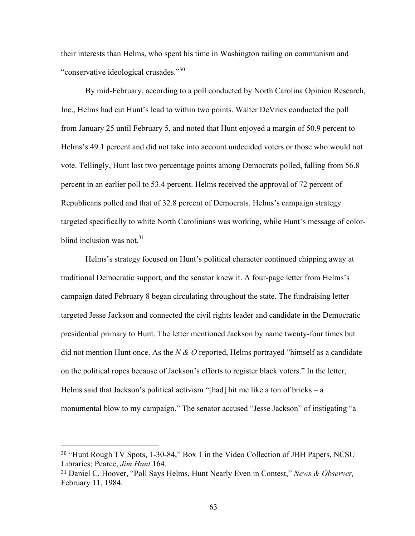their interests than Helms, who spent his time in Washington railing on communism and "conservative ideological crusades."<sup>30</sup>

By mid-February, according to a poll conducted by North Carolina Opinion Research, Inc., Helms had cut Hunt's lead to within two points. Walter DeVries conducted the poll from January 25 until February 5, and noted that Hunt enjoyed a margin of 50.9 percent to Helms's 49.1 percent and did not take into account undecided voters or those who would not vote. Tellingly, Hunt lost two percentage points among Democrats polled, falling from 56.8 percent in an earlier poll to 53.4 percent. Helms received the approval of 72 percent of Republicans polled and that of 32.8 percent of Democrats. Helms's campaign strategy targeted specifically to white North Carolinians was working, while Hunt's message of colorblind inclusion was not. $31$ 

Helms's strategy focused on Hunt's political character continued chipping away at traditional Democratic support, and the senator knew it. A four-page letter from Helms's campaign dated February 8 began circulating throughout the state. The fundraising letter targeted Jesse Jackson and connected the civil rights leader and candidate in the Democratic presidential primary to Hunt. The letter mentioned Jackson by name twenty-four times but did not mention Hunt once. As the *N & O* reported, Helms portrayed "himself as a candidate on the political ropes because of Jackson's efforts to register black voters." In the letter, Helms said that Jackson's political activism "[had] hit me like a ton of bricks – a monumental blow to my campaign." The senator accused "Jesse Jackson" of instigating "a

<sup>30</sup> "Hunt Rough TV Spots, 1-30-84," Box 1 in the Video Collection of JBH Papers, NCSU Libraries; Pearce, *Jim Hunt,*164.

<sup>31</sup> Daniel C. Hoover, "Poll Says Helms, Hunt Nearly Even in Contest," *News & Observer,*  February 11, 1984.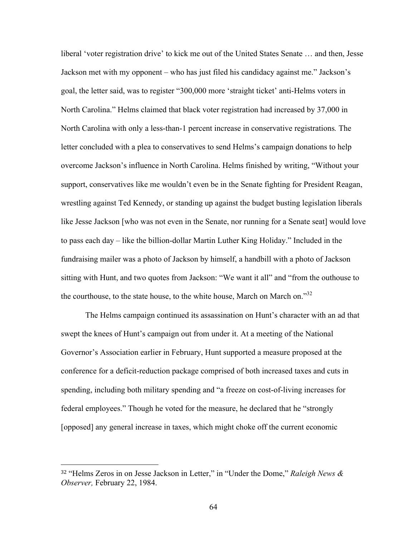liberal 'voter registration drive' to kick me out of the United States Senate … and then, Jesse Jackson met with my opponent – who has just filed his candidacy against me." Jackson's goal, the letter said, was to register "300,000 more 'straight ticket' anti-Helms voters in North Carolina." Helms claimed that black voter registration had increased by 37,000 in North Carolina with only a less-than-1 percent increase in conservative registrations*.* The letter concluded with a plea to conservatives to send Helms's campaign donations to help overcome Jackson's influence in North Carolina. Helms finished by writing, "Without your support, conservatives like me wouldn't even be in the Senate fighting for President Reagan, wrestling against Ted Kennedy, or standing up against the budget busting legislation liberals like Jesse Jackson [who was not even in the Senate, nor running for a Senate seat] would love to pass each day – like the billion-dollar Martin Luther King Holiday." Included in the fundraising mailer was a photo of Jackson by himself, a handbill with a photo of Jackson sitting with Hunt, and two quotes from Jackson: "We want it all" and "from the outhouse to the courthouse, to the state house, to the white house, March on March on.<sup>332</sup>

The Helms campaign continued its assassination on Hunt's character with an ad that swept the knees of Hunt's campaign out from under it. At a meeting of the National Governor's Association earlier in February, Hunt supported a measure proposed at the conference for a deficit-reduction package comprised of both increased taxes and cuts in spending, including both military spending and "a freeze on cost-of-living increases for federal employees." Though he voted for the measure, he declared that he "strongly [opposed] any general increase in taxes, which might choke off the current economic

<sup>32</sup> "Helms Zeros in on Jesse Jackson in Letter," in "Under the Dome," *Raleigh News & Observer,* February 22, 1984.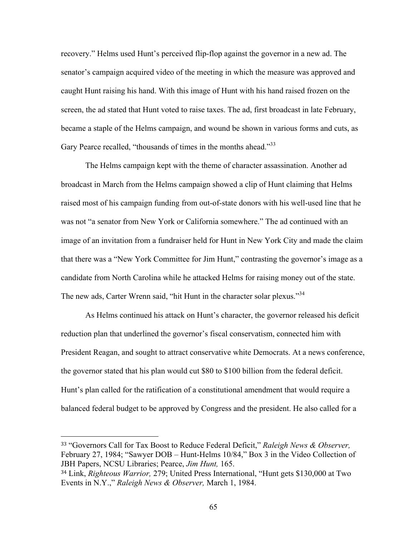recovery." Helms used Hunt's perceived flip-flop against the governor in a new ad. The senator's campaign acquired video of the meeting in which the measure was approved and caught Hunt raising his hand. With this image of Hunt with his hand raised frozen on the screen, the ad stated that Hunt voted to raise taxes. The ad, first broadcast in late February, became a staple of the Helms campaign, and wound be shown in various forms and cuts, as Gary Pearce recalled, "thousands of times in the months ahead."<sup>33</sup>

The Helms campaign kept with the theme of character assassination. Another ad broadcast in March from the Helms campaign showed a clip of Hunt claiming that Helms raised most of his campaign funding from out-of-state donors with his well-used line that he was not "a senator from New York or California somewhere." The ad continued with an image of an invitation from a fundraiser held for Hunt in New York City and made the claim that there was a "New York Committee for Jim Hunt," contrasting the governor's image as a candidate from North Carolina while he attacked Helms for raising money out of the state. The new ads, Carter Wrenn said, "hit Hunt in the character solar plexus."<sup>34</sup>

As Helms continued his attack on Hunt's character, the governor released his deficit reduction plan that underlined the governor's fiscal conservatism, connected him with President Reagan, and sought to attract conservative white Democrats. At a news conference, the governor stated that his plan would cut \$80 to \$100 billion from the federal deficit. Hunt's plan called for the ratification of a constitutional amendment that would require a balanced federal budget to be approved by Congress and the president. He also called for a

<sup>33</sup> "Governors Call for Tax Boost to Reduce Federal Deficit," *Raleigh News & Observer,*  February 27, 1984; "Sawyer DOB – Hunt-Helms 10/84," Box 3 in the Video Collection of JBH Papers, NCSU Libraries; Pearce, *Jim Hunt,* 165.

<sup>34</sup> Link, *Righteous Warrior,* 279; United Press International, "Hunt gets \$130,000 at Two Events in N.Y.," *Raleigh News & Observer,* March 1, 1984.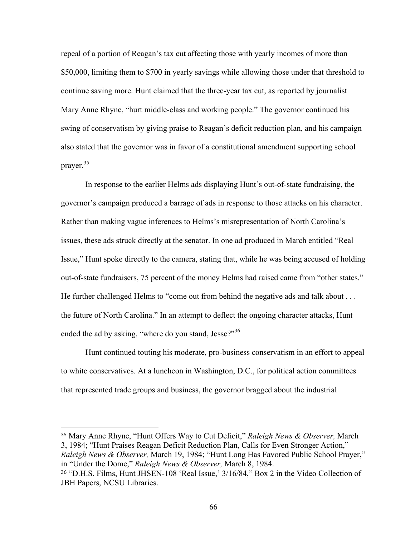repeal of a portion of Reagan's tax cut affecting those with yearly incomes of more than \$50,000, limiting them to \$700 in yearly savings while allowing those under that threshold to continue saving more. Hunt claimed that the three-year tax cut, as reported by journalist Mary Anne Rhyne, "hurt middle-class and working people." The governor continued his swing of conservatism by giving praise to Reagan's deficit reduction plan, and his campaign also stated that the governor was in favor of a constitutional amendment supporting school prayer.35

In response to the earlier Helms ads displaying Hunt's out-of-state fundraising, the governor's campaign produced a barrage of ads in response to those attacks on his character. Rather than making vague inferences to Helms's misrepresentation of North Carolina's issues, these ads struck directly at the senator. In one ad produced in March entitled "Real Issue," Hunt spoke directly to the camera, stating that, while he was being accused of holding out-of-state fundraisers, 75 percent of the money Helms had raised came from "other states." He further challenged Helms to "come out from behind the negative ads and talk about . . . the future of North Carolina." In an attempt to deflect the ongoing character attacks, Hunt ended the ad by asking, "where do you stand, Jesse?"<sup>36</sup>

Hunt continued touting his moderate, pro-business conservatism in an effort to appeal to white conservatives. At a luncheon in Washington, D.C., for political action committees that represented trade groups and business, the governor bragged about the industrial

<sup>35</sup> Mary Anne Rhyne, "Hunt Offers Way to Cut Deficit," *Raleigh News & Observer,* March 3, 1984; "Hunt Praises Reagan Deficit Reduction Plan, Calls for Even Stronger Action," *Raleigh News & Observer,* March 19, 1984; "Hunt Long Has Favored Public School Prayer," in "Under the Dome," *Raleigh News & Observer,* March 8, 1984.

<sup>36</sup> "D.H.S. Films, Hunt JHSEN-108 'Real Issue,' 3/16/84," Box 2 in the Video Collection of JBH Papers, NCSU Libraries.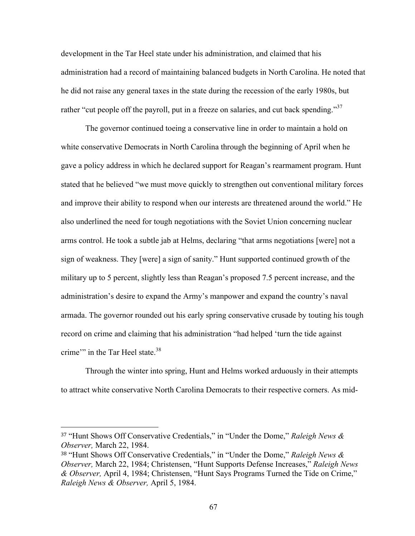development in the Tar Heel state under his administration, and claimed that his administration had a record of maintaining balanced budgets in North Carolina. He noted that he did not raise any general taxes in the state during the recession of the early 1980s, but rather "cut people off the payroll, put in a freeze on salaries, and cut back spending."<sup>37</sup>

The governor continued toeing a conservative line in order to maintain a hold on white conservative Democrats in North Carolina through the beginning of April when he gave a policy address in which he declared support for Reagan's rearmament program. Hunt stated that he believed "we must move quickly to strengthen out conventional military forces and improve their ability to respond when our interests are threatened around the world." He also underlined the need for tough negotiations with the Soviet Union concerning nuclear arms control. He took a subtle jab at Helms, declaring "that arms negotiations [were] not a sign of weakness. They [were] a sign of sanity." Hunt supported continued growth of the military up to 5 percent, slightly less than Reagan's proposed 7.5 percent increase, and the administration's desire to expand the Army's manpower and expand the country's naval armada. The governor rounded out his early spring conservative crusade by touting his tough record on crime and claiming that his administration "had helped 'turn the tide against crime" in the Tar Heel state.<sup>38</sup>

Through the winter into spring, Hunt and Helms worked arduously in their attempts to attract white conservative North Carolina Democrats to their respective corners. As mid-

<sup>37</sup> "Hunt Shows Off Conservative Credentials," in "Under the Dome," *Raleigh News & Observer,* March 22, 1984.

<sup>38</sup> "Hunt Shows Off Conservative Credentials," in "Under the Dome," *Raleigh News & Observer,* March 22, 1984; Christensen, "Hunt Supports Defense Increases," *Raleigh News & Observer,* April 4, 1984; Christensen, "Hunt Says Programs Turned the Tide on Crime," *Raleigh News & Observer,* April 5, 1984.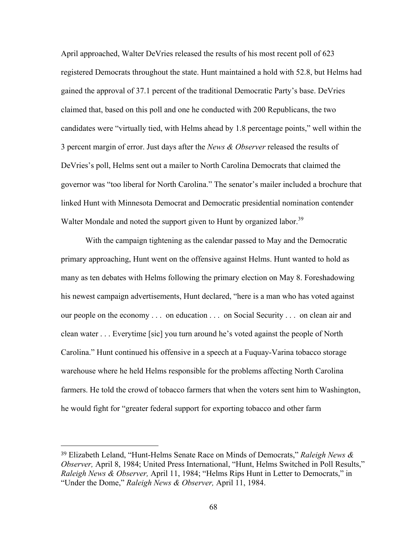April approached, Walter DeVries released the results of his most recent poll of 623 registered Democrats throughout the state. Hunt maintained a hold with 52.8, but Helms had gained the approval of 37.1 percent of the traditional Democratic Party's base. DeVries claimed that, based on this poll and one he conducted with 200 Republicans, the two candidates were "virtually tied, with Helms ahead by 1.8 percentage points," well within the 3 percent margin of error. Just days after the *News & Observer* released the results of DeVries's poll, Helms sent out a mailer to North Carolina Democrats that claimed the governor was "too liberal for North Carolina." The senator's mailer included a brochure that linked Hunt with Minnesota Democrat and Democratic presidential nomination contender Walter Mondale and noted the support given to Hunt by organized labor.<sup>39</sup>

With the campaign tightening as the calendar passed to May and the Democratic primary approaching, Hunt went on the offensive against Helms. Hunt wanted to hold as many as ten debates with Helms following the primary election on May 8. Foreshadowing his newest campaign advertisements, Hunt declared, "here is a man who has voted against our people on the economy . . . on education . . . on Social Security . . . on clean air and clean water . . . Everytime [sic] you turn around he's voted against the people of North Carolina." Hunt continued his offensive in a speech at a Fuquay-Varina tobacco storage warehouse where he held Helms responsible for the problems affecting North Carolina farmers. He told the crowd of tobacco farmers that when the voters sent him to Washington, he would fight for "greater federal support for exporting tobacco and other farm

<sup>39</sup> Elizabeth Leland, "Hunt-Helms Senate Race on Minds of Democrats," *Raleigh News & Observer,* April 8, 1984; United Press International, "Hunt, Helms Switched in Poll Results," *Raleigh News & Observer,* April 11, 1984; "Helms Rips Hunt in Letter to Democrats," in "Under the Dome," *Raleigh News & Observer,* April 11, 1984.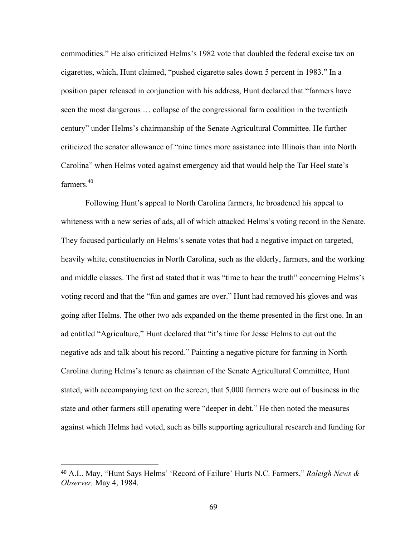commodities." He also criticized Helms's 1982 vote that doubled the federal excise tax on cigarettes, which, Hunt claimed, "pushed cigarette sales down 5 percent in 1983." In a position paper released in conjunction with his address, Hunt declared that "farmers have seen the most dangerous … collapse of the congressional farm coalition in the twentieth century" under Helms's chairmanship of the Senate Agricultural Committee. He further criticized the senator allowance of "nine times more assistance into Illinois than into North Carolina" when Helms voted against emergency aid that would help the Tar Heel state's farmers<sup>40</sup>

Following Hunt's appeal to North Carolina farmers, he broadened his appeal to whiteness with a new series of ads, all of which attacked Helms's voting record in the Senate. They focused particularly on Helms's senate votes that had a negative impact on targeted, heavily white, constituencies in North Carolina, such as the elderly, farmers, and the working and middle classes. The first ad stated that it was "time to hear the truth" concerning Helms's voting record and that the "fun and games are over." Hunt had removed his gloves and was going after Helms. The other two ads expanded on the theme presented in the first one. In an ad entitled "Agriculture," Hunt declared that "it's time for Jesse Helms to cut out the negative ads and talk about his record." Painting a negative picture for farming in North Carolina during Helms's tenure as chairman of the Senate Agricultural Committee, Hunt stated, with accompanying text on the screen, that 5,000 farmers were out of business in the state and other farmers still operating were "deeper in debt." He then noted the measures against which Helms had voted, such as bills supporting agricultural research and funding for

<sup>40</sup> A.L. May, "Hunt Says Helms' 'Record of Failure' Hurts N.C. Farmers," *Raleigh News & Observer,* May 4, 1984.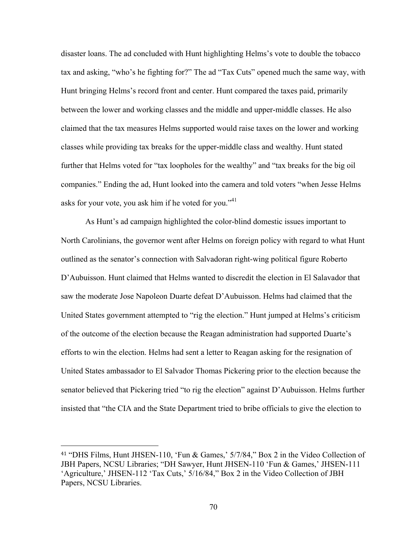disaster loans. The ad concluded with Hunt highlighting Helms's vote to double the tobacco tax and asking, "who's he fighting for?" The ad "Tax Cuts" opened much the same way, with Hunt bringing Helms's record front and center. Hunt compared the taxes paid, primarily between the lower and working classes and the middle and upper-middle classes. He also claimed that the tax measures Helms supported would raise taxes on the lower and working classes while providing tax breaks for the upper-middle class and wealthy. Hunt stated further that Helms voted for "tax loopholes for the wealthy" and "tax breaks for the big oil companies." Ending the ad, Hunt looked into the camera and told voters "when Jesse Helms asks for your vote, you ask him if he voted for you." $41$ 

As Hunt's ad campaign highlighted the color-blind domestic issues important to North Carolinians, the governor went after Helms on foreign policy with regard to what Hunt outlined as the senator's connection with Salvadoran right-wing political figure Roberto D'Aubuisson. Hunt claimed that Helms wanted to discredit the election in El Salavador that saw the moderate Jose Napoleon Duarte defeat D'Aubuisson. Helms had claimed that the United States government attempted to "rig the election." Hunt jumped at Helms's criticism of the outcome of the election because the Reagan administration had supported Duarte's efforts to win the election. Helms had sent a letter to Reagan asking for the resignation of United States ambassador to El Salvador Thomas Pickering prior to the election because the senator believed that Pickering tried "to rig the election" against D'Aubuisson. Helms further insisted that "the CIA and the State Department tried to bribe officials to give the election to

<sup>41</sup> "DHS Films, Hunt JHSEN-110, 'Fun & Games,' 5/7/84," Box 2 in the Video Collection of JBH Papers, NCSU Libraries; "DH Sawyer, Hunt JHSEN-110 'Fun & Games,' JHSEN-111 'Agriculture,' JHSEN-112 'Tax Cuts,' 5/16/84," Box 2 in the Video Collection of JBH Papers, NCSU Libraries.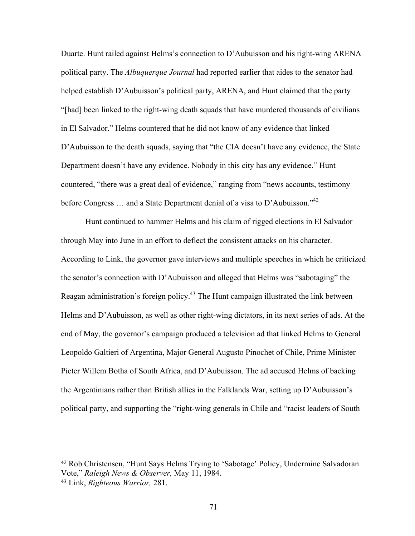Duarte. Hunt railed against Helms's connection to D'Aubuisson and his right-wing ARENA political party. The *Albuquerque Journal* had reported earlier that aides to the senator had helped establish D'Aubuisson's political party, ARENA, and Hunt claimed that the party "[had] been linked to the right-wing death squads that have murdered thousands of civilians in El Salvador." Helms countered that he did not know of any evidence that linked D'Aubuisson to the death squads, saying that "the CIA doesn't have any evidence, the State Department doesn't have any evidence. Nobody in this city has any evidence." Hunt countered, "there was a great deal of evidence," ranging from "news accounts, testimony before Congress … and a State Department denial of a visa to D'Aubuisson."<sup>42</sup>

Hunt continued to hammer Helms and his claim of rigged elections in El Salvador through May into June in an effort to deflect the consistent attacks on his character. According to Link, the governor gave interviews and multiple speeches in which he criticized the senator's connection with D'Aubuisson and alleged that Helms was "sabotaging" the Reagan administration's foreign policy.43 The Hunt campaign illustrated the link between Helms and D'Aubuisson, as well as other right-wing dictators, in its next series of ads. At the end of May, the governor's campaign produced a television ad that linked Helms to General Leopoldo Galtieri of Argentina, Major General Augusto Pinochet of Chile, Prime Minister Pieter Willem Botha of South Africa, and D'Aubuisson. The ad accused Helms of backing the Argentinians rather than British allies in the Falklands War, setting up D'Aubuisson's political party, and supporting the "right-wing generals in Chile and "racist leaders of South

<sup>42</sup> Rob Christensen, "Hunt Says Helms Trying to 'Sabotage' Policy, Undermine Salvadoran Vote," *Raleigh News & Observer,* May 11, 1984. <sup>43</sup> Link, *Righteous Warrior,* 281.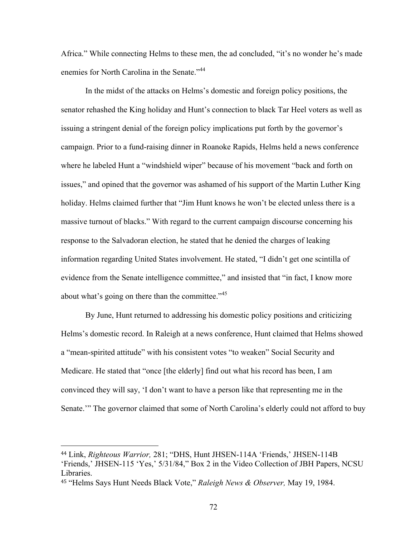Africa." While connecting Helms to these men, the ad concluded, "it's no wonder he's made enemies for North Carolina in the Senate."<sup>44</sup>

In the midst of the attacks on Helms's domestic and foreign policy positions, the senator rehashed the King holiday and Hunt's connection to black Tar Heel voters as well as issuing a stringent denial of the foreign policy implications put forth by the governor's campaign. Prior to a fund-raising dinner in Roanoke Rapids, Helms held a news conference where he labeled Hunt a "windshield wiper" because of his movement "back and forth on issues," and opined that the governor was ashamed of his support of the Martin Luther King holiday. Helms claimed further that "Jim Hunt knows he won't be elected unless there is a massive turnout of blacks." With regard to the current campaign discourse concerning his response to the Salvadoran election, he stated that he denied the charges of leaking information regarding United States involvement. He stated, "I didn't get one scintilla of evidence from the Senate intelligence committee," and insisted that "in fact, I know more about what's going on there than the committee."<sup>45</sup>

By June, Hunt returned to addressing his domestic policy positions and criticizing Helms's domestic record. In Raleigh at a news conference, Hunt claimed that Helms showed a "mean-spirited attitude" with his consistent votes "to weaken" Social Security and Medicare. He stated that "once [the elderly] find out what his record has been, I am convinced they will say, 'I don't want to have a person like that representing me in the Senate.'" The governor claimed that some of North Carolina's elderly could not afford to buy

<sup>44</sup> Link, *Righteous Warrior,* 281; "DHS, Hunt JHSEN-114A 'Friends,' JHSEN-114B 'Friends,' JHSEN-115 'Yes,' 5/31/84," Box 2 in the Video Collection of JBH Papers, NCSU Libraries.

<sup>45</sup> "Helms Says Hunt Needs Black Vote," *Raleigh News & Observer,* May 19, 1984.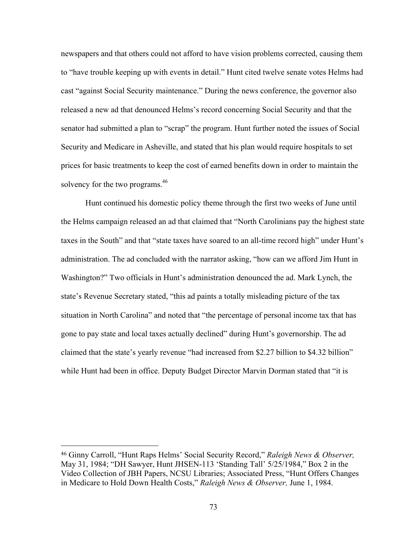newspapers and that others could not afford to have vision problems corrected, causing them to "have trouble keeping up with events in detail." Hunt cited twelve senate votes Helms had cast "against Social Security maintenance." During the news conference, the governor also released a new ad that denounced Helms's record concerning Social Security and that the senator had submitted a plan to "scrap" the program. Hunt further noted the issues of Social Security and Medicare in Asheville, and stated that his plan would require hospitals to set prices for basic treatments to keep the cost of earned benefits down in order to maintain the solvency for the two programs.<sup>46</sup>

Hunt continued his domestic policy theme through the first two weeks of June until the Helms campaign released an ad that claimed that "North Carolinians pay the highest state taxes in the South" and that "state taxes have soared to an all-time record high" under Hunt's administration. The ad concluded with the narrator asking, "how can we afford Jim Hunt in Washington?" Two officials in Hunt's administration denounced the ad. Mark Lynch, the state's Revenue Secretary stated, "this ad paints a totally misleading picture of the tax situation in North Carolina" and noted that "the percentage of personal income tax that has gone to pay state and local taxes actually declined" during Hunt's governorship. The ad claimed that the state's yearly revenue "had increased from \$2.27 billion to \$4.32 billion" while Hunt had been in office. Deputy Budget Director Marvin Dorman stated that "it is

<sup>46</sup> Ginny Carroll, "Hunt Raps Helms' Social Security Record," *Raleigh News & Observer,*  May 31, 1984; "DH Sawyer, Hunt JHSEN-113 'Standing Tall' 5/25/1984," Box 2 in the Video Collection of JBH Papers, NCSU Libraries; Associated Press, "Hunt Offers Changes in Medicare to Hold Down Health Costs," *Raleigh News & Observer,* June 1, 1984.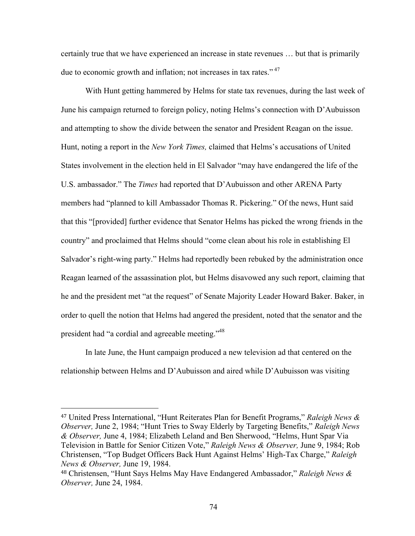certainly true that we have experienced an increase in state revenues … but that is primarily due to economic growth and inflation; not increases in tax rates."<sup>47</sup>

With Hunt getting hammered by Helms for state tax revenues, during the last week of June his campaign returned to foreign policy, noting Helms's connection with D'Aubuisson and attempting to show the divide between the senator and President Reagan on the issue. Hunt, noting a report in the *New York Times,* claimed that Helms's accusations of United States involvement in the election held in El Salvador "may have endangered the life of the U.S. ambassador." The *Times* had reported that D'Aubuisson and other ARENA Party members had "planned to kill Ambassador Thomas R. Pickering." Of the news, Hunt said that this "[provided] further evidence that Senator Helms has picked the wrong friends in the country" and proclaimed that Helms should "come clean about his role in establishing El Salvador's right-wing party." Helms had reportedly been rebuked by the administration once Reagan learned of the assassination plot, but Helms disavowed any such report, claiming that he and the president met "at the request" of Senate Majority Leader Howard Baker. Baker, in order to quell the notion that Helms had angered the president, noted that the senator and the president had "a cordial and agreeable meeting."48

In late June, the Hunt campaign produced a new television ad that centered on the relationship between Helms and D'Aubuisson and aired while D'Aubuisson was visiting

<sup>47</sup> United Press International, "Hunt Reiterates Plan for Benefit Programs," *Raleigh News & Observer,* June 2, 1984; "Hunt Tries to Sway Elderly by Targeting Benefits," *Raleigh News & Observer,* June 4, 1984; Elizabeth Leland and Ben Sherwood, "Helms, Hunt Spar Via Television in Battle for Senior Citizen Vote," *Raleigh News & Observer,* June 9, 1984; Rob Christensen, "Top Budget Officers Back Hunt Against Helms' High-Tax Charge," *Raleigh News & Observer,* June 19, 1984.

<sup>48</sup> Christensen, "Hunt Says Helms May Have Endangered Ambassador," *Raleigh News & Observer,* June 24, 1984.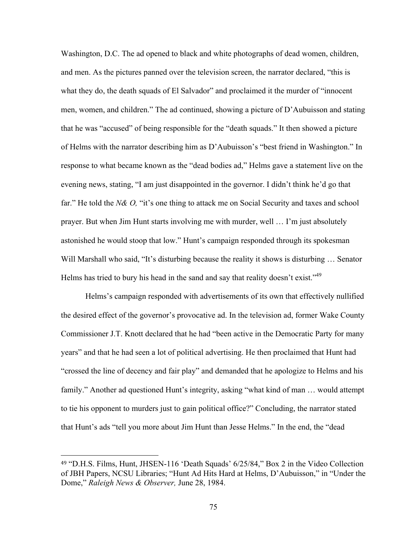Washington, D.C. The ad opened to black and white photographs of dead women, children, and men. As the pictures panned over the television screen, the narrator declared, "this is what they do, the death squads of El Salvador" and proclaimed it the murder of "innocent" men, women, and children." The ad continued, showing a picture of D'Aubuisson and stating that he was "accused" of being responsible for the "death squads." It then showed a picture of Helms with the narrator describing him as D'Aubuisson's "best friend in Washington." In response to what became known as the "dead bodies ad," Helms gave a statement live on the evening news, stating, "I am just disappointed in the governor. I didn't think he'd go that far." He told the *N& O,* "it's one thing to attack me on Social Security and taxes and school prayer. But when Jim Hunt starts involving me with murder, well … I'm just absolutely astonished he would stoop that low." Hunt's campaign responded through its spokesman Will Marshall who said, "It's disturbing because the reality it shows is disturbing ... Senator Helms has tried to bury his head in the sand and say that reality doesn't exist."<sup>49</sup>

Helms's campaign responded with advertisements of its own that effectively nullified the desired effect of the governor's provocative ad. In the television ad, former Wake County Commissioner J.T. Knott declared that he had "been active in the Democratic Party for many years" and that he had seen a lot of political advertising. He then proclaimed that Hunt had "crossed the line of decency and fair play" and demanded that he apologize to Helms and his family." Another ad questioned Hunt's integrity, asking "what kind of man … would attempt to tie his opponent to murders just to gain political office?" Concluding, the narrator stated that Hunt's ads "tell you more about Jim Hunt than Jesse Helms." In the end, the "dead

<sup>49</sup> "D.H.S. Films, Hunt, JHSEN-116 'Death Squads' 6/25/84," Box 2 in the Video Collection of JBH Papers, NCSU Libraries; "Hunt Ad Hits Hard at Helms, D'Aubuisson," in "Under the Dome," *Raleigh News & Observer,* June 28, 1984.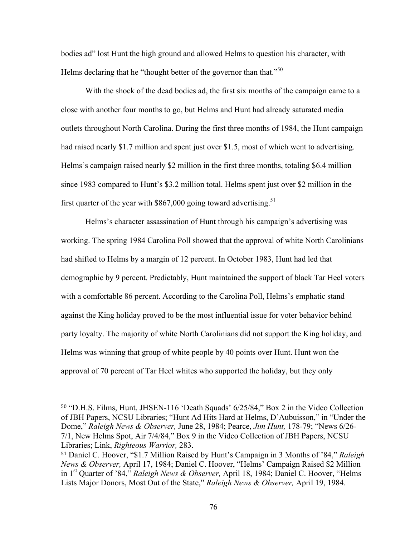bodies ad" lost Hunt the high ground and allowed Helms to question his character, with Helms declaring that he "thought better of the governor than that."<sup>50</sup>

With the shock of the dead bodies ad, the first six months of the campaign came to a close with another four months to go, but Helms and Hunt had already saturated media outlets throughout North Carolina. During the first three months of 1984, the Hunt campaign had raised nearly \$1.7 million and spent just over \$1.5, most of which went to advertising. Helms's campaign raised nearly \$2 million in the first three months, totaling \$6.4 million since 1983 compared to Hunt's \$3.2 million total. Helms spent just over \$2 million in the first quarter of the year with  $$867,000$  going toward advertising.<sup>51</sup>

Helms's character assassination of Hunt through his campaign's advertising was working. The spring 1984 Carolina Poll showed that the approval of white North Carolinians had shifted to Helms by a margin of 12 percent. In October 1983, Hunt had led that demographic by 9 percent. Predictably, Hunt maintained the support of black Tar Heel voters with a comfortable 86 percent. According to the Carolina Poll, Helms's emphatic stand against the King holiday proved to be the most influential issue for voter behavior behind party loyalty. The majority of white North Carolinians did not support the King holiday, and Helms was winning that group of white people by 40 points over Hunt. Hunt won the approval of 70 percent of Tar Heel whites who supported the holiday, but they only

<sup>50</sup> "D.H.S. Films, Hunt, JHSEN-116 'Death Squads' 6/25/84," Box 2 in the Video Collection of JBH Papers, NCSU Libraries; "Hunt Ad Hits Hard at Helms, D'Aubuisson," in "Under the Dome," *Raleigh News & Observer,* June 28, 1984; Pearce, *Jim Hunt,* 178-79; "News 6/26- 7/1, New Helms Spot, Air 7/4/84," Box 9 in the Video Collection of JBH Papers, NCSU Libraries; Link, *Righteous Warrior,* 283.

<sup>51</sup> Daniel C. Hoover, "\$1.7 Million Raised by Hunt's Campaign in 3 Months of '84," *Raleigh News & Observer,* April 17, 1984; Daniel C. Hoover, "Helms' Campaign Raised \$2 Million in 1st Quarter of '84," *Raleigh News & Observer,* April 18, 1984; Daniel C. Hoover, "Helms Lists Major Donors, Most Out of the State," *Raleigh News & Observer,* April 19, 1984.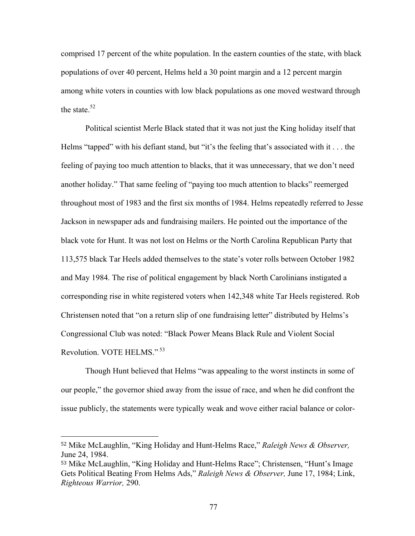comprised 17 percent of the white population. In the eastern counties of the state, with black populations of over 40 percent, Helms held a 30 point margin and a 12 percent margin among white voters in counties with low black populations as one moved westward through the state  $52$ 

Political scientist Merle Black stated that it was not just the King holiday itself that Helms "tapped" with his defiant stand, but "it's the feeling that's associated with it . . . the feeling of paying too much attention to blacks, that it was unnecessary, that we don't need another holiday." That same feeling of "paying too much attention to blacks" reemerged throughout most of 1983 and the first six months of 1984. Helms repeatedly referred to Jesse Jackson in newspaper ads and fundraising mailers. He pointed out the importance of the black vote for Hunt. It was not lost on Helms or the North Carolina Republican Party that 113,575 black Tar Heels added themselves to the state's voter rolls between October 1982 and May 1984. The rise of political engagement by black North Carolinians instigated a corresponding rise in white registered voters when 142,348 white Tar Heels registered. Rob Christensen noted that "on a return slip of one fundraising letter" distributed by Helms's Congressional Club was noted: "Black Power Means Black Rule and Violent Social Revolution. VOTE HELMS." <sup>53</sup>

Though Hunt believed that Helms "was appealing to the worst instincts in some of our people," the governor shied away from the issue of race, and when he did confront the issue publicly, the statements were typically weak and wove either racial balance or color-

<sup>52</sup> Mike McLaughlin, "King Holiday and Hunt-Helms Race," *Raleigh News & Observer,*  June 24, 1984.

<sup>53</sup> Mike McLaughlin, "King Holiday and Hunt-Helms Race"; Christensen, "Hunt's Image Gets Political Beating From Helms Ads," *Raleigh News & Observer,* June 17, 1984; Link, *Righteous Warrior,* 290.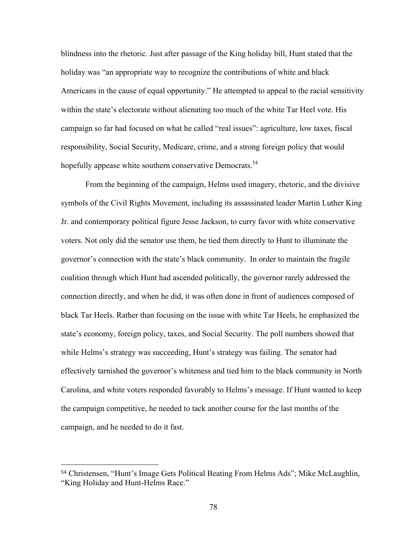blindness into the rhetoric. Just after passage of the King holiday bill, Hunt stated that the holiday was "an appropriate way to recognize the contributions of white and black Americans in the cause of equal opportunity." He attempted to appeal to the racial sensitivity within the state's electorate without alienating too much of the white Tar Heel vote. His campaign so far had focused on what he called "real issues": agriculture, low taxes, fiscal responsibility, Social Security, Medicare, crime, and a strong foreign policy that would hopefully appease white southern conservative Democrats.<sup>54</sup>

From the beginning of the campaign, Helms used imagery, rhetoric, and the divisive symbols of the Civil Rights Movement, including its assassinated leader Martin Luther King Jr. and contemporary political figure Jesse Jackson, to curry favor with white conservative voters. Not only did the senator use them, he tied them directly to Hunt to illuminate the governor's connection with the state's black community. In order to maintain the fragile coalition through which Hunt had ascended politically, the governor rarely addressed the connection directly, and when he did, it was often done in front of audiences composed of black Tar Heels. Rather than focusing on the issue with white Tar Heels, he emphasized the state's economy, foreign policy, taxes, and Social Security. The poll numbers showed that while Helms's strategy was succeeding, Hunt's strategy was failing. The senator had effectively tarnished the governor's whiteness and tied him to the black community in North Carolina, and white voters responded favorably to Helms's message. If Hunt wanted to keep the campaign competitive, he needed to tack another course for the last months of the campaign, and he needed to do it fast.

<sup>54</sup> Christensen, "Hunt's Image Gets Political Beating From Helms Ads"; Mike McLaughlin, "King Holiday and Hunt-Helms Race."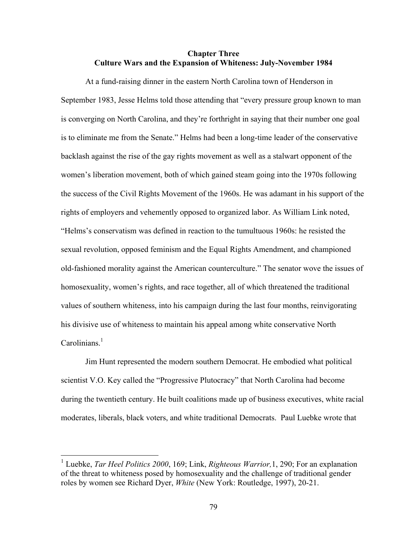## **Chapter Three Culture Wars and the Expansion of Whiteness: July-November 1984**

At a fund-raising dinner in the eastern North Carolina town of Henderson in September 1983, Jesse Helms told those attending that "every pressure group known to man is converging on North Carolina, and they're forthright in saying that their number one goal is to eliminate me from the Senate." Helms had been a long-time leader of the conservative backlash against the rise of the gay rights movement as well as a stalwart opponent of the women's liberation movement, both of which gained steam going into the 1970s following the success of the Civil Rights Movement of the 1960s. He was adamant in his support of the rights of employers and vehemently opposed to organized labor. As William Link noted, "Helms's conservatism was defined in reaction to the tumultuous 1960s: he resisted the sexual revolution, opposed feminism and the Equal Rights Amendment, and championed old-fashioned morality against the American counterculture." The senator wove the issues of homosexuality, women's rights, and race together, all of which threatened the traditional values of southern whiteness, into his campaign during the last four months, reinvigorating his divisive use of whiteness to maintain his appeal among white conservative North Carolinians. $<sup>1</sup>$ </sup>

Jim Hunt represented the modern southern Democrat. He embodied what political scientist V.O. Key called the "Progressive Plutocracy" that North Carolina had become during the twentieth century. He built coalitions made up of business executives, white racial moderates, liberals, black voters, and white traditional Democrats. Paul Luebke wrote that

 <sup>1</sup> Luebke, *Tar Heel Politics 2000*, 169; Link, *Righteous Warrior,*1, 290; For an explanation of the threat to whiteness posed by homosexuality and the challenge of traditional gender roles by women see Richard Dyer, *White* (New York: Routledge, 1997), 20-21.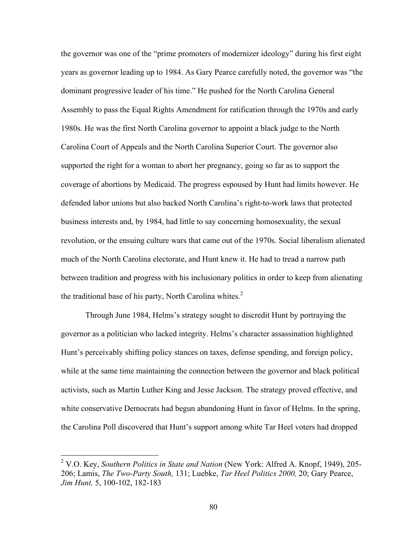the governor was one of the "prime promoters of modernizer ideology" during his first eight years as governor leading up to 1984. As Gary Pearce carefully noted, the governor was "the dominant progressive leader of his time." He pushed for the North Carolina General Assembly to pass the Equal Rights Amendment for ratification through the 1970s and early 1980s. He was the first North Carolina governor to appoint a black judge to the North Carolina Court of Appeals and the North Carolina Superior Court. The governor also supported the right for a woman to abort her pregnancy, going so far as to support the coverage of abortions by Medicaid. The progress espoused by Hunt had limits however. He defended labor unions but also backed North Carolina's right-to-work laws that protected business interests and, by 1984, had little to say concerning homosexuality, the sexual revolution, or the ensuing culture wars that came out of the 1970s. Social liberalism alienated much of the North Carolina electorate, and Hunt knew it. He had to tread a narrow path between tradition and progress with his inclusionary politics in order to keep from alienating the traditional base of his party, North Carolina whites. $2^2$ 

Through June 1984, Helms's strategy sought to discredit Hunt by portraying the governor as a politician who lacked integrity. Helms's character assassination highlighted Hunt's perceivably shifting policy stances on taxes, defense spending, and foreign policy, while at the same time maintaining the connection between the governor and black political activists, such as Martin Luther King and Jesse Jackson. The strategy proved effective, and white conservative Democrats had begun abandoning Hunt in favor of Helms. In the spring, the Carolina Poll discovered that Hunt's support among white Tar Heel voters had dropped

 <sup>2</sup> V.O. Key, *Southern Politics in State and Nation* (New York: Alfred A. Knopf, 1949), 205- 206; Lamis, *The Two-Party South,* 131; Luebke, *Tar Heel Politics 2000,* 20; Gary Pearce, *Jim Hunt,* 5, 100-102, 182-183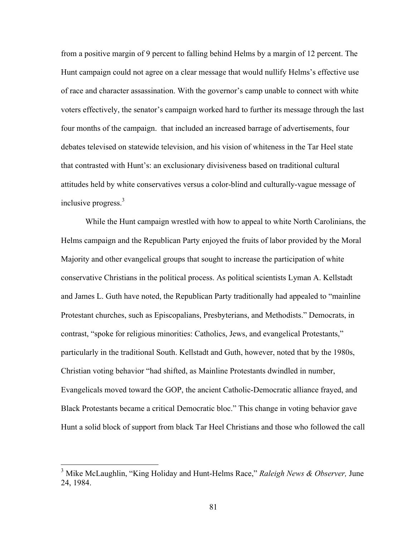from a positive margin of 9 percent to falling behind Helms by a margin of 12 percent. The Hunt campaign could not agree on a clear message that would nullify Helms's effective use of race and character assassination. With the governor's camp unable to connect with white voters effectively, the senator's campaign worked hard to further its message through the last four months of the campaign. that included an increased barrage of advertisements, four debates televised on statewide television, and his vision of whiteness in the Tar Heel state that contrasted with Hunt's: an exclusionary divisiveness based on traditional cultural attitudes held by white conservatives versus a color-blind and culturally-vague message of inclusive progress.<sup>3</sup>

While the Hunt campaign wrestled with how to appeal to white North Carolinians, the Helms campaign and the Republican Party enjoyed the fruits of labor provided by the Moral Majority and other evangelical groups that sought to increase the participation of white conservative Christians in the political process. As political scientists Lyman A. Kellstadt and James L. Guth have noted, the Republican Party traditionally had appealed to "mainline Protestant churches, such as Episcopalians, Presbyterians, and Methodists." Democrats, in contrast, "spoke for religious minorities: Catholics, Jews, and evangelical Protestants," particularly in the traditional South. Kellstadt and Guth, however, noted that by the 1980s, Christian voting behavior "had shifted, as Mainline Protestants dwindled in number, Evangelicals moved toward the GOP, the ancient Catholic-Democratic alliance frayed, and Black Protestants became a critical Democratic bloc." This change in voting behavior gave Hunt a solid block of support from black Tar Heel Christians and those who followed the call

 <sup>3</sup> Mike McLaughlin, "King Holiday and Hunt-Helms Race," *Raleigh News & Observer,* June 24, 1984.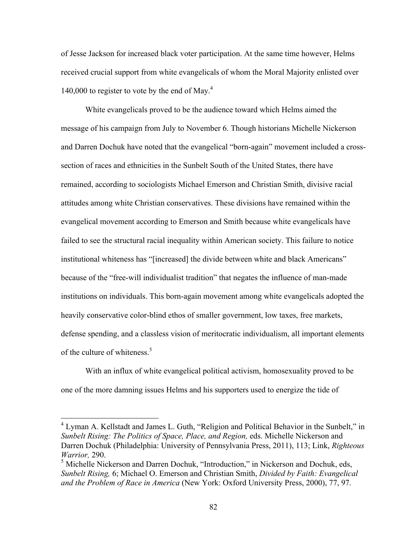of Jesse Jackson for increased black voter participation. At the same time however, Helms received crucial support from white evangelicals of whom the Moral Majority enlisted over 140,000 to register to vote by the end of May. $4$ 

White evangelicals proved to be the audience toward which Helms aimed the message of his campaign from July to November 6. Though historians Michelle Nickerson and Darren Dochuk have noted that the evangelical "born-again" movement included a crosssection of races and ethnicities in the Sunbelt South of the United States, there have remained, according to sociologists Michael Emerson and Christian Smith, divisive racial attitudes among white Christian conservatives. These divisions have remained within the evangelical movement according to Emerson and Smith because white evangelicals have failed to see the structural racial inequality within American society. This failure to notice institutional whiteness has "[increased] the divide between white and black Americans" because of the "free-will individualist tradition" that negates the influence of man-made institutions on individuals. This born-again movement among white evangelicals adopted the heavily conservative color-blind ethos of smaller government, low taxes, free markets, defense spending, and a classless vision of meritocratic individualism, all important elements of the culture of whiteness.<sup>5</sup>

With an influx of white evangelical political activism, homosexuality proved to be one of the more damning issues Helms and his supporters used to energize the tide of

<sup>&</sup>lt;sup>4</sup> Lyman A. Kellstadt and James L. Guth, "Religion and Political Behavior in the Sunbelt," in *Sunbelt Rising: The Politics of Space, Place, and Region, eds. Michelle Nickerson and* Darren Dochuk (Philadelphia: University of Pennsylvania Press, 2011), 113; Link, *Righteous Warrior,* 290.

<sup>5</sup> Michelle Nickerson and Darren Dochuk, "Introduction," in Nickerson and Dochuk, eds, *Sunbelt Rising,* 6; Michael O. Emerson and Christian Smith, *Divided by Faith: Evangelical and the Problem of Race in America* (New York: Oxford University Press, 2000), 77, 97.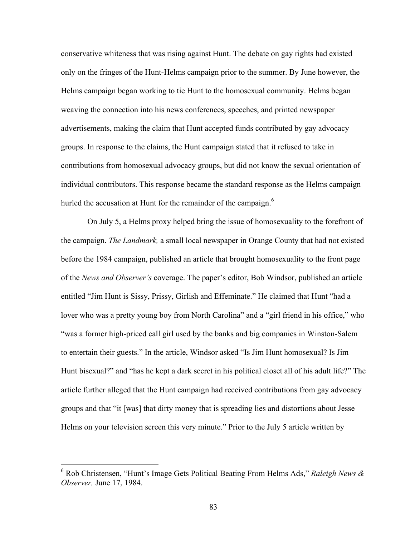conservative whiteness that was rising against Hunt. The debate on gay rights had existed only on the fringes of the Hunt-Helms campaign prior to the summer. By June however, the Helms campaign began working to tie Hunt to the homosexual community. Helms began weaving the connection into his news conferences, speeches, and printed newspaper advertisements, making the claim that Hunt accepted funds contributed by gay advocacy groups. In response to the claims, the Hunt campaign stated that it refused to take in contributions from homosexual advocacy groups, but did not know the sexual orientation of individual contributors. This response became the standard response as the Helms campaign hurled the accusation at Hunt for the remainder of the campaign.<sup>6</sup>

On July 5, a Helms proxy helped bring the issue of homosexuality to the forefront of the campaign. *The Landmark,* a small local newspaper in Orange County that had not existed before the 1984 campaign, published an article that brought homosexuality to the front page of the *News and Observer's* coverage. The paper's editor, Bob Windsor, published an article entitled "Jim Hunt is Sissy, Prissy, Girlish and Effeminate." He claimed that Hunt "had a lover who was a pretty young boy from North Carolina" and a "girl friend in his office," who "was a former high-priced call girl used by the banks and big companies in Winston-Salem to entertain their guests." In the article, Windsor asked "Is Jim Hunt homosexual? Is Jim Hunt bisexual?" and "has he kept a dark secret in his political closet all of his adult life?" The article further alleged that the Hunt campaign had received contributions from gay advocacy groups and that "it [was] that dirty money that is spreading lies and distortions about Jesse Helms on your television screen this very minute." Prior to the July 5 article written by

 <sup>6</sup> Rob Christensen, "Hunt's Image Gets Political Beating From Helms Ads," *Raleigh News & Observer,* June 17, 1984.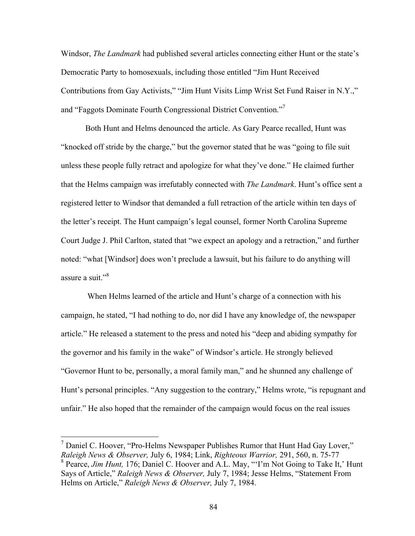Windsor, *The Landmark* had published several articles connecting either Hunt or the state's Democratic Party to homosexuals, including those entitled "Jim Hunt Received Contributions from Gay Activists," "Jim Hunt Visits Limp Wrist Set Fund Raiser in N.Y.," and "Faggots Dominate Fourth Congressional District Convention."7

Both Hunt and Helms denounced the article. As Gary Pearce recalled, Hunt was "knocked off stride by the charge," but the governor stated that he was "going to file suit unless these people fully retract and apologize for what they've done." He claimed further that the Helms campaign was irrefutably connected with *The Landmark*. Hunt's office sent a registered letter to Windsor that demanded a full retraction of the article within ten days of the letter's receipt. The Hunt campaign's legal counsel, former North Carolina Supreme Court Judge J. Phil Carlton, stated that "we expect an apology and a retraction," and further noted: "what [Windsor] does won't preclude a lawsuit, but his failure to do anything will assure a suit. $^{98}$ 

When Helms learned of the article and Hunt's charge of a connection with his campaign, he stated, "I had nothing to do, nor did I have any knowledge of, the newspaper article." He released a statement to the press and noted his "deep and abiding sympathy for the governor and his family in the wake" of Windsor's article. He strongly believed "Governor Hunt to be, personally, a moral family man," and he shunned any challenge of Hunt's personal principles. "Any suggestion to the contrary," Helms wrote, "is repugnant and unfair." He also hoped that the remainder of the campaign would focus on the real issues

 $<sup>7</sup>$  Daniel C. Hoover, "Pro-Helms Newspaper Publishes Rumor that Hunt Had Gay Lover,"</sup> *Raleigh News & Observer,* July 6, 1984; Link, *Righteous Warrior,* 291, 560, n. 75-77 <sup>8</sup> Pearce, *Jim Hunt,* 176; Daniel C. Hoover and A.L. May, "'I'm Not Going to Take It,' Hunt Says of Article," *Raleigh News & Observer,* July 7, 1984; Jesse Helms, "Statement From Helms on Article," *Raleigh News & Observer,* July 7, 1984.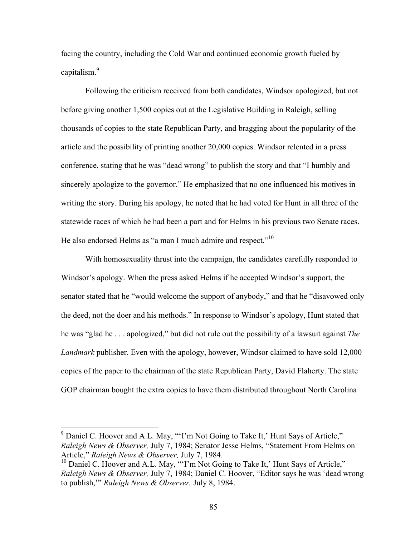facing the country, including the Cold War and continued economic growth fueled by capitalism.<sup>9</sup>

Following the criticism received from both candidates, Windsor apologized, but not before giving another 1,500 copies out at the Legislative Building in Raleigh, selling thousands of copies to the state Republican Party, and bragging about the popularity of the article and the possibility of printing another 20,000 copies. Windsor relented in a press conference, stating that he was "dead wrong" to publish the story and that "I humbly and sincerely apologize to the governor." He emphasized that no one influenced his motives in writing the story. During his apology, he noted that he had voted for Hunt in all three of the statewide races of which he had been a part and for Helms in his previous two Senate races. He also endorsed Helms as "a man I much admire and respect."<sup>10</sup>

With homosexuality thrust into the campaign, the candidates carefully responded to Windsor's apology. When the press asked Helms if he accepted Windsor's support, the senator stated that he "would welcome the support of anybody," and that he "disavowed only the deed, not the doer and his methods." In response to Windsor's apology, Hunt stated that he was "glad he . . . apologized," but did not rule out the possibility of a lawsuit against *The Landmark* publisher. Even with the apology, however, Windsor claimed to have sold 12,000 copies of the paper to the chairman of the state Republican Party, David Flaherty. The state GOP chairman bought the extra copies to have them distributed throughout North Carolina

<sup>&</sup>lt;sup>9</sup> Daniel C. Hoover and A.L. May, "T'm Not Going to Take It,' Hunt Says of Article," *Raleigh News & Observer,* July 7, 1984; Senator Jesse Helms, "Statement From Helms on Article," *Raleigh News & Observer,* July 7, 1984.

 $10$  Daniel C. Hoover and A.L. May, "T'm Not Going to Take It,' Hunt Says of Article," *Raleigh News & Observer,* July 7, 1984; Daniel C. Hoover, "Editor says he was 'dead wrong to publish,'" *Raleigh News & Observer,* July 8, 1984.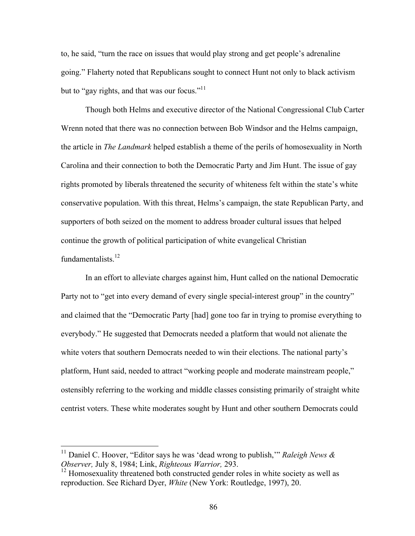to, he said, "turn the race on issues that would play strong and get people's adrenaline going." Flaherty noted that Republicans sought to connect Hunt not only to black activism but to "gay rights, and that was our focus."<sup>11</sup>

Though both Helms and executive director of the National Congressional Club Carter Wrenn noted that there was no connection between Bob Windsor and the Helms campaign, the article in *The Landmark* helped establish a theme of the perils of homosexuality in North Carolina and their connection to both the Democratic Party and Jim Hunt. The issue of gay rights promoted by liberals threatened the security of whiteness felt within the state's white conservative population. With this threat, Helms's campaign, the state Republican Party, and supporters of both seized on the moment to address broader cultural issues that helped continue the growth of political participation of white evangelical Christian fundamentalists.<sup>12</sup>

In an effort to alleviate charges against him, Hunt called on the national Democratic Party not to "get into every demand of every single special-interest group" in the country" and claimed that the "Democratic Party [had] gone too far in trying to promise everything to everybody." He suggested that Democrats needed a platform that would not alienate the white voters that southern Democrats needed to win their elections. The national party's platform, Hunt said, needed to attract "working people and moderate mainstream people," ostensibly referring to the working and middle classes consisting primarily of straight white centrist voters. These white moderates sought by Hunt and other southern Democrats could

<sup>&</sup>lt;sup>11</sup> Daniel C. Hoover, "Editor says he was 'dead wrong to publish," *Raleigh News & Observer,* July 8, 1984; Link, *Righteous Warrior,* 293.

 $12$  Homosexuality threatened both constructed gender roles in white society as well as reproduction. See Richard Dyer, *White* (New York: Routledge, 1997), 20.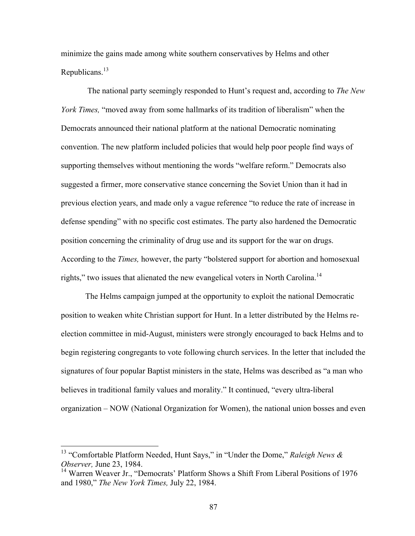minimize the gains made among white southern conservatives by Helms and other Republicans.<sup>13</sup>

The national party seemingly responded to Hunt's request and, according to *The New York Times,* "moved away from some hallmarks of its tradition of liberalism" when the Democrats announced their national platform at the national Democratic nominating convention. The new platform included policies that would help poor people find ways of supporting themselves without mentioning the words "welfare reform." Democrats also suggested a firmer, more conservative stance concerning the Soviet Union than it had in previous election years, and made only a vague reference "to reduce the rate of increase in defense spending" with no specific cost estimates. The party also hardened the Democratic position concerning the criminality of drug use and its support for the war on drugs. According to the *Times,* however, the party "bolstered support for abortion and homosexual rights," two issues that alienated the new evangelical voters in North Carolina.14

The Helms campaign jumped at the opportunity to exploit the national Democratic position to weaken white Christian support for Hunt. In a letter distributed by the Helms reelection committee in mid-August, ministers were strongly encouraged to back Helms and to begin registering congregants to vote following church services. In the letter that included the signatures of four popular Baptist ministers in the state, Helms was described as "a man who believes in traditional family values and morality." It continued, "every ultra-liberal organization – NOW (National Organization for Women), the national union bosses and even

 <sup>13</sup> "Comfortable Platform Needed, Hunt Says," in "Under the Dome," *Raleigh News & Observer,* June 23, 1984.

<sup>&</sup>lt;sup>14</sup> Warren Weaver Jr., "Democrats' Platform Shows a Shift From Liberal Positions of 1976 and 1980," *The New York Times,* July 22, 1984.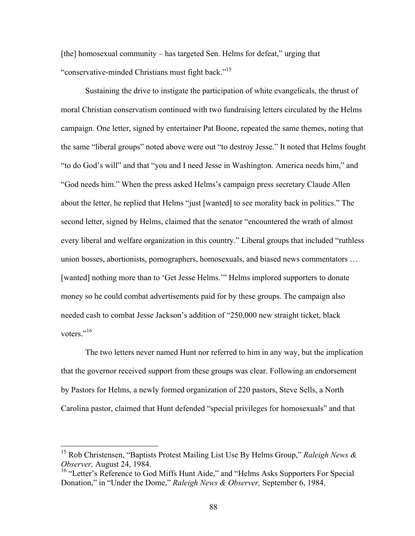[the] homosexual community – has targeted Sen. Helms for defeat," urging that "conservative-minded Christians must fight back."15

Sustaining the drive to instigate the participation of white evangelicals, the thrust of moral Christian conservatism continued with two fundraising letters circulated by the Helms campaign. One letter, signed by entertainer Pat Boone, repeated the same themes, noting that the same "liberal groups" noted above were out "to destroy Jesse." It noted that Helms fought "to do God's will" and that "you and I need Jesse in Washington. America needs him," and "God needs him." When the press asked Helms's campaign press secretary Claude Allen about the letter, he replied that Helms "just [wanted] to see morality back in politics." The second letter, signed by Helms, claimed that the senator "encountered the wrath of almost every liberal and welfare organization in this country." Liberal groups that included "ruthless union bosses, abortionists, pornographers, homosexuals, and biased news commentators … [wanted] nothing more than to 'Get Jesse Helms.'" Helms implored supporters to donate money so he could combat advertisements paid for by these groups. The campaign also needed cash to combat Jesse Jackson's addition of "250,000 new straight ticket, black voters."<sup>16</sup>

The two letters never named Hunt nor referred to him in any way, but the implication that the governor received support from these groups was clear. Following an endorsement by Pastors for Helms, a newly formed organization of 220 pastors, Steve Sells, a North Carolina pastor, claimed that Hunt defended "special privileges for homosexuals" and that

 <sup>15</sup> Rob Christensen, "Baptists Protest Mailing List Use By Helms Group," *Raleigh News & Observer,* August 24, 1984.

<sup>&</sup>lt;sup>16</sup> "Letter's Reference to God Miffs Hunt Aide," and "Helms Asks Supporters For Special Donation," in "Under the Dome," *Raleigh News & Observer,* September 6, 1984.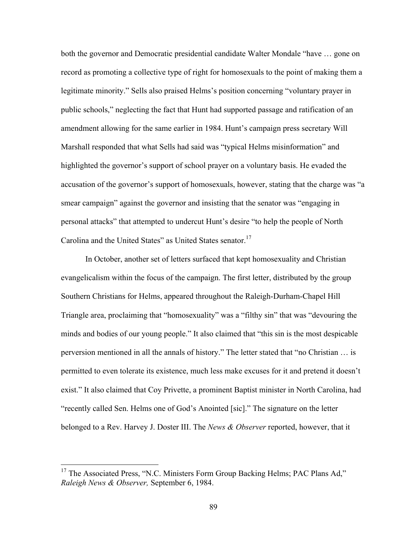both the governor and Democratic presidential candidate Walter Mondale "have … gone on record as promoting a collective type of right for homosexuals to the point of making them a legitimate minority." Sells also praised Helms's position concerning "voluntary prayer in public schools," neglecting the fact that Hunt had supported passage and ratification of an amendment allowing for the same earlier in 1984. Hunt's campaign press secretary Will Marshall responded that what Sells had said was "typical Helms misinformation" and highlighted the governor's support of school prayer on a voluntary basis. He evaded the accusation of the governor's support of homosexuals, however, stating that the charge was "a smear campaign" against the governor and insisting that the senator was "engaging in personal attacks" that attempted to undercut Hunt's desire "to help the people of North Carolina and the United States" as United States senator.<sup>17</sup>

In October, another set of letters surfaced that kept homosexuality and Christian evangelicalism within the focus of the campaign. The first letter, distributed by the group Southern Christians for Helms, appeared throughout the Raleigh-Durham-Chapel Hill Triangle area, proclaiming that "homosexuality" was a "filthy sin" that was "devouring the minds and bodies of our young people." It also claimed that "this sin is the most despicable perversion mentioned in all the annals of history." The letter stated that "no Christian … is permitted to even tolerate its existence, much less make excuses for it and pretend it doesn't exist." It also claimed that Coy Privette, a prominent Baptist minister in North Carolina, had "recently called Sen. Helms one of God's Anointed [sic]." The signature on the letter belonged to a Rev. Harvey J. Doster III. The *News & Observer* reported, however, that it

<sup>&</sup>lt;sup>17</sup> The Associated Press, "N.C. Ministers Form Group Backing Helms; PAC Plans Ad," *Raleigh News & Observer,* September 6, 1984.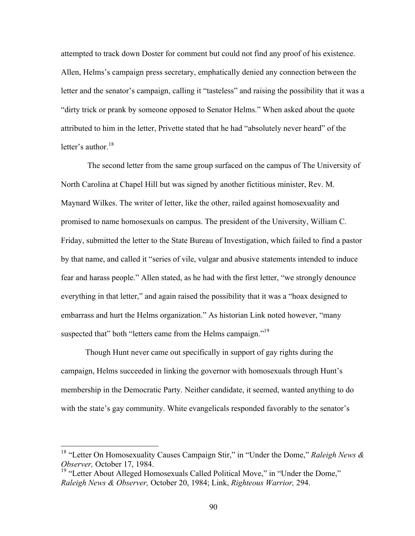attempted to track down Doster for comment but could not find any proof of his existence. Allen, Helms's campaign press secretary, emphatically denied any connection between the letter and the senator's campaign, calling it "tasteless" and raising the possibility that it was a "dirty trick or prank by someone opposed to Senator Helms." When asked about the quote attributed to him in the letter, Privette stated that he had "absolutely never heard" of the letter's author. $18$ 

The second letter from the same group surfaced on the campus of The University of North Carolina at Chapel Hill but was signed by another fictitious minister, Rev. M. Maynard Wilkes. The writer of letter, like the other, railed against homosexuality and promised to name homosexuals on campus. The president of the University, William C. Friday, submitted the letter to the State Bureau of Investigation, which failed to find a pastor by that name, and called it "series of vile, vulgar and abusive statements intended to induce fear and harass people." Allen stated, as he had with the first letter, "we strongly denounce everything in that letter," and again raised the possibility that it was a "hoax designed to embarrass and hurt the Helms organization." As historian Link noted however, "many suspected that" both "letters came from the Helms campaign."<sup>19</sup>

Though Hunt never came out specifically in support of gay rights during the campaign, Helms succeeded in linking the governor with homosexuals through Hunt's membership in the Democratic Party. Neither candidate, it seemed, wanted anything to do with the state's gay community. White evangelicals responded favorably to the senator's

 <sup>18</sup> "Letter On Homosexuality Causes Campaign Stir," in "Under the Dome," *Raleigh News & Observer,* October 17, 1984.

<sup>&</sup>lt;sup>19</sup> "Letter About Alleged Homosexuals Called Political Move," in "Under the Dome," *Raleigh News & Observer,* October 20, 1984; Link, *Righteous Warrior,* 294.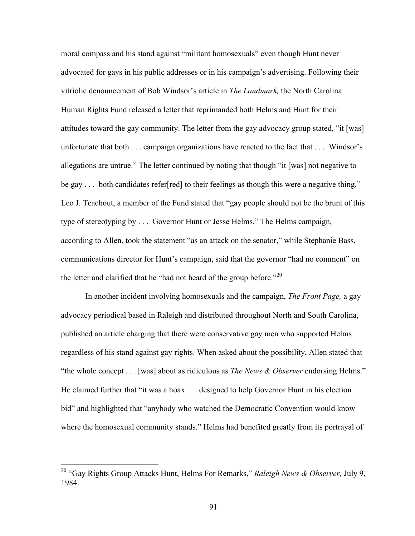moral compass and his stand against "militant homosexuals" even though Hunt never advocated for gays in his public addresses or in his campaign's advertising. Following their vitriolic denouncement of Bob Windsor's article in *The Landmark,* the North Carolina Human Rights Fund released a letter that reprimanded both Helms and Hunt for their attitudes toward the gay community. The letter from the gay advocacy group stated, "it [was] unfortunate that both . . . campaign organizations have reacted to the fact that . . . Windsor's allegations are untrue." The letter continued by noting that though "it [was] not negative to be gay ... both candidates refer[red] to their feelings as though this were a negative thing." Leo J. Teachout, a member of the Fund stated that "gay people should not be the brunt of this type of stereotyping by . . . Governor Hunt or Jesse Helms." The Helms campaign, according to Allen, took the statement "as an attack on the senator," while Stephanie Bass, communications director for Hunt's campaign, said that the governor "had no comment" on the letter and clarified that he "had not heard of the group before."<sup>20</sup>

In another incident involving homosexuals and the campaign, *The Front Page,* a gay advocacy periodical based in Raleigh and distributed throughout North and South Carolina, published an article charging that there were conservative gay men who supported Helms regardless of his stand against gay rights. When asked about the possibility, Allen stated that "the whole concept . . . [was] about as ridiculous as *The News & Observer* endorsing Helms." He claimed further that "it was a hoax . . . designed to help Governor Hunt in his election bid" and highlighted that "anybody who watched the Democratic Convention would know where the homosexual community stands." Helms had benefited greatly from its portrayal of

 <sup>20</sup> "Gay Rights Group Attacks Hunt, Helms For Remarks," *Raleigh News & Observer,* July 9, 1984.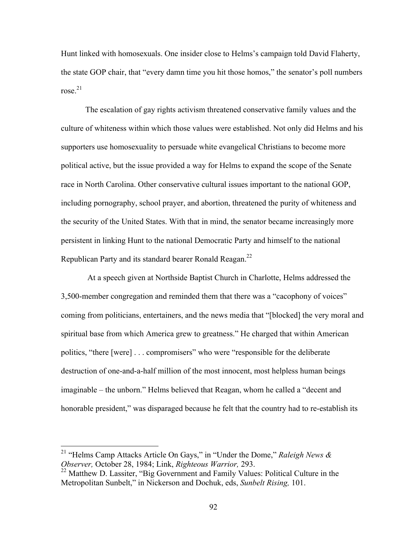Hunt linked with homosexuals. One insider close to Helms's campaign told David Flaherty, the state GOP chair, that "every damn time you hit those homos," the senator's poll numbers rose $^{21}$ 

The escalation of gay rights activism threatened conservative family values and the culture of whiteness within which those values were established. Not only did Helms and his supporters use homosexuality to persuade white evangelical Christians to become more political active, but the issue provided a way for Helms to expand the scope of the Senate race in North Carolina. Other conservative cultural issues important to the national GOP, including pornography, school prayer, and abortion, threatened the purity of whiteness and the security of the United States. With that in mind, the senator became increasingly more persistent in linking Hunt to the national Democratic Party and himself to the national Republican Party and its standard bearer Ronald Reagan.22

At a speech given at Northside Baptist Church in Charlotte, Helms addressed the 3,500-member congregation and reminded them that there was a "cacophony of voices" coming from politicians, entertainers, and the news media that "[blocked] the very moral and spiritual base from which America grew to greatness." He charged that within American politics, "there [were] . . . compromisers" who were "responsible for the deliberate destruction of one-and-a-half million of the most innocent, most helpless human beings imaginable – the unborn." Helms believed that Reagan, whom he called a "decent and honorable president," was disparaged because he felt that the country had to re-establish its

 <sup>21</sup> "Helms Camp Attacks Article On Gays," in "Under the Dome," *Raleigh News & Observer,* October 28, 1984; Link, *Righteous Warrior,* 293.

<sup>&</sup>lt;sup>22</sup> Matthew D. Lassiter, "Big Government and Family Values: Political Culture in the Metropolitan Sunbelt," in Nickerson and Dochuk, eds, *Sunbelt Rising,* 101.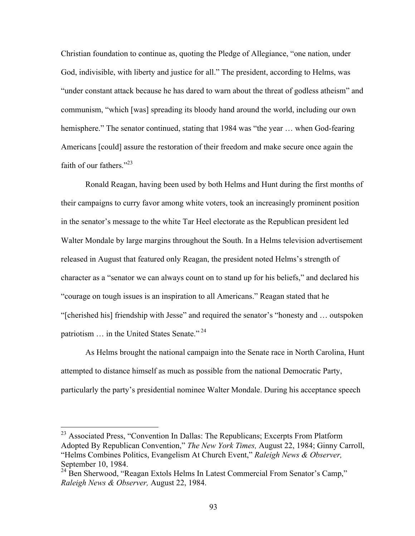Christian foundation to continue as, quoting the Pledge of Allegiance, "one nation, under God, indivisible, with liberty and justice for all." The president, according to Helms, was "under constant attack because he has dared to warn about the threat of godless atheism" and communism, "which [was] spreading its bloody hand around the world, including our own hemisphere." The senator continued, stating that 1984 was "the year ... when God-fearing Americans [could] assure the restoration of their freedom and make secure once again the faith of our fathers." $^{23}$ 

Ronald Reagan, having been used by both Helms and Hunt during the first months of their campaigns to curry favor among white voters, took an increasingly prominent position in the senator's message to the white Tar Heel electorate as the Republican president led Walter Mondale by large margins throughout the South. In a Helms television advertisement released in August that featured only Reagan, the president noted Helms's strength of character as a "senator we can always count on to stand up for his beliefs," and declared his "courage on tough issues is an inspiration to all Americans." Reagan stated that he "[cherished his] friendship with Jesse" and required the senator's "honesty and … outspoken patriotism ... in the United States Senate."<sup>24</sup>

As Helms brought the national campaign into the Senate race in North Carolina, Hunt attempted to distance himself as much as possible from the national Democratic Party, particularly the party's presidential nominee Walter Mondale. During his acceptance speech

<sup>&</sup>lt;sup>23</sup> Associated Press, "Convention In Dallas: The Republicans; Excerpts From Platform Adopted By Republican Convention," *The New York Times,* August 22, 1984; Ginny Carroll, "Helms Combines Politics, Evangelism At Church Event," *Raleigh News & Observer,*  September 10, 1984.

<sup>&</sup>lt;sup>24</sup> Ben Sherwood, "Reagan Extols Helms In Latest Commercial From Senator's Camp," *Raleigh News & Observer,* August 22, 1984.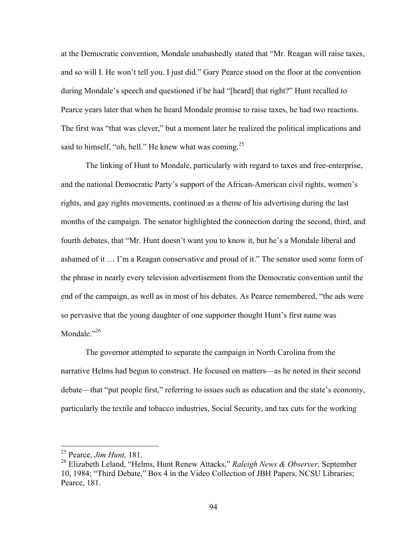at the Democratic convention, Mondale unabashedly stated that "Mr. Reagan will raise taxes, and so will I. He won't tell you. I just did." Gary Pearce stood on the floor at the convention during Mondale's speech and questioned if he had "[heard] that right?" Hunt recalled to Pearce years later that when he heard Mondale promise to raise taxes, he had two reactions. The first was "that was clever," but a moment later he realized the political implications and said to himself, "oh, hell." He knew what was coming.<sup>25</sup>

The linking of Hunt to Mondale, particularly with regard to taxes and free-enterprise, and the national Democratic Party's support of the African-American civil rights, women's rights, and gay rights movements, continued as a theme of his advertising during the last months of the campaign. The senator highlighted the connection during the second, third, and fourth debates, that "Mr. Hunt doesn't want you to know it, but he's a Mondale liberal and ashamed of it … I'm a Reagan conservative and proud of it." The senator used some form of the phrase in nearly every television advertisement from the Democratic convention until the end of the campaign, as well as in most of his debates. As Pearce remembered, "the ads were so pervasive that the young daughter of one supporter thought Hunt's first name was Mondale."<sup>26</sup>

The governor attempted to separate the campaign in North Carolina from the narrative Helms had begun to construct. He focused on matters—as he noted in their second debate—that "put people first," referring to issues such as education and the state's economy, particularly the textile and tobacco industries, Social Security, and tax cuts for the working

 <sup>25</sup> Pearce, *Jim Hunt,* 181.

<sup>26</sup> Elizabeth Leland, "Helms, Hunt Renew Attacks," *Raleigh News & Observer,* September 10, 1984; "Third Debate," Box 4 in the Video Collection of JBH Papers, NCSU Libraries; Pearce, 181.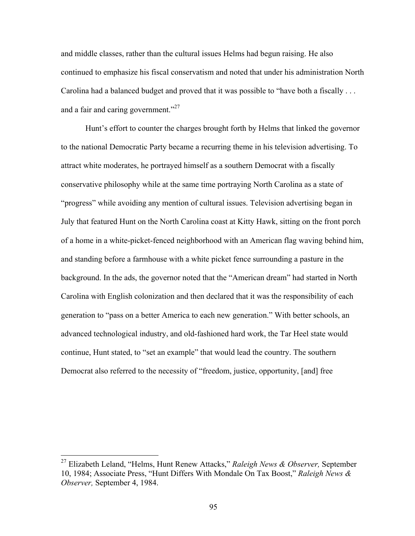and middle classes, rather than the cultural issues Helms had begun raising. He also continued to emphasize his fiscal conservatism and noted that under his administration North Carolina had a balanced budget and proved that it was possible to "have both a fiscally . . . and a fair and caring government."<sup>27</sup>

Hunt's effort to counter the charges brought forth by Helms that linked the governor to the national Democratic Party became a recurring theme in his television advertising. To attract white moderates, he portrayed himself as a southern Democrat with a fiscally conservative philosophy while at the same time portraying North Carolina as a state of "progress" while avoiding any mention of cultural issues. Television advertising began in July that featured Hunt on the North Carolina coast at Kitty Hawk, sitting on the front porch of a home in a white-picket-fenced neighborhood with an American flag waving behind him, and standing before a farmhouse with a white picket fence surrounding a pasture in the background. In the ads, the governor noted that the "American dream" had started in North Carolina with English colonization and then declared that it was the responsibility of each generation to "pass on a better America to each new generation." With better schools, an advanced technological industry, and old-fashioned hard work, the Tar Heel state would continue, Hunt stated, to "set an example" that would lead the country. The southern Democrat also referred to the necessity of "freedom, justice, opportunity, [and] free

 <sup>27</sup> Elizabeth Leland, "Helms, Hunt Renew Attacks," *Raleigh News & Observer,* September 10, 1984; Associate Press, "Hunt Differs With Mondale On Tax Boost," *Raleigh News & Observer,* September 4, 1984.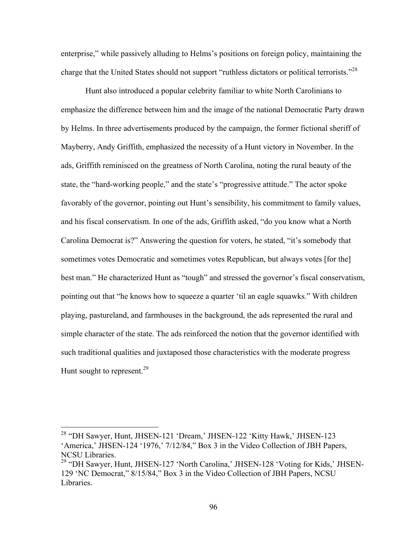enterprise," while passively alluding to Helms's positions on foreign policy, maintaining the charge that the United States should not support "ruthless dictators or political terrorists."<sup>28</sup>

Hunt also introduced a popular celebrity familiar to white North Carolinians to emphasize the difference between him and the image of the national Democratic Party drawn by Helms. In three advertisements produced by the campaign, the former fictional sheriff of Mayberry, Andy Griffith, emphasized the necessity of a Hunt victory in November. In the ads, Griffith reminisced on the greatness of North Carolina, noting the rural beauty of the state, the "hard-working people," and the state's "progressive attitude." The actor spoke favorably of the governor, pointing out Hunt's sensibility, his commitment to family values, and his fiscal conservatism. In one of the ads, Griffith asked, "do you know what a North Carolina Democrat is?" Answering the question for voters, he stated, "it's somebody that sometimes votes Democratic and sometimes votes Republican, but always votes [for the] best man." He characterized Hunt as "tough" and stressed the governor's fiscal conservatism, pointing out that "he knows how to squeeze a quarter 'til an eagle squawks." With children playing, pastureland, and farmhouses in the background, the ads represented the rural and simple character of the state. The ads reinforced the notion that the governor identified with such traditional qualities and juxtaposed those characteristics with the moderate progress Hunt sought to represent.<sup>29</sup>

 <sup>28</sup> "DH Sawyer, Hunt, JHSEN-121 'Dream,' JHSEN-122 'Kitty Hawk,' JHSEN-123 'America,' JHSEN-124 '1976,' 7/12/84," Box 3 in the Video Collection of JBH Papers, NCSU Libraries.

<sup>&</sup>lt;sup>29</sup> "DH Sawyer, Hunt, JHSEN-127 'North Carolina,' JHSEN-128 'Voting for Kids,' JHSEN-129 'NC Democrat," 8/15/84," Box 3 in the Video Collection of JBH Papers, NCSU Libraries.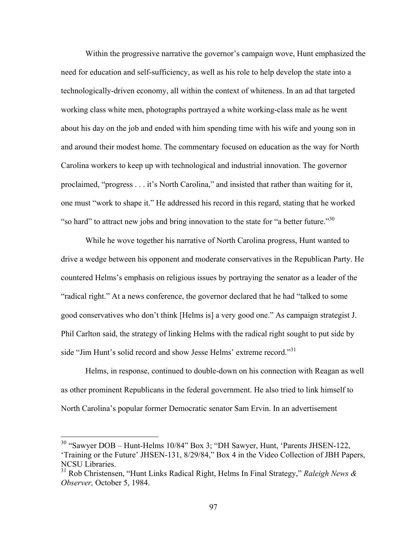Within the progressive narrative the governor's campaign wove, Hunt emphasized the need for education and self-sufficiency, as well as his role to help develop the state into a technologically-driven economy, all within the context of whiteness. In an ad that targeted working class white men, photographs portrayed a white working-class male as he went about his day on the job and ended with him spending time with his wife and young son in and around their modest home. The commentary focused on education as the way for North Carolina workers to keep up with technological and industrial innovation. The governor proclaimed, "progress . . . it's North Carolina," and insisted that rather than waiting for it, one must "work to shape it." He addressed his record in this regard, stating that he worked "so hard" to attract new jobs and bring innovation to the state for "a better future."  $30$ 

While he wove together his narrative of North Carolina progress, Hunt wanted to drive a wedge between his opponent and moderate conservatives in the Republican Party. He countered Helms's emphasis on religious issues by portraying the senator as a leader of the "radical right." At a news conference, the governor declared that he had "talked to some good conservatives who don't think [Helms is] a very good one." As campaign strategist J. Phil Carlton said, the strategy of linking Helms with the radical right sought to put side by side "Jim Hunt's solid record and show Jesse Helms' extreme record."<sup>31</sup>

Helms, in response, continued to double-down on his connection with Reagan as well as other prominent Republicans in the federal government. He also tried to link himself to North Carolina's popular former Democratic senator Sam Ervin. In an advertisement

<sup>&</sup>lt;sup>30</sup> "Sawyer DOB – Hunt-Helms 10/84" Box 3; "DH Sawyer, Hunt, 'Parents JHSEN-122, 'Training or the Future' JHSEN-131, 8/29/84," Box 4 in the Video Collection of JBH Papers, NCSU Libraries.

<sup>31</sup> Rob Christensen, "Hunt Links Radical Right, Helms In Final Strategy," *Raleigh News & Observer,* October 5, 1984.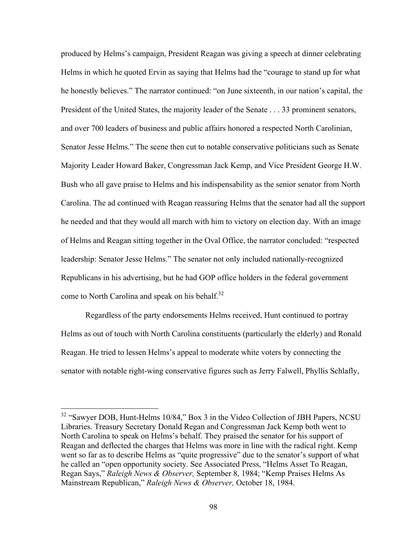produced by Helms's campaign, President Reagan was giving a speech at dinner celebrating Helms in which he quoted Ervin as saying that Helms had the "courage to stand up for what he honestly believes." The narrator continued: "on June sixteenth, in our nation's capital, the President of the United States, the majority leader of the Senate . . . 33 prominent senators, and over 700 leaders of business and public affairs honored a respected North Carolinian, Senator Jesse Helms." The scene then cut to notable conservative politicians such as Senate Majority Leader Howard Baker, Congressman Jack Kemp, and Vice President George H.W. Bush who all gave praise to Helms and his indispensability as the senior senator from North Carolina. The ad continued with Reagan reassuring Helms that the senator had all the support he needed and that they would all march with him to victory on election day. With an image of Helms and Reagan sitting together in the Oval Office, the narrator concluded: "respected leadership: Senator Jesse Helms." The senator not only included nationally-recognized Republicans in his advertising, but he had GOP office holders in the federal government come to North Carolina and speak on his behalf.<sup>32</sup>

Regardless of the party endorsements Helms received, Hunt continued to portray Helms as out of touch with North Carolina constituents (particularly the elderly) and Ronald Reagan. He tried to lessen Helms's appeal to moderate white voters by connecting the senator with notable right-wing conservative figures such as Jerry Falwell, Phyllis Schlafly,

<sup>&</sup>lt;sup>32</sup> "Sawyer DOB, Hunt-Helms 10/84," Box 3 in the Video Collection of JBH Papers, NCSU Libraries. Treasury Secretary Donald Regan and Congressman Jack Kemp both went to North Carolina to speak on Helms's behalf. They praised the senator for his support of Reagan and deflected the charges that Helms was more in line with the radical right. Kemp went so far as to describe Helms as "quite progressive" due to the senator's support of what he called an "open opportunity society. See Associated Press, "Helms Asset To Reagan, Regan Says," *Raleigh News & Observer,* September 8, 1984; "Kemp Praises Helms As Mainstream Republican," *Raleigh News & Observer,* October 18, 1984.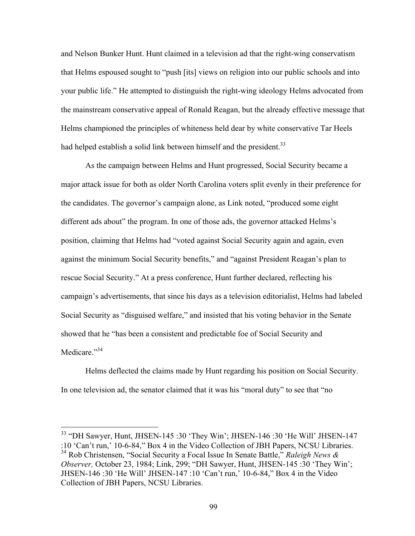and Nelson Bunker Hunt. Hunt claimed in a television ad that the right-wing conservatism that Helms espoused sought to "push [its] views on religion into our public schools and into your public life." He attempted to distinguish the right-wing ideology Helms advocated from the mainstream conservative appeal of Ronald Reagan, but the already effective message that Helms championed the principles of whiteness held dear by white conservative Tar Heels had helped establish a solid link between himself and the president.<sup>33</sup>

As the campaign between Helms and Hunt progressed, Social Security became a major attack issue for both as older North Carolina voters split evenly in their preference for the candidates. The governor's campaign alone, as Link noted, "produced some eight different ads about" the program. In one of those ads, the governor attacked Helms's position, claiming that Helms had "voted against Social Security again and again, even against the minimum Social Security benefits," and "against President Reagan's plan to rescue Social Security." At a press conference, Hunt further declared, reflecting his campaign's advertisements, that since his days as a television editorialist, Helms had labeled Social Security as "disguised welfare," and insisted that his voting behavior in the Senate showed that he "has been a consistent and predictable foe of Social Security and Medicare."<sup>34</sup>

Helms deflected the claims made by Hunt regarding his position on Social Security. In one television ad, the senator claimed that it was his "moral duty" to see that "no

 $33$  "DH Sawyer, Hunt, JHSEN-145 :30 'They Win'; JHSEN-146 :30 'He Will' JHSEN-147 :10 'Can't run,' 10-6-84," Box 4 in the Video Collection of JBH Papers, NCSU Libraries. <sup>34</sup> Rob Christensen, "Social Security a Focal Issue In Senate Battle," *Raleigh News & Observer,* October 23, 1984; Link, 299; "DH Sawyer, Hunt, JHSEN-145 :30 'They Win'; JHSEN-146 :30 'He Will' JHSEN-147 :10 'Can't run,' 10-6-84," Box 4 in the Video Collection of JBH Papers, NCSU Libraries.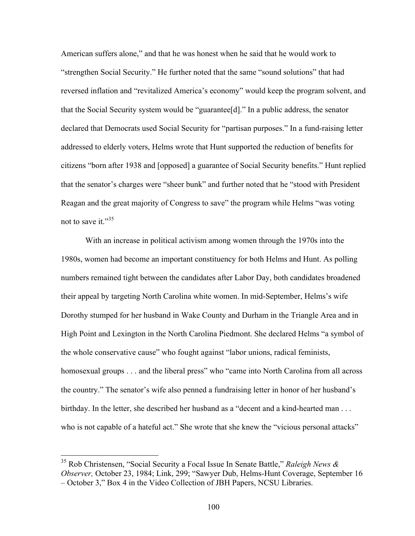American suffers alone," and that he was honest when he said that he would work to "strengthen Social Security." He further noted that the same "sound solutions" that had reversed inflation and "revitalized America's economy" would keep the program solvent, and that the Social Security system would be "guarantee[d]." In a public address, the senator declared that Democrats used Social Security for "partisan purposes." In a fund-raising letter addressed to elderly voters, Helms wrote that Hunt supported the reduction of benefits for citizens "born after 1938 and [opposed] a guarantee of Social Security benefits." Hunt replied that the senator's charges were "sheer bunk" and further noted that he "stood with President Reagan and the great majority of Congress to save" the program while Helms "was voting not to save it." $35$ 

With an increase in political activism among women through the 1970s into the 1980s, women had become an important constituency for both Helms and Hunt. As polling numbers remained tight between the candidates after Labor Day, both candidates broadened their appeal by targeting North Carolina white women. In mid-September, Helms's wife Dorothy stumped for her husband in Wake County and Durham in the Triangle Area and in High Point and Lexington in the North Carolina Piedmont. She declared Helms "a symbol of the whole conservative cause" who fought against "labor unions, radical feminists, homosexual groups . . . and the liberal press" who "came into North Carolina from all across the country." The senator's wife also penned a fundraising letter in honor of her husband's birthday. In the letter, she described her husband as a "decent and a kind-hearted man . . . who is not capable of a hateful act." She wrote that she knew the "vicious personal attacks"

 <sup>35</sup> Rob Christensen, "Social Security a Focal Issue In Senate Battle," *Raleigh News & Observer,* October 23, 1984; Link, 299; "Sawyer Dub, Helms-Hunt Coverage, September 16 – October 3," Box 4 in the Video Collection of JBH Papers, NCSU Libraries.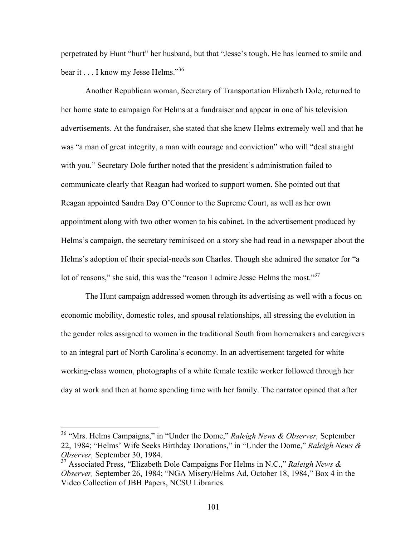perpetrated by Hunt "hurt" her husband, but that "Jesse's tough. He has learned to smile and bear it . . . I know my Jesse Helms."<sup>36</sup>

Another Republican woman, Secretary of Transportation Elizabeth Dole, returned to her home state to campaign for Helms at a fundraiser and appear in one of his television advertisements. At the fundraiser, she stated that she knew Helms extremely well and that he was "a man of great integrity, a man with courage and conviction" who will "deal straight with you." Secretary Dole further noted that the president's administration failed to communicate clearly that Reagan had worked to support women. She pointed out that Reagan appointed Sandra Day O'Connor to the Supreme Court, as well as her own appointment along with two other women to his cabinet. In the advertisement produced by Helms's campaign, the secretary reminisced on a story she had read in a newspaper about the Helms's adoption of their special-needs son Charles. Though she admired the senator for "a lot of reasons," she said, this was the "reason I admire Jesse Helms the most."<sup>37</sup>

The Hunt campaign addressed women through its advertising as well with a focus on economic mobility, domestic roles, and spousal relationships, all stressing the evolution in the gender roles assigned to women in the traditional South from homemakers and caregivers to an integral part of North Carolina's economy. In an advertisement targeted for white working-class women, photographs of a white female textile worker followed through her day at work and then at home spending time with her family. The narrator opined that after

 <sup>36</sup> "Mrs. Helms Campaigns," in "Under the Dome," *Raleigh News & Observer,* September 22, 1984; "Helms' Wife Seeks Birthday Donations," in "Under the Dome," *Raleigh News & Observer,* September 30, 1984.

<sup>37</sup> Associated Press, "Elizabeth Dole Campaigns For Helms in N.C.," *Raleigh News & Observer,* September 26, 1984; "NGA Misery/Helms Ad, October 18, 1984," Box 4 in the Video Collection of JBH Papers, NCSU Libraries.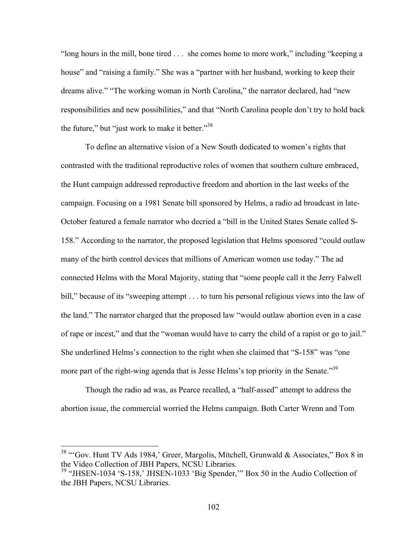"long hours in the mill, bone tired . . . she comes home to more work," including "keeping a house" and "raising a family." She was a "partner with her husband, working to keep their dreams alive." "The working woman in North Carolina," the narrator declared, had "new responsibilities and new possibilities," and that "North Carolina people don't try to hold back the future." but "just work to make it better."<sup>38</sup>

To define an alternative vision of a New South dedicated to women's rights that contrasted with the traditional reproductive roles of women that southern culture embraced, the Hunt campaign addressed reproductive freedom and abortion in the last weeks of the campaign. Focusing on a 1981 Senate bill sponsored by Helms, a radio ad broadcast in late-October featured a female narrator who decried a "bill in the United States Senate called S-158." According to the narrator, the proposed legislation that Helms sponsored "could outlaw many of the birth control devices that millions of American women use today." The ad connected Helms with the Moral Majority, stating that "some people call it the Jerry Falwell bill," because of its "sweeping attempt . . . to turn his personal religious views into the law of the land." The narrator charged that the proposed law "would outlaw abortion even in a case of rape or incest," and that the "woman would have to carry the child of a rapist or go to jail." She underlined Helms's connection to the right when she claimed that "S-158" was "one more part of the right-wing agenda that is Jesse Helms's top priority in the Senate.<sup>39</sup>

Though the radio ad was, as Pearce recalled, a "half-assed" attempt to address the abortion issue, the commercial worried the Helms campaign. Both Carter Wrenn and Tom

<sup>&</sup>lt;sup>38</sup> "Gov. Hunt TV Ads 1984,' Greer, Margolis, Mitchell, Grunwald & Associates," Box 8 in the Video Collection of JBH Papers, NCSU Libraries.

<sup>39</sup> "JHSEN-1034 'S-158,' JHSEN-1033 'Big Spender,'" Box 50 in the Audio Collection of the JBH Papers, NCSU Libraries.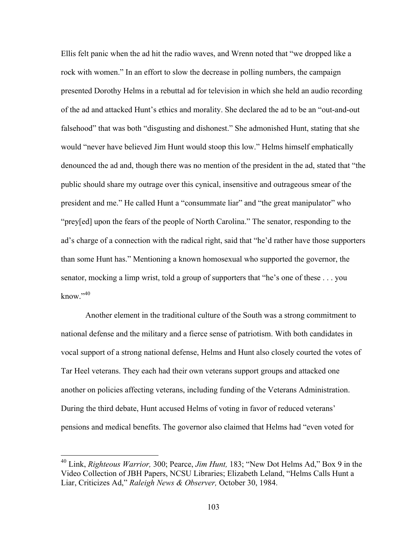Ellis felt panic when the ad hit the radio waves, and Wrenn noted that "we dropped like a rock with women." In an effort to slow the decrease in polling numbers, the campaign presented Dorothy Helms in a rebuttal ad for television in which she held an audio recording of the ad and attacked Hunt's ethics and morality. She declared the ad to be an "out-and-out falsehood" that was both "disgusting and dishonest." She admonished Hunt, stating that she would "never have believed Jim Hunt would stoop this low." Helms himself emphatically denounced the ad and, though there was no mention of the president in the ad, stated that "the public should share my outrage over this cynical, insensitive and outrageous smear of the president and me." He called Hunt a "consummate liar" and "the great manipulator" who "prey[ed] upon the fears of the people of North Carolina." The senator, responding to the ad's charge of a connection with the radical right, said that "he'd rather have those supporters than some Hunt has." Mentioning a known homosexual who supported the governor, the senator, mocking a limp wrist, told a group of supporters that "he's one of these . . . you know $"$ <sup>40</sup>

Another element in the traditional culture of the South was a strong commitment to national defense and the military and a fierce sense of patriotism. With both candidates in vocal support of a strong national defense, Helms and Hunt also closely courted the votes of Tar Heel veterans. They each had their own veterans support groups and attacked one another on policies affecting veterans, including funding of the Veterans Administration. During the third debate, Hunt accused Helms of voting in favor of reduced veterans' pensions and medical benefits. The governor also claimed that Helms had "even voted for

 <sup>40</sup> Link, *Righteous Warrior,* 300; Pearce, *Jim Hunt,* 183; "New Dot Helms Ad," Box 9 in the Video Collection of JBH Papers, NCSU Libraries; Elizabeth Leland, "Helms Calls Hunt a Liar, Criticizes Ad," *Raleigh News & Observer,* October 30, 1984.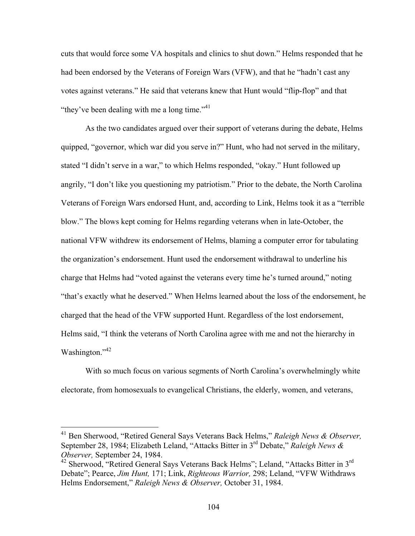cuts that would force some VA hospitals and clinics to shut down." Helms responded that he had been endorsed by the Veterans of Foreign Wars (VFW), and that he "hadn't cast any votes against veterans." He said that veterans knew that Hunt would "flip-flop" and that "they've been dealing with me a long time."<sup>41</sup>

As the two candidates argued over their support of veterans during the debate, Helms quipped, "governor, which war did you serve in?" Hunt, who had not served in the military, stated "I didn't serve in a war," to which Helms responded, "okay." Hunt followed up angrily, "I don't like you questioning my patriotism." Prior to the debate, the North Carolina Veterans of Foreign Wars endorsed Hunt, and, according to Link, Helms took it as a "terrible blow." The blows kept coming for Helms regarding veterans when in late-October, the national VFW withdrew its endorsement of Helms, blaming a computer error for tabulating the organization's endorsement. Hunt used the endorsement withdrawal to underline his charge that Helms had "voted against the veterans every time he's turned around," noting "that's exactly what he deserved." When Helms learned about the loss of the endorsement, he charged that the head of the VFW supported Hunt. Regardless of the lost endorsement, Helms said, "I think the veterans of North Carolina agree with me and not the hierarchy in Washington."<sup>42</sup>

With so much focus on various segments of North Carolina's overwhelmingly white electorate, from homosexuals to evangelical Christians, the elderly, women, and veterans,

 <sup>41</sup> Ben Sherwood, "Retired General Says Veterans Back Helms," *Raleigh News & Observer,*  September 28, 1984; Elizabeth Leland, "Attacks Bitter in 3rd Debate," *Raleigh News & Observer,* September 24, 1984.

 $42$  Sherwood, "Retired General Says Veterans Back Helms"; Leland, "Attacks Bitter in  $3<sup>rd</sup>$ Debate"; Pearce, *Jim Hunt,* 171; Link, *Righteous Warrior,* 298; Leland, "VFW Withdraws Helms Endorsement," *Raleigh News & Observer,* October 31, 1984.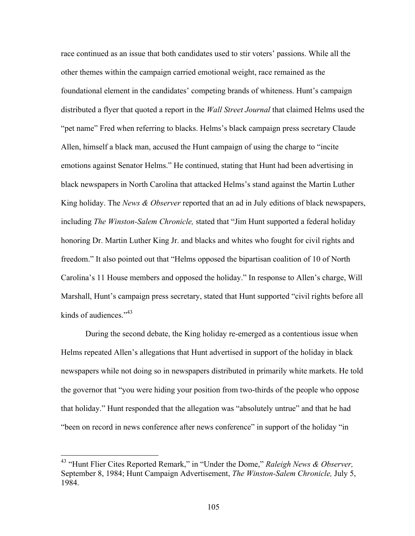race continued as an issue that both candidates used to stir voters' passions. While all the other themes within the campaign carried emotional weight, race remained as the foundational element in the candidates' competing brands of whiteness. Hunt's campaign distributed a flyer that quoted a report in the *Wall Street Journal* that claimed Helms used the "pet name" Fred when referring to blacks. Helms's black campaign press secretary Claude Allen, himself a black man, accused the Hunt campaign of using the charge to "incite emotions against Senator Helms." He continued, stating that Hunt had been advertising in black newspapers in North Carolina that attacked Helms's stand against the Martin Luther King holiday. The *News & Observer* reported that an ad in July editions of black newspapers, including *The Winston-Salem Chronicle,* stated that "Jim Hunt supported a federal holiday honoring Dr. Martin Luther King Jr. and blacks and whites who fought for civil rights and freedom." It also pointed out that "Helms opposed the bipartisan coalition of 10 of North Carolina's 11 House members and opposed the holiday." In response to Allen's charge, Will Marshall, Hunt's campaign press secretary, stated that Hunt supported "civil rights before all kinds of audiences." $43$ 

During the second debate, the King holiday re-emerged as a contentious issue when Helms repeated Allen's allegations that Hunt advertised in support of the holiday in black newspapers while not doing so in newspapers distributed in primarily white markets. He told the governor that "you were hiding your position from two-thirds of the people who oppose that holiday." Hunt responded that the allegation was "absolutely untrue" and that he had "been on record in news conference after news conference" in support of the holiday "in

 <sup>43</sup> "Hunt Flier Cites Reported Remark," in "Under the Dome," *Raleigh News & Observer,*  September 8, 1984; Hunt Campaign Advertisement, *The Winston-Salem Chronicle,* July 5, 1984.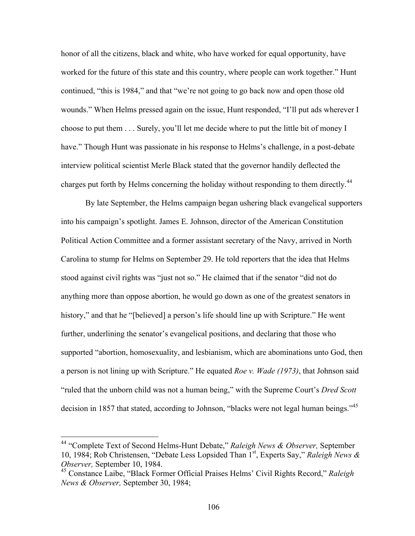honor of all the citizens, black and white, who have worked for equal opportunity, have worked for the future of this state and this country, where people can work together." Hunt continued, "this is 1984," and that "we're not going to go back now and open those old wounds." When Helms pressed again on the issue, Hunt responded, "I'll put ads wherever I choose to put them . . . Surely, you'll let me decide where to put the little bit of money I have." Though Hunt was passionate in his response to Helms's challenge, in a post-debate interview political scientist Merle Black stated that the governor handily deflected the charges put forth by Helms concerning the holiday without responding to them directly.<sup>44</sup>

By late September, the Helms campaign began ushering black evangelical supporters into his campaign's spotlight. James E. Johnson, director of the American Constitution Political Action Committee and a former assistant secretary of the Navy, arrived in North Carolina to stump for Helms on September 29. He told reporters that the idea that Helms stood against civil rights was "just not so." He claimed that if the senator "did not do anything more than oppose abortion, he would go down as one of the greatest senators in history," and that he "[believed] a person's life should line up with Scripture." He went further, underlining the senator's evangelical positions, and declaring that those who supported "abortion, homosexuality, and lesbianism, which are abominations unto God, then a person is not lining up with Scripture." He equated *Roe v. Wade (1973)*, that Johnson said "ruled that the unborn child was not a human being," with the Supreme Court's *Dred Scott*  decision in 1857 that stated, according to Johnson, "blacks were not legal human beings."<sup>45</sup>

 <sup>44</sup> "Complete Text of Second Helms-Hunt Debate," *Raleigh News & Observer,* September 10, 1984; Rob Christensen, "Debate Less Lopsided Than 1st, Experts Say," *Raleigh News & Observer,* September 10, 1984.

<sup>45</sup> Constance Laibe, "Black Former Official Praises Helms' Civil Rights Record," *Raleigh News & Observer,* September 30, 1984;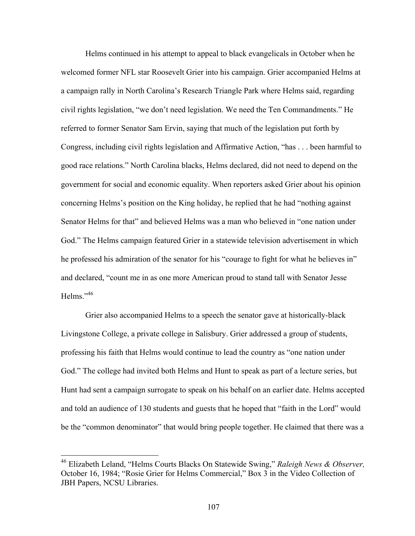Helms continued in his attempt to appeal to black evangelicals in October when he welcomed former NFL star Roosevelt Grier into his campaign. Grier accompanied Helms at a campaign rally in North Carolina's Research Triangle Park where Helms said, regarding civil rights legislation, "we don't need legislation. We need the Ten Commandments." He referred to former Senator Sam Ervin, saying that much of the legislation put forth by Congress, including civil rights legislation and Affirmative Action, "has . . . been harmful to good race relations." North Carolina blacks, Helms declared, did not need to depend on the government for social and economic equality. When reporters asked Grier about his opinion concerning Helms's position on the King holiday, he replied that he had "nothing against Senator Helms for that" and believed Helms was a man who believed in "one nation under God." The Helms campaign featured Grier in a statewide television advertisement in which he professed his admiration of the senator for his "courage to fight for what he believes in" and declared, "count me in as one more American proud to stand tall with Senator Jesse Helms<sup> $,46$ </sup>

Grier also accompanied Helms to a speech the senator gave at historically-black Livingstone College, a private college in Salisbury. Grier addressed a group of students, professing his faith that Helms would continue to lead the country as "one nation under God." The college had invited both Helms and Hunt to speak as part of a lecture series, but Hunt had sent a campaign surrogate to speak on his behalf on an earlier date. Helms accepted and told an audience of 130 students and guests that he hoped that "faith in the Lord" would be the "common denominator" that would bring people together. He claimed that there was a

 <sup>46</sup> Elizabeth Leland, "Helms Courts Blacks On Statewide Swing," *Raleigh News & Observer,*  October 16, 1984; "Rosie Grier for Helms Commercial," Box 3 in the Video Collection of JBH Papers, NCSU Libraries.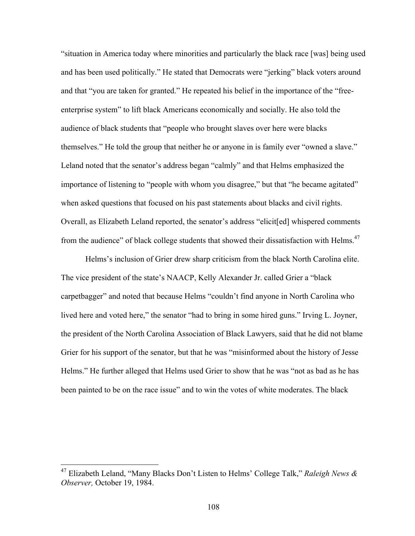"situation in America today where minorities and particularly the black race [was] being used and has been used politically." He stated that Democrats were "jerking" black voters around and that "you are taken for granted." He repeated his belief in the importance of the "freeenterprise system" to lift black Americans economically and socially. He also told the audience of black students that "people who brought slaves over here were blacks themselves." He told the group that neither he or anyone in is family ever "owned a slave." Leland noted that the senator's address began "calmly" and that Helms emphasized the importance of listening to "people with whom you disagree," but that "he became agitated" when asked questions that focused on his past statements about blacks and civil rights. Overall, as Elizabeth Leland reported, the senator's address "elicit[ed] whispered comments from the audience" of black college students that showed their dissatisfaction with Helms.<sup>47</sup>

Helms's inclusion of Grier drew sharp criticism from the black North Carolina elite. The vice president of the state's NAACP, Kelly Alexander Jr. called Grier a "black carpetbagger" and noted that because Helms "couldn't find anyone in North Carolina who lived here and voted here," the senator "had to bring in some hired guns." Irving L. Joyner, the president of the North Carolina Association of Black Lawyers, said that he did not blame Grier for his support of the senator, but that he was "misinformed about the history of Jesse Helms." He further alleged that Helms used Grier to show that he was "not as bad as he has been painted to be on the race issue" and to win the votes of white moderates. The black

 <sup>47</sup> Elizabeth Leland, "Many Blacks Don't Listen to Helms' College Talk," *Raleigh News & Observer,* October 19, 1984.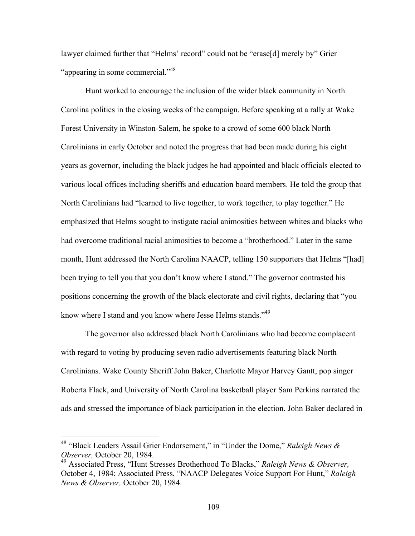lawyer claimed further that "Helms' record" could not be "erase[d] merely by" Grier "appearing in some commercial."<sup>48</sup>

Hunt worked to encourage the inclusion of the wider black community in North Carolina politics in the closing weeks of the campaign. Before speaking at a rally at Wake Forest University in Winston-Salem, he spoke to a crowd of some 600 black North Carolinians in early October and noted the progress that had been made during his eight years as governor, including the black judges he had appointed and black officials elected to various local offices including sheriffs and education board members. He told the group that North Carolinians had "learned to live together, to work together, to play together." He emphasized that Helms sought to instigate racial animosities between whites and blacks who had overcome traditional racial animosities to become a "brotherhood." Later in the same month, Hunt addressed the North Carolina NAACP, telling 150 supporters that Helms "[had] been trying to tell you that you don't know where I stand." The governor contrasted his positions concerning the growth of the black electorate and civil rights, declaring that "you know where I stand and you know where Jesse Helms stands."<sup>49</sup>

The governor also addressed black North Carolinians who had become complacent with regard to voting by producing seven radio advertisements featuring black North Carolinians. Wake County Sheriff John Baker, Charlotte Mayor Harvey Gantt, pop singer Roberta Flack, and University of North Carolina basketball player Sam Perkins narrated the ads and stressed the importance of black participation in the election. John Baker declared in

 <sup>48</sup> "Black Leaders Assail Grier Endorsement," in "Under the Dome," *Raleigh News & Observer,* October 20, 1984.

<sup>49</sup> Associated Press, "Hunt Stresses Brotherhood To Blacks," *Raleigh News & Observer,*  October 4, 1984; Associated Press, "NAACP Delegates Voice Support For Hunt," *Raleigh News & Observer,* October 20, 1984.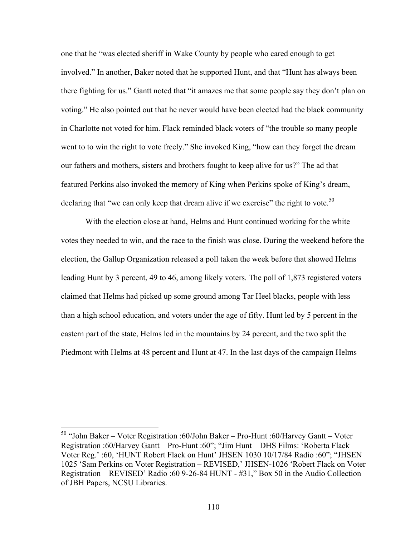one that he "was elected sheriff in Wake County by people who cared enough to get involved." In another, Baker noted that he supported Hunt, and that "Hunt has always been there fighting for us." Gantt noted that "it amazes me that some people say they don't plan on voting." He also pointed out that he never would have been elected had the black community in Charlotte not voted for him. Flack reminded black voters of "the trouble so many people went to to win the right to vote freely." She invoked King, "how can they forget the dream our fathers and mothers, sisters and brothers fought to keep alive for us?" The ad that featured Perkins also invoked the memory of King when Perkins spoke of King's dream, declaring that "we can only keep that dream alive if we exercise" the right to vote.<sup>50</sup>

With the election close at hand, Helms and Hunt continued working for the white votes they needed to win, and the race to the finish was close. During the weekend before the election, the Gallup Organization released a poll taken the week before that showed Helms leading Hunt by 3 percent, 49 to 46, among likely voters. The poll of 1,873 registered voters claimed that Helms had picked up some ground among Tar Heel blacks, people with less than a high school education, and voters under the age of fifty. Hunt led by 5 percent in the eastern part of the state, Helms led in the mountains by 24 percent, and the two split the Piedmont with Helms at 48 percent and Hunt at 47. In the last days of the campaign Helms

 <sup>50</sup> "John Baker – Voter Registration :60/John Baker – Pro-Hunt :60/Harvey Gantt – Voter Registration :60/Harvey Gantt – Pro-Hunt :60"; "Jim Hunt – DHS Films: 'Roberta Flack – Voter Reg.' :60, 'HUNT Robert Flack on Hunt' JHSEN 1030 10/17/84 Radio :60"; "JHSEN 1025 'Sam Perkins on Voter Registration – REVISED,' JHSEN-1026 'Robert Flack on Voter Registration – REVISED' Radio :60 9-26-84 HUNT - #31," Box 50 in the Audio Collection of JBH Papers, NCSU Libraries.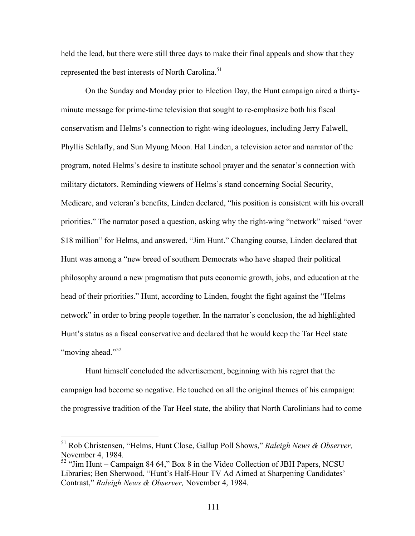held the lead, but there were still three days to make their final appeals and show that they represented the best interests of North Carolina.<sup>51</sup>

On the Sunday and Monday prior to Election Day, the Hunt campaign aired a thirtyminute message for prime-time television that sought to re-emphasize both his fiscal conservatism and Helms's connection to right-wing ideologues, including Jerry Falwell, Phyllis Schlafly, and Sun Myung Moon. Hal Linden, a television actor and narrator of the program, noted Helms's desire to institute school prayer and the senator's connection with military dictators. Reminding viewers of Helms's stand concerning Social Security, Medicare, and veteran's benefits, Linden declared, "his position is consistent with his overall priorities." The narrator posed a question, asking why the right-wing "network" raised "over \$18 million" for Helms, and answered, "Jim Hunt." Changing course, Linden declared that Hunt was among a "new breed of southern Democrats who have shaped their political philosophy around a new pragmatism that puts economic growth, jobs, and education at the head of their priorities." Hunt, according to Linden, fought the fight against the "Helms network" in order to bring people together. In the narrator's conclusion, the ad highlighted Hunt's status as a fiscal conservative and declared that he would keep the Tar Heel state "moving ahead."<sup>52</sup>

Hunt himself concluded the advertisement, beginning with his regret that the campaign had become so negative. He touched on all the original themes of his campaign: the progressive tradition of the Tar Heel state, the ability that North Carolinians had to come

 <sup>51</sup> Rob Christensen, "Helms, Hunt Close, Gallup Poll Shows," *Raleigh News & Observer,*  November 4, 1984.

<sup>52</sup> "Jim Hunt – Campaign 84 64," Box 8 in the Video Collection of JBH Papers, NCSU Libraries; Ben Sherwood, "Hunt's Half-Hour TV Ad Aimed at Sharpening Candidates' Contrast," *Raleigh News & Observer,* November 4, 1984.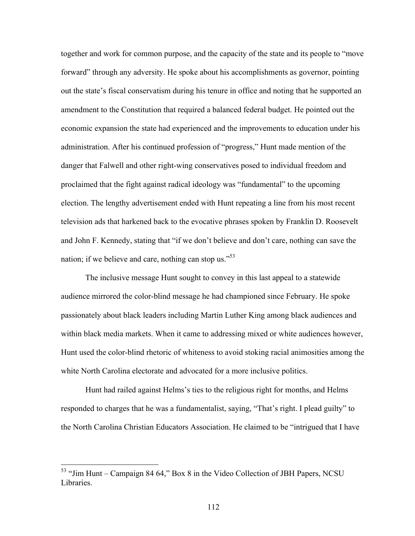together and work for common purpose, and the capacity of the state and its people to "move forward" through any adversity. He spoke about his accomplishments as governor, pointing out the state's fiscal conservatism during his tenure in office and noting that he supported an amendment to the Constitution that required a balanced federal budget. He pointed out the economic expansion the state had experienced and the improvements to education under his administration. After his continued profession of "progress," Hunt made mention of the danger that Falwell and other right-wing conservatives posed to individual freedom and proclaimed that the fight against radical ideology was "fundamental" to the upcoming election. The lengthy advertisement ended with Hunt repeating a line from his most recent television ads that harkened back to the evocative phrases spoken by Franklin D. Roosevelt and John F. Kennedy, stating that "if we don't believe and don't care, nothing can save the nation; if we believe and care, nothing can stop us. $^{55}$ 

The inclusive message Hunt sought to convey in this last appeal to a statewide audience mirrored the color-blind message he had championed since February. He spoke passionately about black leaders including Martin Luther King among black audiences and within black media markets. When it came to addressing mixed or white audiences however, Hunt used the color-blind rhetoric of whiteness to avoid stoking racial animosities among the white North Carolina electorate and advocated for a more inclusive politics.

Hunt had railed against Helms's ties to the religious right for months, and Helms responded to charges that he was a fundamentalist, saying, "That's right. I plead guilty" to the North Carolina Christian Educators Association. He claimed to be "intrigued that I have

 <sup>53</sup> "Jim Hunt – Campaign 84 64," Box 8 in the Video Collection of JBH Papers, NCSU Libraries.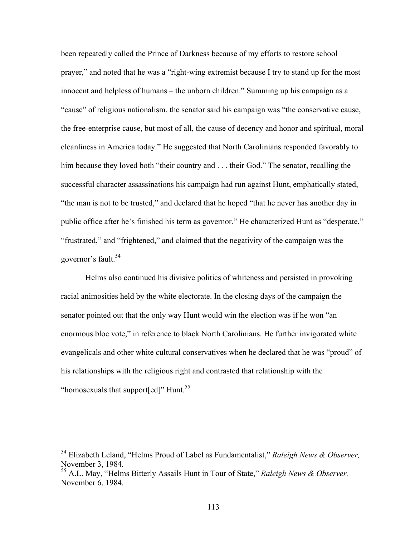been repeatedly called the Prince of Darkness because of my efforts to restore school prayer," and noted that he was a "right-wing extremist because I try to stand up for the most innocent and helpless of humans – the unborn children." Summing up his campaign as a "cause" of religious nationalism, the senator said his campaign was "the conservative cause, the free-enterprise cause, but most of all, the cause of decency and honor and spiritual, moral cleanliness in America today." He suggested that North Carolinians responded favorably to him because they loved both "their country and . . . their God." The senator, recalling the successful character assassinations his campaign had run against Hunt, emphatically stated, "the man is not to be trusted," and declared that he hoped "that he never has another day in public office after he's finished his term as governor." He characterized Hunt as "desperate," "frustrated," and "frightened," and claimed that the negativity of the campaign was the governor's fault.<sup>54</sup>

Helms also continued his divisive politics of whiteness and persisted in provoking racial animosities held by the white electorate. In the closing days of the campaign the senator pointed out that the only way Hunt would win the election was if he won "an enormous bloc vote," in reference to black North Carolinians. He further invigorated white evangelicals and other white cultural conservatives when he declared that he was "proud" of his relationships with the religious right and contrasted that relationship with the "homosexuals that support[ed]" Hunt.<sup>55</sup>

 <sup>54</sup> Elizabeth Leland, "Helms Proud of Label as Fundamentalist," *Raleigh News & Observer,*  November 3, 1984.

<sup>55</sup> A.L. May, "Helms Bitterly Assails Hunt in Tour of State," *Raleigh News & Observer,*  November 6, 1984.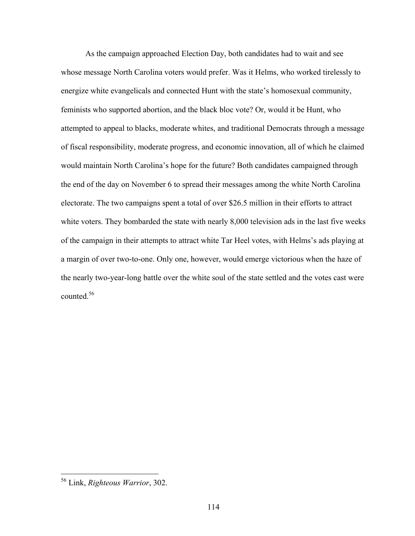As the campaign approached Election Day, both candidates had to wait and see whose message North Carolina voters would prefer. Was it Helms, who worked tirelessly to energize white evangelicals and connected Hunt with the state's homosexual community, feminists who supported abortion, and the black bloc vote? Or, would it be Hunt, who attempted to appeal to blacks, moderate whites, and traditional Democrats through a message of fiscal responsibility, moderate progress, and economic innovation, all of which he claimed would maintain North Carolina's hope for the future? Both candidates campaigned through the end of the day on November 6 to spread their messages among the white North Carolina electorate. The two campaigns spent a total of over \$26.5 million in their efforts to attract white voters. They bombarded the state with nearly 8,000 television ads in the last five weeks of the campaign in their attempts to attract white Tar Heel votes, with Helms's ads playing at a margin of over two-to-one. Only one, however, would emerge victorious when the haze of the nearly two-year-long battle over the white soul of the state settled and the votes cast were counted.<sup>56</sup>

 <sup>56</sup> Link, *Righteous Warrior*, 302.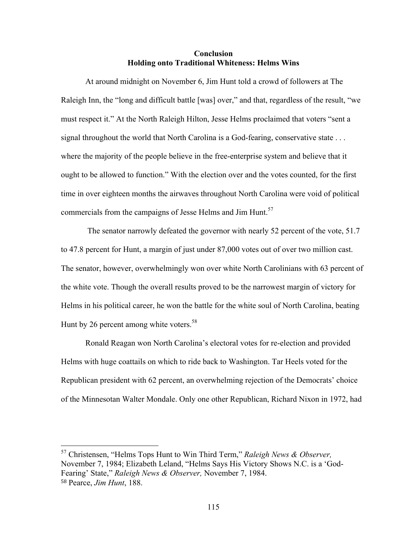## **Conclusion Holding onto Traditional Whiteness: Helms Wins**

At around midnight on November 6, Jim Hunt told a crowd of followers at The Raleigh Inn, the "long and difficult battle [was] over," and that, regardless of the result, "we must respect it." At the North Raleigh Hilton, Jesse Helms proclaimed that voters "sent a signal throughout the world that North Carolina is a God-fearing, conservative state . . . where the majority of the people believe in the free-enterprise system and believe that it ought to be allowed to function." With the election over and the votes counted, for the first time in over eighteen months the airwaves throughout North Carolina were void of political commercials from the campaigns of Jesse Helms and Jim Hunt.<sup>57</sup>

The senator narrowly defeated the governor with nearly 52 percent of the vote, 51.7 to 47.8 percent for Hunt, a margin of just under 87,000 votes out of over two million cast. The senator, however, overwhelmingly won over white North Carolinians with 63 percent of the white vote. Though the overall results proved to be the narrowest margin of victory for Helms in his political career, he won the battle for the white soul of North Carolina, beating Hunt by 26 percent among white voters.<sup>58</sup>

Ronald Reagan won North Carolina's electoral votes for re-election and provided Helms with huge coattails on which to ride back to Washington. Tar Heels voted for the Republican president with 62 percent, an overwhelming rejection of the Democrats' choice of the Minnesotan Walter Mondale. Only one other Republican, Richard Nixon in 1972, had

 <sup>57</sup> Christensen, "Helms Tops Hunt to Win Third Term," *Raleigh News & Observer,*  November 7, 1984; Elizabeth Leland, "Helms Says His Victory Shows N.C. is a 'God-Fearing' State," *Raleigh News & Observer,* November 7, 1984. <sup>58</sup> Pearce, *Jim Hunt*, 188.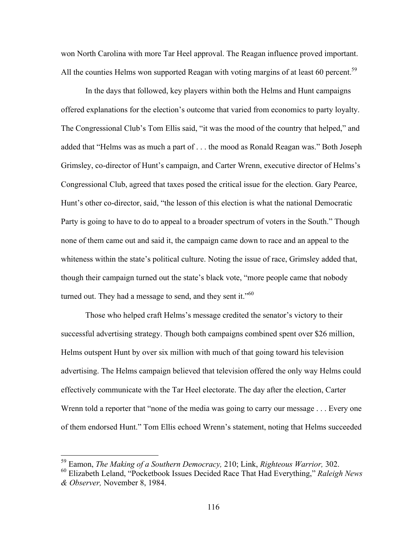won North Carolina with more Tar Heel approval. The Reagan influence proved important. All the counties Helms won supported Reagan with voting margins of at least 60 percent.<sup>59</sup>

In the days that followed, key players within both the Helms and Hunt campaigns offered explanations for the election's outcome that varied from economics to party loyalty. The Congressional Club's Tom Ellis said, "it was the mood of the country that helped," and added that "Helms was as much a part of . . . the mood as Ronald Reagan was." Both Joseph Grimsley, co-director of Hunt's campaign, and Carter Wrenn, executive director of Helms's Congressional Club, agreed that taxes posed the critical issue for the election. Gary Pearce, Hunt's other co-director, said, "the lesson of this election is what the national Democratic Party is going to have to do to appeal to a broader spectrum of voters in the South." Though none of them came out and said it, the campaign came down to race and an appeal to the whiteness within the state's political culture. Noting the issue of race, Grimsley added that, though their campaign turned out the state's black vote, "more people came that nobody turned out. They had a message to send, and they sent it."<sup>60</sup>

Those who helped craft Helms's message credited the senator's victory to their successful advertising strategy. Though both campaigns combined spent over \$26 million, Helms outspent Hunt by over six million with much of that going toward his television advertising. The Helms campaign believed that television offered the only way Helms could effectively communicate with the Tar Heel electorate. The day after the election, Carter Wrenn told a reporter that "none of the media was going to carry our message . . . Every one of them endorsed Hunt." Tom Ellis echoed Wrenn's statement, noting that Helms succeeded

 <sup>59</sup> Eamon, *The Making of a Southern Democracy,* 210; Link, *Righteous Warrior,* 302.

<sup>60</sup> Elizabeth Leland, "Pocketbook Issues Decided Race That Had Everything," *Raleigh News & Observer,* November 8, 1984.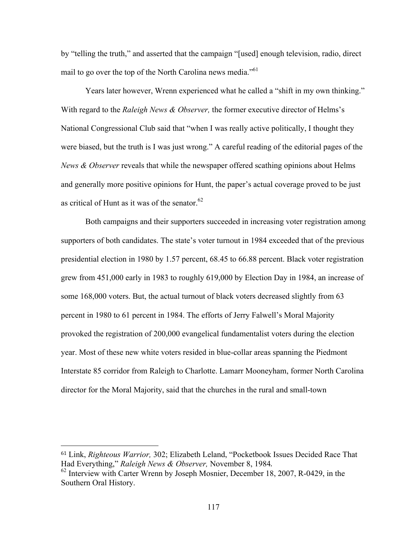by "telling the truth," and asserted that the campaign "[used] enough television, radio, direct mail to go over the top of the North Carolina news media.<sup>"61</sup>

Years later however, Wrenn experienced what he called a "shift in my own thinking." With regard to the *Raleigh News & Observer,* the former executive director of Helms's National Congressional Club said that "when I was really active politically, I thought they were biased, but the truth is I was just wrong." A careful reading of the editorial pages of the *News & Observer* reveals that while the newspaper offered scathing opinions about Helms and generally more positive opinions for Hunt, the paper's actual coverage proved to be just as critical of Hunt as it was of the senator. $62$ 

Both campaigns and their supporters succeeded in increasing voter registration among supporters of both candidates. The state's voter turnout in 1984 exceeded that of the previous presidential election in 1980 by 1.57 percent, 68.45 to 66.88 percent. Black voter registration grew from 451,000 early in 1983 to roughly 619,000 by Election Day in 1984, an increase of some 168,000 voters. But, the actual turnout of black voters decreased slightly from 63 percent in 1980 to 61 percent in 1984. The efforts of Jerry Falwell's Moral Majority provoked the registration of 200,000 evangelical fundamentalist voters during the election year. Most of these new white voters resided in blue-collar areas spanning the Piedmont Interstate 85 corridor from Raleigh to Charlotte. Lamarr Mooneyham, former North Carolina director for the Moral Majority, said that the churches in the rural and small-town

 

<sup>61</sup> Link, *Righteous Warrior,* 302; Elizabeth Leland, "Pocketbook Issues Decided Race That Had Everything," *Raleigh News & Observer*, November 8, 1984.<br><sup>62</sup> Interview with Carter Wrenn by Joseph Mosnier, December 18, 2007, R-0429, in the

Southern Oral History.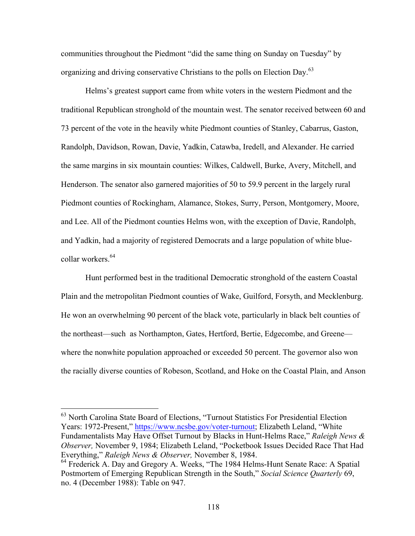communities throughout the Piedmont "did the same thing on Sunday on Tuesday" by organizing and driving conservative Christians to the polls on Election Day.<sup>63</sup>

Helms's greatest support came from white voters in the western Piedmont and the traditional Republican stronghold of the mountain west. The senator received between 60 and 73 percent of the vote in the heavily white Piedmont counties of Stanley, Cabarrus, Gaston, Randolph, Davidson, Rowan, Davie, Yadkin, Catawba, Iredell, and Alexander. He carried the same margins in six mountain counties: Wilkes, Caldwell, Burke, Avery, Mitchell, and Henderson. The senator also garnered majorities of 50 to 59.9 percent in the largely rural Piedmont counties of Rockingham, Alamance, Stokes, Surry, Person, Montgomery, Moore, and Lee. All of the Piedmont counties Helms won, with the exception of Davie, Randolph, and Yadkin, had a majority of registered Democrats and a large population of white bluecollar workers.<sup>64</sup>

Hunt performed best in the traditional Democratic stronghold of the eastern Coastal Plain and the metropolitan Piedmont counties of Wake, Guilford, Forsyth, and Mecklenburg. He won an overwhelming 90 percent of the black vote, particularly in black belt counties of the northeast—such as Northampton, Gates, Hertford, Bertie, Edgecombe, and Greene where the nonwhite population approached or exceeded 50 percent. The governor also won the racially diverse counties of Robeson, Scotland, and Hoke on the Coastal Plain, and Anson

<sup>&</sup>lt;sup>63</sup> North Carolina State Board of Elections, "Turnout Statistics For Presidential Election Years: 1972-Present," https://www.ncsbe.gov/voter-turnout; Elizabeth Leland, "White Fundamentalists May Have Offset Turnout by Blacks in Hunt-Helms Race," *Raleigh News & Observer,* November 9, 1984; Elizabeth Leland, "Pocketbook Issues Decided Race That Had Everything," *Raleigh News & Observer,* November 8, 1984.

<sup>&</sup>lt;sup>64</sup> Frederick A. Day and Gregory A. Weeks, "The 1984 Helms-Hunt Senate Race: A Spatial Postmortem of Emerging Republican Strength in the South," *Social Science Quarterly* 69, no. 4 (December 1988): Table on 947.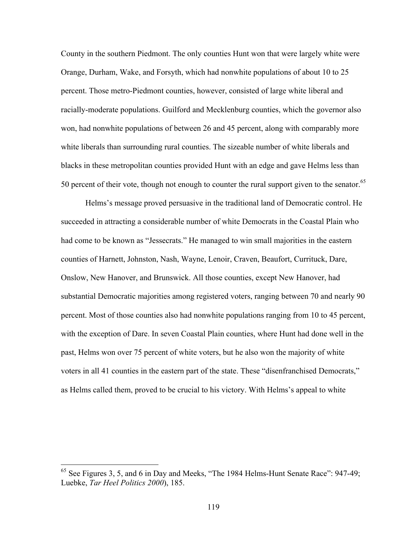County in the southern Piedmont. The only counties Hunt won that were largely white were Orange, Durham, Wake, and Forsyth, which had nonwhite populations of about 10 to 25 percent. Those metro-Piedmont counties, however, consisted of large white liberal and racially-moderate populations. Guilford and Mecklenburg counties, which the governor also won, had nonwhite populations of between 26 and 45 percent, along with comparably more white liberals than surrounding rural counties. The sizeable number of white liberals and blacks in these metropolitan counties provided Hunt with an edge and gave Helms less than 50 percent of their vote, though not enough to counter the rural support given to the senator.<sup>65</sup>

Helms's message proved persuasive in the traditional land of Democratic control. He succeeded in attracting a considerable number of white Democrats in the Coastal Plain who had come to be known as "Jessecrats." He managed to win small majorities in the eastern counties of Harnett, Johnston, Nash, Wayne, Lenoir, Craven, Beaufort, Currituck, Dare, Onslow, New Hanover, and Brunswick. All those counties, except New Hanover, had substantial Democratic majorities among registered voters, ranging between 70 and nearly 90 percent. Most of those counties also had nonwhite populations ranging from 10 to 45 percent, with the exception of Dare. In seven Coastal Plain counties, where Hunt had done well in the past, Helms won over 75 percent of white voters, but he also won the majority of white voters in all 41 counties in the eastern part of the state. These "disenfranchised Democrats," as Helms called them, proved to be crucial to his victory. With Helms's appeal to white

 $65$  See Figures 3, 5, and 6 in Day and Meeks, "The 1984 Helms-Hunt Senate Race": 947-49; Luebke, *Tar Heel Politics 2000*), 185.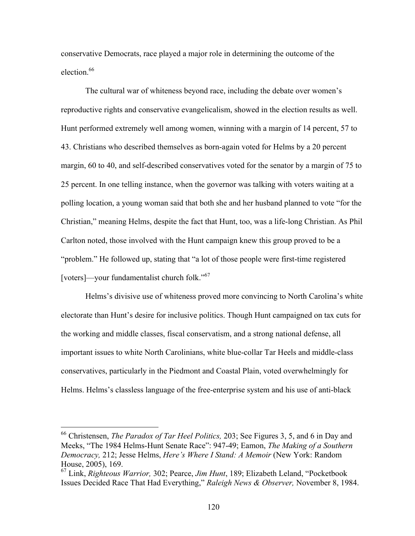conservative Democrats, race played a major role in determining the outcome of the election.<sup>66</sup>

The cultural war of whiteness beyond race, including the debate over women's reproductive rights and conservative evangelicalism, showed in the election results as well. Hunt performed extremely well among women, winning with a margin of 14 percent, 57 to 43. Christians who described themselves as born-again voted for Helms by a 20 percent margin, 60 to 40, and self-described conservatives voted for the senator by a margin of 75 to 25 percent. In one telling instance, when the governor was talking with voters waiting at a polling location, a young woman said that both she and her husband planned to vote "for the Christian," meaning Helms, despite the fact that Hunt, too, was a life-long Christian. As Phil Carlton noted, those involved with the Hunt campaign knew this group proved to be a "problem." He followed up, stating that "a lot of those people were first-time registered [voters]—your fundamentalist church folk."<sup>67</sup>

Helms's divisive use of whiteness proved more convincing to North Carolina's white electorate than Hunt's desire for inclusive politics. Though Hunt campaigned on tax cuts for the working and middle classes, fiscal conservatism, and a strong national defense, all important issues to white North Carolinians, white blue-collar Tar Heels and middle-class conservatives, particularly in the Piedmont and Coastal Plain, voted overwhelmingly for Helms. Helms's classless language of the free-enterprise system and his use of anti-black

 <sup>66</sup> Christensen, *The Paradox of Tar Heel Politics,* 203; See Figures 3, 5, and 6 in Day and Meeks, "The 1984 Helms-Hunt Senate Race": 947-49; Eamon, *The Making of a Southern Democracy,* 212; Jesse Helms, *Here's Where I Stand: A Memoir* (New York: Random House, 2005), 169.

<sup>67</sup> Link, *Righteous Warrior,* 302; Pearce, *Jim Hunt*, 189; Elizabeth Leland, "Pocketbook Issues Decided Race That Had Everything," *Raleigh News & Observer,* November 8, 1984.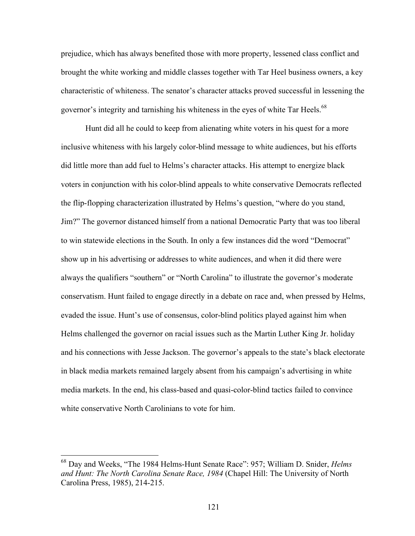prejudice, which has always benefited those with more property, lessened class conflict and brought the white working and middle classes together with Tar Heel business owners, a key characteristic of whiteness. The senator's character attacks proved successful in lessening the governor's integrity and tarnishing his whiteness in the eyes of white Tar Heels.<sup>68</sup>

Hunt did all he could to keep from alienating white voters in his quest for a more inclusive whiteness with his largely color-blind message to white audiences, but his efforts did little more than add fuel to Helms's character attacks. His attempt to energize black voters in conjunction with his color-blind appeals to white conservative Democrats reflected the flip-flopping characterization illustrated by Helms's question, "where do you stand, Jim?" The governor distanced himself from a national Democratic Party that was too liberal to win statewide elections in the South. In only a few instances did the word "Democrat" show up in his advertising or addresses to white audiences, and when it did there were always the qualifiers "southern" or "North Carolina" to illustrate the governor's moderate conservatism. Hunt failed to engage directly in a debate on race and, when pressed by Helms, evaded the issue. Hunt's use of consensus, color-blind politics played against him when Helms challenged the governor on racial issues such as the Martin Luther King Jr. holiday and his connections with Jesse Jackson. The governor's appeals to the state's black electorate in black media markets remained largely absent from his campaign's advertising in white media markets. In the end, his class-based and quasi-color-blind tactics failed to convince white conservative North Carolinians to vote for him.

 <sup>68</sup> Day and Weeks, "The 1984 Helms-Hunt Senate Race": 957; William D. Snider, *Helms and Hunt: The North Carolina Senate Race, 1984* (Chapel Hill: The University of North Carolina Press, 1985), 214-215.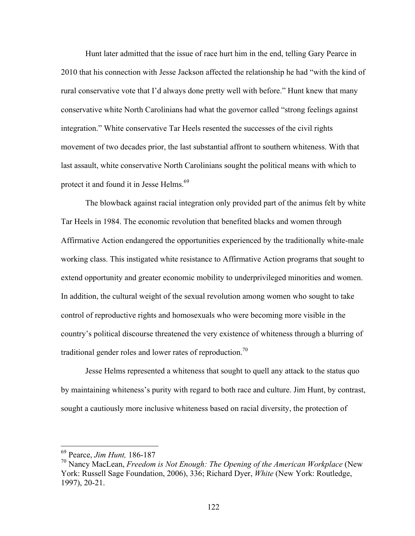Hunt later admitted that the issue of race hurt him in the end, telling Gary Pearce in 2010 that his connection with Jesse Jackson affected the relationship he had "with the kind of rural conservative vote that I'd always done pretty well with before." Hunt knew that many conservative white North Carolinians had what the governor called "strong feelings against integration." White conservative Tar Heels resented the successes of the civil rights movement of two decades prior, the last substantial affront to southern whiteness. With that last assault, white conservative North Carolinians sought the political means with which to protect it and found it in Jesse Helms.<sup>69</sup>

The blowback against racial integration only provided part of the animus felt by white Tar Heels in 1984. The economic revolution that benefited blacks and women through Affirmative Action endangered the opportunities experienced by the traditionally white-male working class. This instigated white resistance to Affirmative Action programs that sought to extend opportunity and greater economic mobility to underprivileged minorities and women. In addition, the cultural weight of the sexual revolution among women who sought to take control of reproductive rights and homosexuals who were becoming more visible in the country's political discourse threatened the very existence of whiteness through a blurring of traditional gender roles and lower rates of reproduction.<sup>70</sup>

Jesse Helms represented a whiteness that sought to quell any attack to the status quo by maintaining whiteness's purity with regard to both race and culture. Jim Hunt, by contrast, sought a cautiously more inclusive whiteness based on racial diversity, the protection of

 <sup>69</sup> Pearce, *Jim Hunt,* 186-187

<sup>70</sup> Nancy MacLean, *Freedom is Not Enough: The Opening of the American Workplace* (New York: Russell Sage Foundation, 2006), 336; Richard Dyer, *White* (New York: Routledge, 1997), 20-21.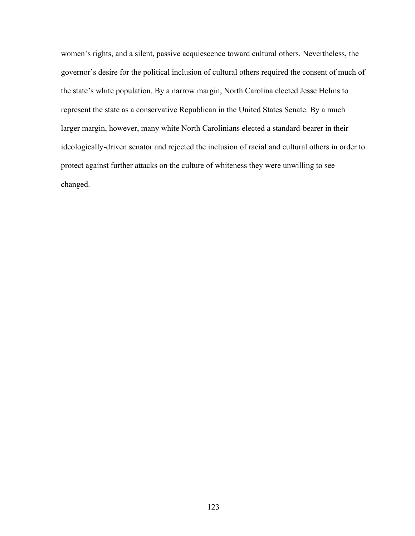women's rights, and a silent, passive acquiescence toward cultural others. Nevertheless, the governor's desire for the political inclusion of cultural others required the consent of much of the state's white population. By a narrow margin, North Carolina elected Jesse Helms to represent the state as a conservative Republican in the United States Senate. By a much larger margin, however, many white North Carolinians elected a standard-bearer in their ideologically-driven senator and rejected the inclusion of racial and cultural others in order to protect against further attacks on the culture of whiteness they were unwilling to see changed.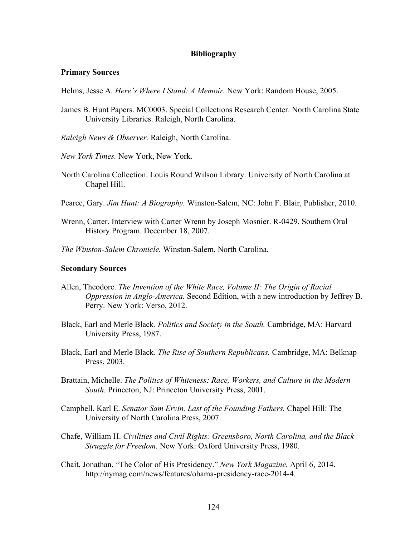## **Bibliography**

## **Primary Sources**

Helms, Jesse A. *Here's Where I Stand: A Memoir.* New York: Random House, 2005.

- James B. Hunt Papers. MC0003. Special Collections Research Center. North Carolina State University Libraries. Raleigh, North Carolina.
- *Raleigh News & Observer.* Raleigh, North Carolina.
- *New York Times.* New York, New York.
- North Carolina Collection. Louis Round Wilson Library. University of North Carolina at Chapel Hill.
- Pearce, Gary. *Jim Hunt: A Biography.* Winston-Salem, NC: John F. Blair, Publisher, 2010.
- Wrenn, Carter. Interview with Carter Wrenn by Joseph Mosnier. R-0429. Southern Oral History Program. December 18, 2007.
- *The Winston-Salem Chronicle.* Winston-Salem, North Carolina.

## **Secondary Sources**

- Allen, Theodore. *The Invention of the White Race, Volume II: The Origin of Racial Oppression in Anglo-America.* Second Edition, with a new introduction by Jeffrey B. Perry. New York: Verso, 2012.
- Black, Earl and Merle Black. *Politics and Society in the South.* Cambridge, MA: Harvard University Press, 1987.
- Black, Earl and Merle Black. *The Rise of Southern Republicans.* Cambridge, MA: Belknap Press, 2003.
- Brattain, Michelle. *The Politics of Whiteness: Race, Workers, and Culture in the Modern South.* Princeton, NJ: Princeton University Press, 2001.
- Campbell, Karl E. *Senator Sam Ervin, Last of the Founding Fathers.* Chapel Hill: The University of North Carolina Press, 2007.
- Chafe, William H. *Civilities and Civil Rights: Greensboro, North Carolina, and the Black Struggle for Freedom.* New York: Oxford University Press, 1980.
- Chait, Jonathan. "The Color of His Presidency." *New York Magazine.* April 6, 2014. http://nymag.com/news/features/obama-presidency-race-2014-4.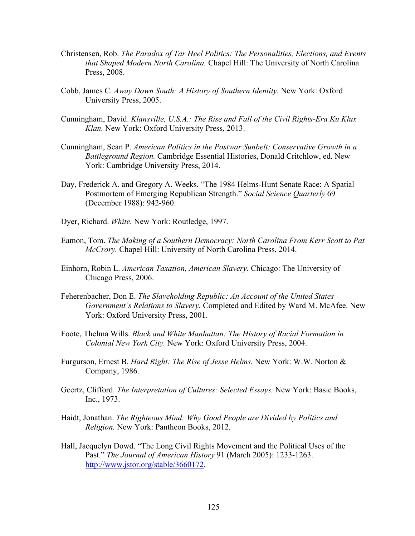- Christensen, Rob. *The Paradox of Tar Heel Politics: The Personalities, Elections, and Events that Shaped Modern North Carolina.* Chapel Hill: The University of North Carolina Press, 2008.
- Cobb, James C. *Away Down South: A History of Southern Identity.* New York: Oxford University Press, 2005.
- Cunningham, David. *Klansville, U.S.A.: The Rise and Fall of the Civil Rights-Era Ku Klux Klan.* New York: Oxford University Press, 2013.
- Cunningham, Sean P. *American Politics in the Postwar Sunbelt: Conservative Growth in a Battleground Region.* Cambridge Essential Histories, Donald Critchlow, ed. New York: Cambridge University Press, 2014.
- Day, Frederick A. and Gregory A. Weeks. "The 1984 Helms-Hunt Senate Race: A Spatial Postmortem of Emerging Republican Strength." *Social Science Quarterly* 69 (December 1988): 942-960.
- Dyer, Richard. *White.* New York: Routledge, 1997.
- Eamon, Tom. *The Making of a Southern Democracy: North Carolina From Kerr Scott to Pat McCrory.* Chapel Hill: University of North Carolina Press, 2014.
- Einhorn, Robin L. *American Taxation, American Slavery.* Chicago: The University of Chicago Press, 2006.
- Feherenbacher, Don E. *The Slaveholding Republic: An Account of the United States Government's Relations to Slavery.* Completed and Edited by Ward M. McAfee. New York: Oxford University Press, 2001.
- Foote, Thelma Wills. *Black and White Manhattan: The History of Racial Formation in Colonial New York City.* New York: Oxford University Press, 2004.
- Furgurson, Ernest B. *Hard Right: The Rise of Jesse Helms.* New York: W.W. Norton & Company, 1986.
- Geertz, Clifford. *The Interpretation of Cultures: Selected Essays.* New York: Basic Books, Inc., 1973.
- Haidt, Jonathan. *The Righteous Mind: Why Good People are Divided by Politics and Religion.* New York: Pantheon Books, 2012.
- Hall, Jacquelyn Dowd. "The Long Civil Rights Movement and the Political Uses of the Past." *The Journal of American History* 91 (March 2005): 1233-1263. http://www.jstor.org/stable/3660172.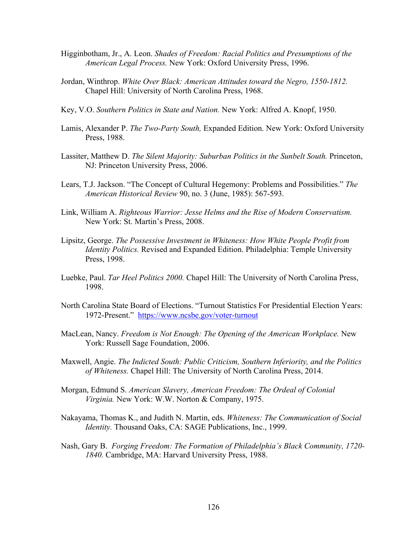- Higginbotham, Jr., A. Leon. *Shades of Freedom: Racial Politics and Presumptions of the American Legal Process.* New York: Oxford University Press, 1996.
- Jordan, Winthrop. *White Over Black: American Attitudes toward the Negro, 1550-1812.* Chapel Hill: University of North Carolina Press, 1968.
- Key, V.O. *Southern Politics in State and Nation.* New York: Alfred A. Knopf, 1950.
- Lamis, Alexander P. *The Two-Party South,* Expanded Edition. New York: Oxford University Press, 1988.
- Lassiter, Matthew D. *The Silent Majority: Suburban Politics in the Sunbelt South.* Princeton, NJ: Princeton University Press, 2006.
- Lears, T.J. Jackson. "The Concept of Cultural Hegemony: Problems and Possibilities." *The American Historical Review* 90, no. 3 (June, 1985): 567-593.
- Link, William A. *Righteous Warrior: Jesse Helms and the Rise of Modern Conservatism.* New York: St. Martin's Press, 2008.
- Lipsitz, George. *The Possessive Investment in Whiteness: How White People Profit from Identity Politics.* Revised and Expanded Edition. Philadelphia: Temple University Press, 1998.
- Luebke, Paul. *Tar Heel Politics 2000.* Chapel Hill: The University of North Carolina Press, 1998.
- North Carolina State Board of Elections. "Turnout Statistics For Presidential Election Years: 1972-Present." https://www.ncsbe.gov/voter-turnout
- MacLean, Nancy. *Freedom is Not Enough: The Opening of the American Workplace.* New York: Russell Sage Foundation, 2006.
- Maxwell, Angie. *The Indicted South: Public Criticism, Southern Inferiority, and the Politics of Whiteness.* Chapel Hill: The University of North Carolina Press, 2014.
- Morgan, Edmund S. *American Slavery, American Freedom: The Ordeal of Colonial Virginia.* New York: W.W. Norton & Company, 1975.
- Nakayama, Thomas K., and Judith N. Martin, eds. *Whiteness: The Communication of Social Identity.* Thousand Oaks, CA: SAGE Publications, Inc., 1999.
- Nash, Gary B. *Forging Freedom: The Formation of Philadelphia's Black Community, 1720- 1840.* Cambridge, MA: Harvard University Press, 1988.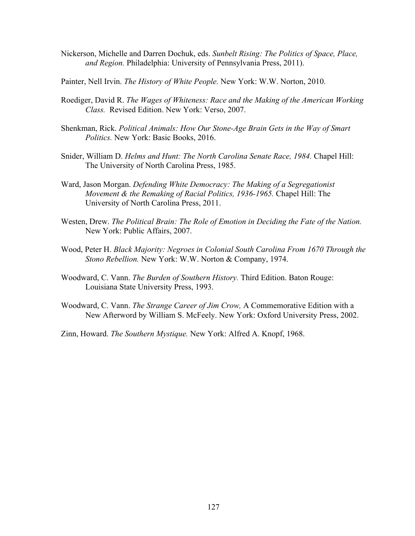- Nickerson, Michelle and Darren Dochuk, eds. *Sunbelt Rising: The Politics of Space, Place, and Region.* Philadelphia: University of Pennsylvania Press, 2011).
- Painter, Nell Irvin. *The History of White People.* New York: W.W. Norton, 2010.
- Roediger, David R. *The Wages of Whiteness: Race and the Making of the American Working Class.* Revised Edition. New York: Verso, 2007.
- Shenkman, Rick. *Political Animals: How Our Stone-Age Brain Gets in the Way of Smart Politics.* New York: Basic Books, 2016.
- Snider, William D. *Helms and Hunt: The North Carolina Senate Race, 1984.* Chapel Hill: The University of North Carolina Press, 1985.
- Ward, Jason Morgan. *Defending White Democracy: The Making of a Segregationist Movement & the Remaking of Racial Politics, 1936-1965.* Chapel Hill: The University of North Carolina Press, 2011.
- Westen, Drew. *The Political Brain: The Role of Emotion in Deciding the Fate of the Nation.* New York: Public Affairs, 2007.
- Wood, Peter H. *Black Majority: Negroes in Colonial South Carolina From 1670 Through the Stono Rebellion.* New York: W.W. Norton & Company, 1974.
- Woodward, C. Vann. *The Burden of Southern History.* Third Edition. Baton Rouge: Louisiana State University Press, 1993.
- Woodward, C. Vann. *The Strange Career of Jim Crow,* A Commemorative Edition with a New Afterword by William S. McFeely. New York: Oxford University Press, 2002.

Zinn, Howard. *The Southern Mystique.* New York: Alfred A. Knopf, 1968.